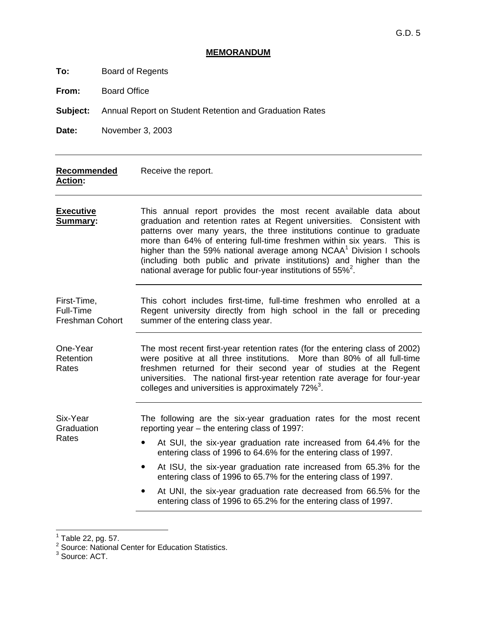#### **MEMORANDUM**

| Board of Regents<br>To: |  |
|-------------------------|--|
|-------------------------|--|

**From:** Board Office

**Subject:** Annual Report on Student Retention and Graduation Rates

**Date:** November 3, 2003

| <b>Recommended</b><br><b>Action:</b>               | Receive the report.                                                                                                                                                                                                                                                                                                                                                                                                                                                                                                                  |  |  |  |  |  |
|----------------------------------------------------|--------------------------------------------------------------------------------------------------------------------------------------------------------------------------------------------------------------------------------------------------------------------------------------------------------------------------------------------------------------------------------------------------------------------------------------------------------------------------------------------------------------------------------------|--|--|--|--|--|
| <b>Executive</b><br>Summary:                       | This annual report provides the most recent available data about<br>graduation and retention rates at Regent universities. Consistent with<br>patterns over many years, the three institutions continue to graduate<br>more than 64% of entering full-time freshmen within six years. This is<br>higher than the 59% national average among NCAA <sup>1</sup> Division I schools<br>(including both public and private institutions) and higher than the<br>national average for public four-year institutions of 55% <sup>2</sup> . |  |  |  |  |  |
| First-Time,<br>Full-Time<br><b>Freshman Cohort</b> | This cohort includes first-time, full-time freshmen who enrolled at a<br>Regent university directly from high school in the fall or preceding<br>summer of the entering class year.                                                                                                                                                                                                                                                                                                                                                  |  |  |  |  |  |
| One-Year<br>Retention<br>Rates                     | The most recent first-year retention rates (for the entering class of 2002)<br>were positive at all three institutions.<br>More than 80% of all full-time<br>freshmen returned for their second year of studies at the Regent<br>universities. The national first-year retention rate average for four-year<br>colleges and universities is approximately 72% <sup>3</sup> .                                                                                                                                                         |  |  |  |  |  |
| Six-Year<br>Graduation                             | The following are the six-year graduation rates for the most recent<br>reporting year – the entering class of 1997:                                                                                                                                                                                                                                                                                                                                                                                                                  |  |  |  |  |  |
| Rates                                              | At SUI, the six-year graduation rate increased from 64.4% for the<br>$\bullet$<br>entering class of 1996 to 64.6% for the entering class of 1997.                                                                                                                                                                                                                                                                                                                                                                                    |  |  |  |  |  |
|                                                    | At ISU, the six-year graduation rate increased from 65.3% for the<br>entering class of 1996 to 65.7% for the entering class of 1997.                                                                                                                                                                                                                                                                                                                                                                                                 |  |  |  |  |  |
|                                                    | At UNI, the six-year graduation rate decreased from 66.5% for the<br>entering class of 1996 to 65.2% for the entering class of 1997.                                                                                                                                                                                                                                                                                                                                                                                                 |  |  |  |  |  |

<sup>1&</sup>lt;br><sup>1</sup> Table 22, pg. 57.<br><sup>2</sup> Source: National Center for Education Statistics.<br><sup>3</sup> Source: ACT.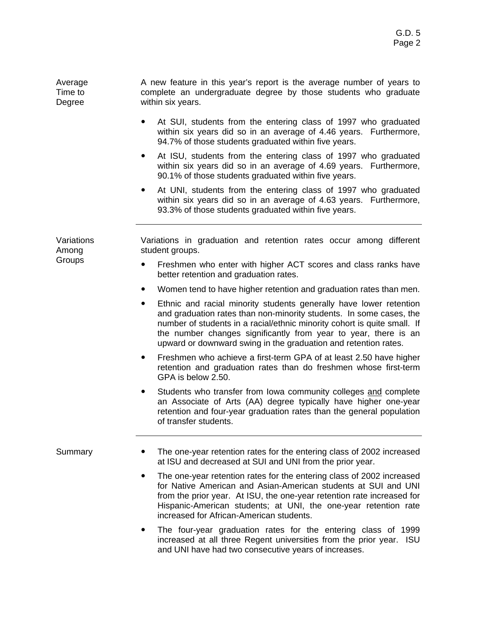| Average | A new feature in this year's report is the average number of years to |
|---------|-----------------------------------------------------------------------|
| Time to | complete an undergraduate degree by those students who graduate       |
| Degree  | within six years.                                                     |

- At SUI, students from the entering class of 1997 who graduated within six years did so in an average of 4.46 years. Furthermore, 94.7% of those students graduated within five years.
- At ISU, students from the entering class of 1997 who graduated within six years did so in an average of 4.69 years. Furthermore, 90.1% of those students graduated within five years.
- At UNI, students from the entering class of 1997 who graduated within six years did so in an average of 4.63 years. Furthermore, 93.3% of those students graduated within five years.

**Variations** Among Groups

Variations in graduation and retention rates occur among different student groups.

- Freshmen who enter with higher ACT scores and class ranks have better retention and graduation rates.
- Women tend to have higher retention and graduation rates than men.
- Ethnic and racial minority students generally have lower retention and graduation rates than non-minority students. In some cases, the number of students in a racial/ethnic minority cohort is quite small. If the number changes significantly from year to year, there is an upward or downward swing in the graduation and retention rates.
- Freshmen who achieve a first-term GPA of at least 2.50 have higher retention and graduation rates than do freshmen whose first-term GPA is below 2.50.
- Students who transfer from Iowa community colleges and complete an Associate of Arts (AA) degree typically have higher one-year retention and four-year graduation rates than the general population of transfer students.

- Summary **•** The one-year retention rates for the entering class of 2002 increased at ISU and decreased at SUI and UNI from the prior year.
	- The one-year retention rates for the entering class of 2002 increased for Native American and Asian-American students at SUI and UNI from the prior year. At ISU, the one-year retention rate increased for Hispanic-American students; at UNI, the one-year retention rate increased for African-American students.
	- The four-year graduation rates for the entering class of 1999 increased at all three Regent universities from the prior year. ISU and UNI have had two consecutive years of increases.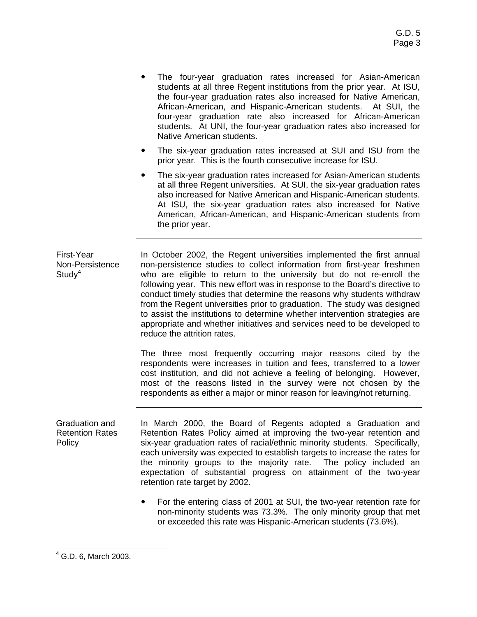- The four-year graduation rates increased for Asian-American students at all three Regent institutions from the prior year. At ISU, the four-year graduation rates also increased for Native American, African-American, and Hispanic-American students. At SUI, the four-year graduation rate also increased for African-American students. At UNI, the four-year graduation rates also increased for Native American students.
- The six-year graduation rates increased at SUI and ISU from the prior year. This is the fourth consecutive increase for ISU.
- The six-year graduation rates increased for Asian-American students at all three Regent universities. At SUI, the six-year graduation rates also increased for Native American and Hispanic-American students. At ISU, the six-year graduation rates also increased for Native American, African-American, and Hispanic-American students from the prior year.

First-Year Non-Persistence  $Study<sup>4</sup>$ In October 2002, the Regent universities implemented the first annual non-persistence studies to collect information from first-year freshmen who are eligible to return to the university but do not re-enroll the following year. This new effort was in response to the Board's directive to conduct timely studies that determine the reasons why students withdraw from the Regent universities prior to graduation. The study was designed to assist the institutions to determine whether intervention strategies are appropriate and whether initiatives and services need to be developed to reduce the attrition rates.

> The three most frequently occurring major reasons cited by the respondents were increases in tuition and fees, transferred to a lower cost institution, and did not achieve a feeling of belonging. However, most of the reasons listed in the survey were not chosen by the respondents as either a major or minor reason for leaving/not returning.

Graduation and Retention Rates Policy In March 2000, the Board of Regents adopted a Graduation and Retention Rates Policy aimed at improving the two-year retention and six-year graduation rates of racial/ethnic minority students. Specifically, each university was expected to establish targets to increase the rates for the minority groups to the majority rate. The policy included an expectation of substantial progress on attainment of the two-year retention rate target by 2002.

> • For the entering class of 2001 at SUI, the two-year retention rate for non-minority students was 73.3%. The only minority group that met or exceeded this rate was Hispanic-American students (73.6%).

 4 G.D. 6, March 2003.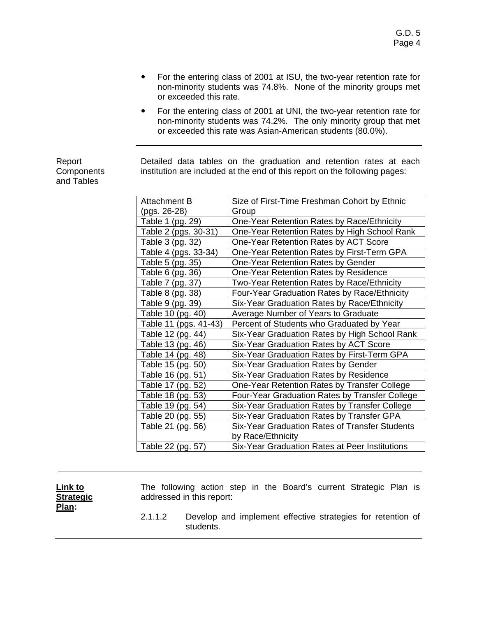- For the entering class of 2001 at ISU, the two-year retention rate for non-minority students was 74.8%. None of the minority groups met or exceeded this rate.
- ! For the entering class of 2001 at UNI, the two-year retention rate for non-minority students was 74.2%. The only minority group that met or exceeded this rate was Asian-American students (80.0%).

Report **Components** and Tables

Detailed data tables on the graduation and retention rates at each institution are included at the end of this report on the following pages:

| <b>Attachment B</b>   | Size of First-Time Freshman Cohort by Ethnic   |
|-----------------------|------------------------------------------------|
| (pgs. 26-28)          | Group                                          |
| Table 1 (pg. 29)      | One-Year Retention Rates by Race/Ethnicity     |
| Table 2 (pgs. 30-31)  | One-Year Retention Rates by High School Rank   |
| Table 3 (pg. 32)      | One-Year Retention Rates by ACT Score          |
| Table 4 (pgs. 33-34)  | One-Year Retention Rates by First-Term GPA     |
| Table 5 (pg. 35)      | One-Year Retention Rates by Gender             |
| Table 6 (pg. 36)      | One-Year Retention Rates by Residence          |
| Table 7 (pg. 37)      | Two-Year Retention Rates by Race/Ethnicity     |
| Table 8 (pg. 38)      | Four-Year Graduation Rates by Race/Ethnicity   |
| Table 9 (pg. 39)      | Six-Year Graduation Rates by Race/Ethnicity    |
| Table 10 (pg. 40)     | Average Number of Years to Graduate            |
| Table 11 (pgs. 41-43) | Percent of Students who Graduated by Year      |
| Table 12 (pg. 44)     | Six-Year Graduation Rates by High School Rank  |
| Table 13 (pg. 46)     | Six-Year Graduation Rates by ACT Score         |
| Table 14 (pg. 48)     | Six-Year Graduation Rates by First-Term GPA    |
| Table 15 (pg. 50)     | Six-Year Graduation Rates by Gender            |
| Table 16 (pg. 51)     | Six-Year Graduation Rates by Residence         |
| Table 17 (pg. 52)     | One-Year Retention Rates by Transfer College   |
| Table 18 (pg. 53)     | Four-Year Graduation Rates by Transfer College |
| Table 19 (pg. 54)     | Six-Year Graduation Rates by Transfer College  |
| Table 20 (pg. 55)     | Six-Year Graduation Rates by Transfer GPA      |
| Table 21 (pg. 56)     | Six-Year Graduation Rates of Transfer Students |
|                       | by Race/Ethnicity                              |
| Table 22 (pg. 57)     | Six-Year Graduation Rates at Peer Institutions |

| Link to<br><b>Strategic</b><br>Plan: |         | The following action step in the Board's current Strategic Plan is<br>addressed in this report: |  |  |  |
|--------------------------------------|---------|-------------------------------------------------------------------------------------------------|--|--|--|
|                                      | 2.1.1.2 | Develop and implement effective strategies for retention of<br>students.                        |  |  |  |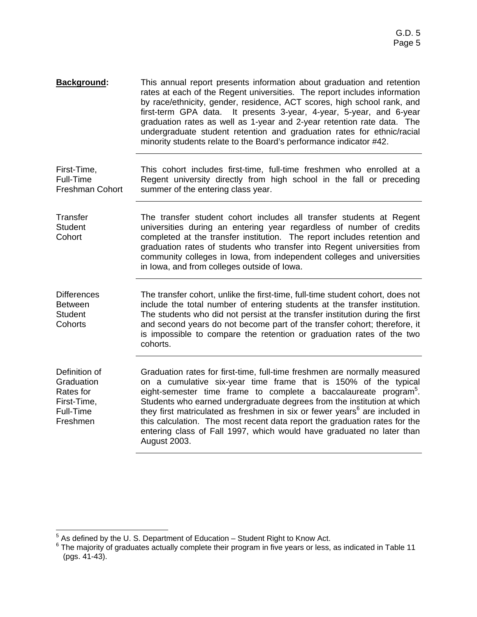| <b>Background:</b>                                                               | This annual report presents information about graduation and retention<br>rates at each of the Regent universities. The report includes information<br>by race/ethnicity, gender, residence, ACT scores, high school rank, and<br>It presents 3-year, 4-year, 5-year, and 6-year<br>first-term GPA data.<br>graduation rates as well as 1-year and 2-year retention rate data. The<br>undergraduate student retention and graduation rates for ethnic/racial<br>minority students relate to the Board's performance indicator #42.                                              |
|----------------------------------------------------------------------------------|---------------------------------------------------------------------------------------------------------------------------------------------------------------------------------------------------------------------------------------------------------------------------------------------------------------------------------------------------------------------------------------------------------------------------------------------------------------------------------------------------------------------------------------------------------------------------------|
| First-Time,<br>Full-Time<br><b>Freshman Cohort</b>                               | This cohort includes first-time, full-time freshmen who enrolled at a<br>Regent university directly from high school in the fall or preceding<br>summer of the entering class year.                                                                                                                                                                                                                                                                                                                                                                                             |
| <b>Transfer</b><br><b>Student</b><br>Cohort                                      | The transfer student cohort includes all transfer students at Regent<br>universities during an entering year regardless of number of credits<br>completed at the transfer institution. The report includes retention and<br>graduation rates of students who transfer into Regent universities from<br>community colleges in lowa, from independent colleges and universities<br>in lowa, and from colleges outside of lowa.                                                                                                                                                    |
| <b>Differences</b><br><b>Between</b><br><b>Student</b><br>Cohorts                | The transfer cohort, unlike the first-time, full-time student cohort, does not<br>include the total number of entering students at the transfer institution.<br>The students who did not persist at the transfer institution during the first<br>and second years do not become part of the transfer cohort; therefore, it<br>is impossible to compare the retention or graduation rates of the two<br>cohorts.                                                                                                                                                                 |
| Definition of<br>Graduation<br>Rates for<br>First-Time,<br>Full-Time<br>Freshmen | Graduation rates for first-time, full-time freshmen are normally measured<br>on a cumulative six-year time frame that is 150% of the typical<br>eight-semester time frame to complete a baccalaureate program <sup>5</sup> .<br>Students who earned undergraduate degrees from the institution at which<br>they first matriculated as freshmen in six or fewer years <sup>6</sup> are included in<br>this calculation. The most recent data report the graduation rates for the<br>entering class of Fall 1997, which would have graduated no later than<br><b>August 2003.</b> |

 5 As defined by the U. S. Department of Education – Student Right to Know Act. 6 The majority of graduates actually complete their program in five years or less, as indicated in Table 11 (pgs. 41-43).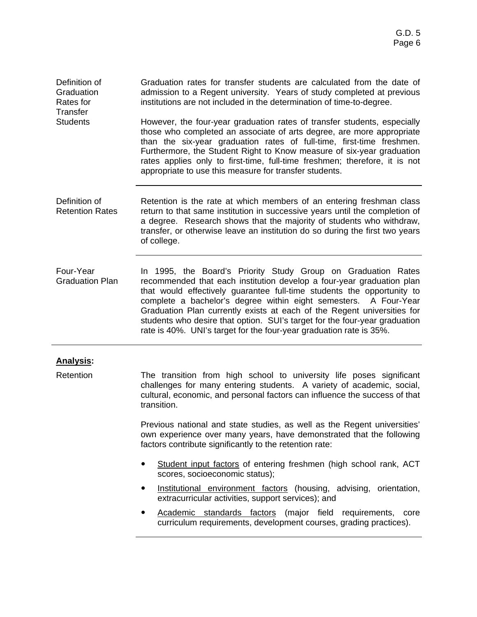Definition of **Graduation** Rates for **Transfer Students** Graduation rates for transfer students are calculated from the date of admission to a Regent university. Years of study completed at previous institutions are not included in the determination of time-to-degree. However, the four-year graduation rates of transfer students, especially those who completed an associate of arts degree, are more appropriate than the six-year graduation rates of full-time, first-time freshmen. Furthermore, the Student Right to Know measure of six-year graduation rates applies only to first-time, full-time freshmen; therefore, it is not appropriate to use this measure for transfer students.

- Definition of Retention Rates Retention is the rate at which members of an entering freshman class return to that same institution in successive years until the completion of a degree. Research shows that the majority of students who withdraw, transfer, or otherwise leave an institution do so during the first two years of college.
- Four-Year Graduation Plan In 1995, the Board's Priority Study Group on Graduation Rates recommended that each institution develop a four-year graduation plan that would effectively guarantee full-time students the opportunity to complete a bachelor's degree within eight semesters. A Four-Year Graduation Plan currently exists at each of the Regent universities for students who desire that option. SUI's target for the four-year graduation rate is 40%. UNI's target for the four-year graduation rate is 35%.

#### **Analysis:**

Retention The transition from high school to university life poses significant challenges for many entering students. A variety of academic, social, cultural, economic, and personal factors can influence the success of that transition.

> Previous national and state studies, as well as the Regent universities' own experience over many years, have demonstrated that the following factors contribute significantly to the retention rate:

- ! Student input factors of entering freshmen (high school rank, ACT scores, socioeconomic status);
- **•** Institutional environment factors (housing, advising, orientation, extracurricular activities, support services); and
- Academic standards factors (major field requirements, core curriculum requirements, development courses, grading practices).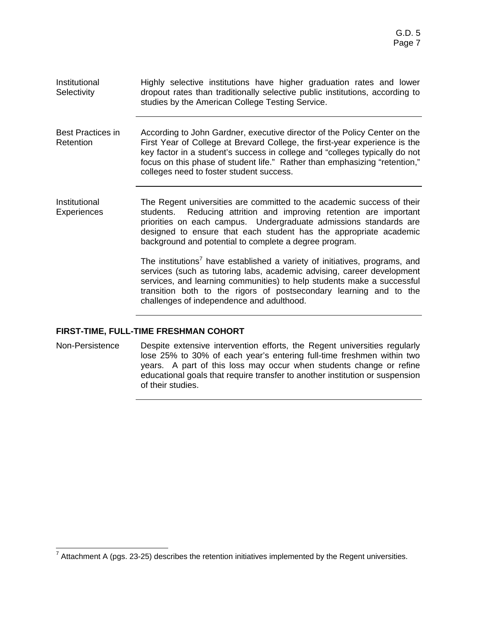| Institutional<br>Selectivity          | Highly selective institutions have higher graduation rates and lower<br>dropout rates than traditionally selective public institutions, according to<br>studies by the American College Testing Service.                                                                                                                                                         |
|---------------------------------------|------------------------------------------------------------------------------------------------------------------------------------------------------------------------------------------------------------------------------------------------------------------------------------------------------------------------------------------------------------------|
| <b>Best Practices in</b><br>Retention | According to John Gardner, executive director of the Policy Center on the<br>First Year of College at Brevard College, the first-year experience is the<br>key factor in a student's success in college and "colleges typically do not<br>focus on this phase of student life." Rather than emphasizing "retention,"<br>colleges need to foster student success. |
| Institutional<br><b>Experiences</b>   | The Regent universities are committed to the academic success of their<br>Reducing attrition and improving retention are important<br>students.<br>priorities on each campus. Undergraduate admissions standards are<br>designed to ensure that each student has the appropriate academic<br>background and potential to complete a degree program.              |
|                                       | The institutions <sup>7</sup> have established a variety of initiatives, programs, and<br>services (such as tutoring labs, academic advising, career development<br>services, and learning communities) to help students make a successful<br>transition both to the rigors of postsecondary learning and to the<br>challenges of independence and adulthood.    |

#### **FIRST-TIME, FULL-TIME FRESHMAN COHORT**

Non-Persistence Despite extensive intervention efforts, the Regent universities regularly lose 25% to 30% of each year's entering full-time freshmen within two years. A part of this loss may occur when students change or refine educational goals that require transfer to another institution or suspension of their studies.

TRECTIVE TRET THE TRET THE TREATH THE REGENT THE TREATH OF THE TREATH TREATH THE TREATH THE TREATH TREATH TRE<br>TREATH TREATH TREATH UNIVERSITY OF THE REGENT UNIVERSITY OF THE SECTION OF THE TREATH TREATH TREATH TREATH TRE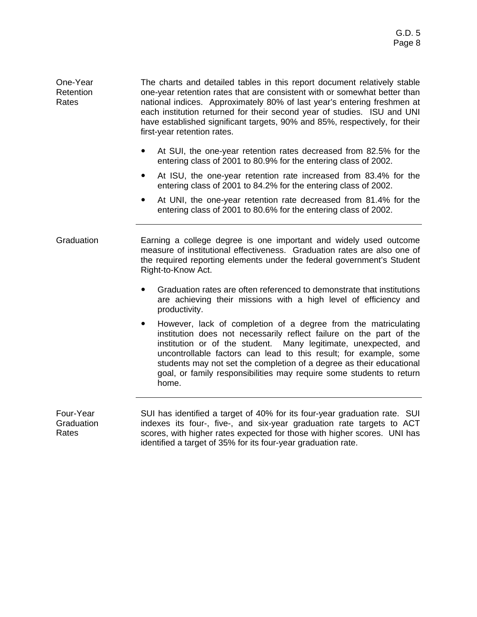One-Year Retention Rates The charts and detailed tables in this report document relatively stable one-year retention rates that are consistent with or somewhat better than national indices. Approximately 80% of last year's entering freshmen at each institution returned for their second year of studies. ISU and UNI have established significant targets, 90% and 85%, respectively, for their first-year retention rates.

- ! At SUI, the one-year retention rates decreased from 82.5% for the entering class of 2001 to 80.9% for the entering class of 2002.
- ! At ISU, the one-year retention rate increased from 83.4% for the entering class of 2001 to 84.2% for the entering class of 2002.
- At UNI, the one-year retention rate decreased from 81.4% for the entering class of 2001 to 80.6% for the entering class of 2002.

Graduation Earning a college degree is one important and widely used outcome measure of institutional effectiveness. Graduation rates are also one of the required reporting elements under the federal government's Student Right-to-Know Act.

- ! Graduation rates are often referenced to demonstrate that institutions are achieving their missions with a high level of efficiency and productivity.
- ! However, lack of completion of a degree from the matriculating institution does not necessarily reflect failure on the part of the institution or of the student. Many legitimate, unexpected, and uncontrollable factors can lead to this result; for example, some students may not set the completion of a degree as their educational goal, or family responsibilities may require some students to return home.

Four-Year **Graduation Rates** SUI has identified a target of 40% for its four-year graduation rate. SUI indexes its four-, five-, and six-year graduation rate targets to ACT scores, with higher rates expected for those with higher scores. UNI has identified a target of 35% for its four-year graduation rate.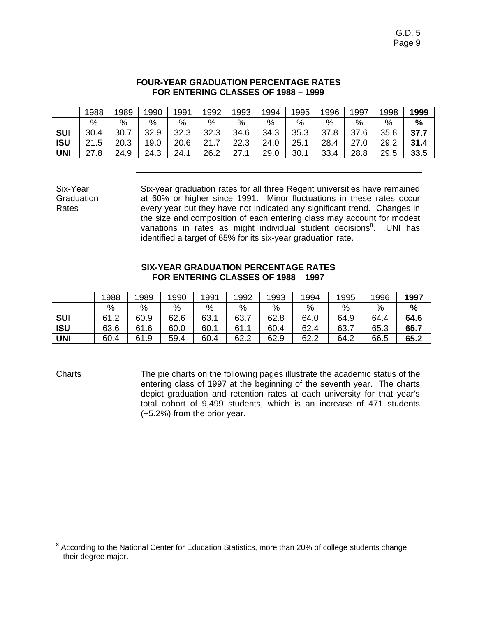#### **FOUR-YEAR GRADUATION PERCENTAGE RATES FOR ENTERING CLASSES OF 1988 – 1999**

|            | 1988 | 1989 | 1990 | 1991 | 1992 | 1993 | 1994 | 1995 | 1996 | 1997 | 998  | 1999 |
|------------|------|------|------|------|------|------|------|------|------|------|------|------|
|            | %    | %    | %    | %    | %    | %    | $\%$ | %    | %    | %    | $\%$ | %    |
| <b>SUI</b> | 30.4 | 30.7 | 32.9 | 32.3 | 32.3 | 34.6 | 34.3 | 35.3 | 37.8 | 37.6 | 35.8 | 37.7 |
| <b>ISU</b> | 21.5 | 20.3 | 19.0 | 20.6 | つイ   | 22.3 | 24.0 | 25.7 | 28.4 | 27.0 | 29.2 | 31.4 |
| <b>UNI</b> | 27.8 | 24.9 | 24.3 | 24.1 | 26.2 | 27.1 | 29.0 | 30.1 | 33.4 | 28.8 | 29.5 | 33.5 |

Six-year graduation rates for all three Regent universities have remained at 60% or higher since 1991. Minor fluctuations in these rates occur every year but they have not indicated any significant trend. Changes in the size and composition of each entering class may account for modest variations in rates as might individual student decisions<sup>8</sup>. UNI has identified a target of 65% for its six-year graduation rate.

#### **SIX-YEAR GRADUATION PERCENTAGE RATES FOR ENTERING CLASSES OF 1988** – **1997**

|            | 1988 | 1989 | 1990 | 1991 | 1992 | 1993 | 1994 | 1995 | 1996 | 1997 |
|------------|------|------|------|------|------|------|------|------|------|------|
|            | %    | %    | %    | %    | %    | %    | %    | %    | %    | %    |
| <b>SUI</b> | 61.2 | 60.9 | 62.6 | 63.7 | 63.7 | 62.8 | 64.0 | 64.9 | 64.4 | 64.6 |
| <b>ISU</b> | 63.6 | 61.6 | 60.0 | 60.1 | 61.1 | 60.4 | 62.4 | 63.7 | 65.3 | 65.7 |
| UNI        | 60.4 | 61.9 | 59.4 | 60.4 | 62.2 | 62.9 | 62.2 | 64.2 | 66.5 | 65.2 |

Six-Year **Graduation** Rates

Charts The pie charts on the following pages illustrate the academic status of the entering class of 1997 at the beginning of the seventh year. The charts depict graduation and retention rates at each university for that year's total cohort of 9,499 students, which is an increase of 471 students (+5.2%) from the prior year.

 8 According to the National Center for Education Statistics, more than 20% of college students change their degree major.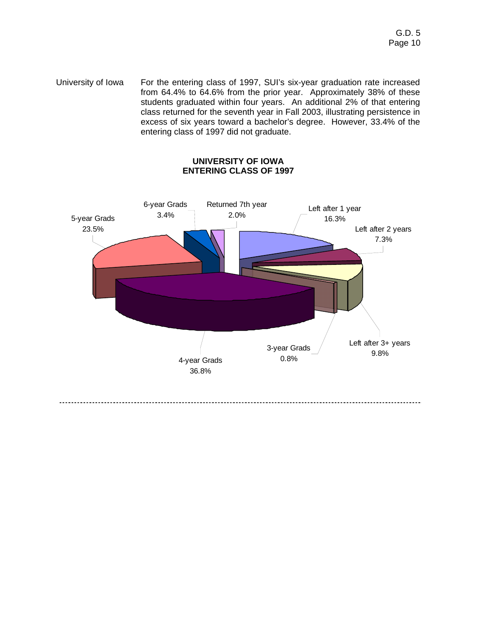University of Iowa For the entering class of 1997, SUI's six-year graduation rate increased from 64.4% to 64.6% from the prior year. Approximately 38% of these students graduated within four years. An additional 2% of that entering class returned for the seventh year in Fall 2003, illustrating persistence in excess of six years toward a bachelor's degree. However, 33.4% of the entering class of 1997 did not graduate.

#### **UNIVERSITY OF IOWA ENTERING CLASS OF 1997**

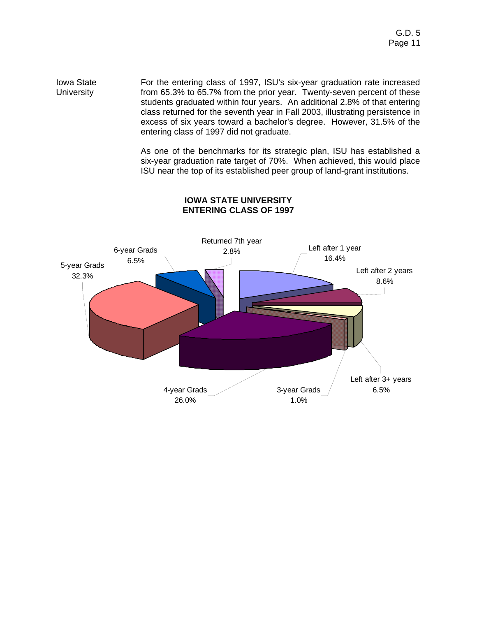Iowa State **University** For the entering class of 1997, ISU's six-year graduation rate increased from 65.3% to 65.7% from the prior year. Twenty-seven percent of these students graduated within four years. An additional 2.8% of that entering class returned for the seventh year in Fall 2003, illustrating persistence in excess of six years toward a bachelor's degree. However, 31.5% of the entering class of 1997 did not graduate.

> As one of the benchmarks for its strategic plan, ISU has established a six-year graduation rate target of 70%. When achieved, this would place ISU near the top of its established peer group of land-grant institutions.



#### **IOWA STATE UNIVERSITY ENTERING CLASS OF 1997**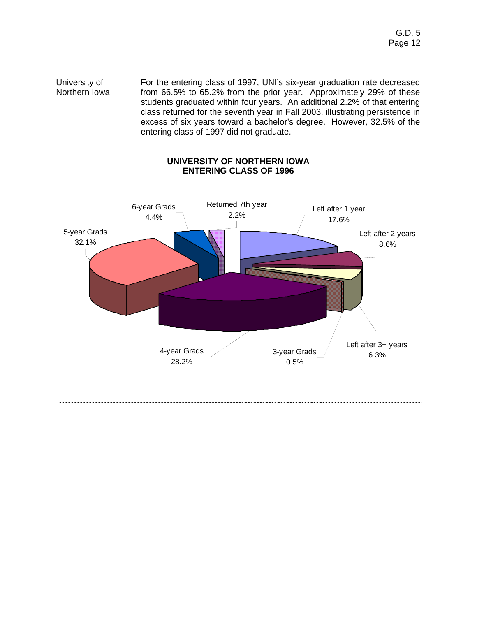University of Northern Iowa For the entering class of 1997, UNI's six-year graduation rate decreased from 66.5% to 65.2% from the prior year. Approximately 29% of these students graduated within four years. An additional 2.2% of that entering class returned for the seventh year in Fall 2003, illustrating persistence in excess of six years toward a bachelor's degree. However, 32.5% of the entering class of 1997 did not graduate.

#### **UNIVERSITY OF NORTHERN IOWA ENTERING CLASS OF 1996**

![](_page_11_Figure_3.jpeg)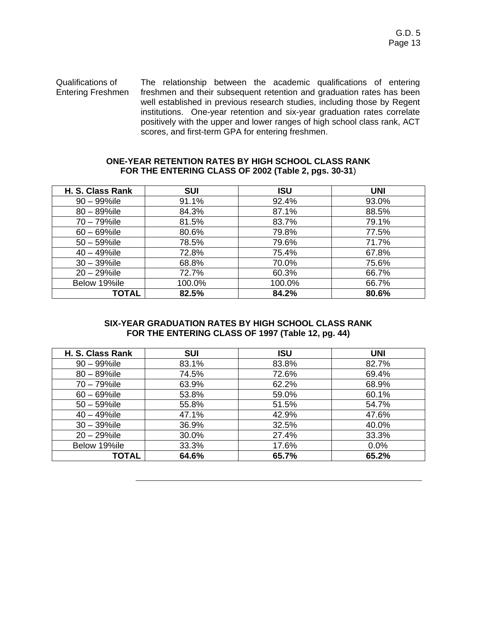Qualifications of Entering Freshmen The relationship between the academic qualifications of entering freshmen and their subsequent retention and graduation rates has been well established in previous research studies, including those by Regent institutions. One-year retention and six-year graduation rates correlate positively with the upper and lower ranges of high school class rank, ACT scores, and first-term GPA for entering freshmen.

#### **ONE-YEAR RETENTION RATES BY HIGH SCHOOL CLASS RANK FOR THE ENTERING CLASS OF 2002 (Table 2, pgs. 30-31**)

| H. S. Class Rank | <b>SUI</b> | <b>ISU</b> | <b>UNI</b> |
|------------------|------------|------------|------------|
| $90 - 99\%$ ile  | 91.1%      | 92.4%      | 93.0%      |
| $80 - 89\%$ ile  | 84.3%      | 87.1%      | 88.5%      |
| 70 - 79%ile      | 81.5%      | 83.7%      | 79.1%      |
| $60 - 69\%$ ile  | 80.6%      | 79.8%      | 77.5%      |
| $50 - 59\%$ ile  | 78.5%      | 79.6%      | 71.7%      |
| $40 - 49\%$ ile  | 72.8%      | 75.4%      | 67.8%      |
| $30 - 39\%$ ile  | 68.8%      | 70.0%      | 75.6%      |
| $20 - 29\%$ ile  | 72.7%      | 60.3%      | 66.7%      |
| Below 19%ile     | 100.0%     | 100.0%     | 66.7%      |
| <b>TOTAL</b>     | 82.5%      | 84.2%      | 80.6%      |

#### **SIX-YEAR GRADUATION RATES BY HIGH SCHOOL CLASS RANK FOR THE ENTERING CLASS OF 1997 (Table 12, pg. 44)**

| H. S. Class Rank | <b>SUI</b> | <b>ISU</b> | <b>UNI</b> |
|------------------|------------|------------|------------|
| $90 - 99\%$ ile  | 83.1%      | 83.8%      | 82.7%      |
| $80 - 89\%$ ile  | 74.5%      | 72.6%      | 69.4%      |
| 70 - 79%ile      | 63.9%      | 62.2%      | 68.9%      |
| $60 - 69\%$ ile  | 53.8%      | 59.0%      | 60.1%      |
| $50 - 59\%$ ile  | 55.8%      | 51.5%      | 54.7%      |
| $40 - 49\%$ ile  | 47.1%      | 42.9%      | 47.6%      |
| $30 - 39\%$ ile  | 36.9%      | 32.5%      | 40.0%      |
| $20 - 29\%$ ile  | 30.0%      | 27.4%      | 33.3%      |
| Below 19%ile     | 33.3%      | 17.6%      | 0.0%       |
| TOTAL            | 64.6%      | 65.7%      | 65.2%      |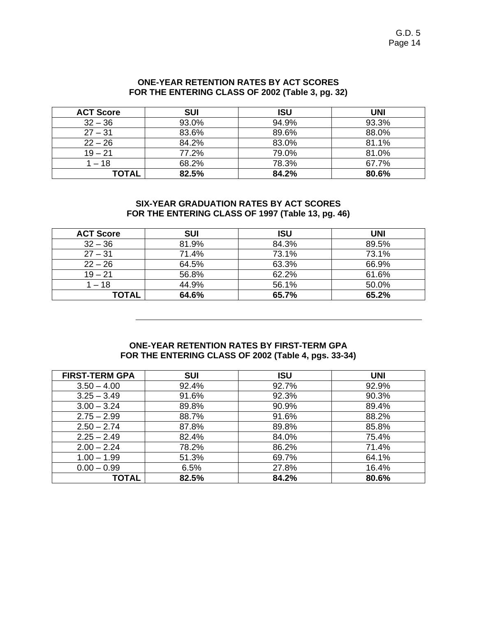| <b>ACT Score</b> | <b>SUI</b> | ISU   | UNI   |
|------------------|------------|-------|-------|
| $32 - 36$        | 93.0%      | 94.9% | 93.3% |
| $27 - 31$        | 83.6%      | 89.6% | 88.0% |
| $22 - 26$        | 84.2%      | 83.0% | 81.1% |
| $19 - 21$        | 77.2%      | 79.0% | 81.0% |
| 1 – 18           | 68.2%      | 78.3% | 67.7% |
| <b>TOTAL</b>     | 82.5%      | 84.2% | 80.6% |

#### **SIX-YEAR GRADUATION RATES BY ACT SCORES FOR THE ENTERING CLASS OF 1997 (Table 13, pg. 46)**

| <b>ACT Score</b> | <b>SUI</b> | ISU   | UNI   |
|------------------|------------|-------|-------|
| $32 - 36$        | 81.9%      | 84.3% | 89.5% |
| $27 - 31$        | 71.4%      | 73.1% | 73.1% |
| $22 - 26$        | 64.5%      | 63.3% | 66.9% |
| $19 - 21$        | 56.8%      | 62.2% | 61.6% |
| $1 - 18$         | 44.9%      | 56.1% | 50.0% |
| TOTAL            | 64.6%      | 65.7% | 65.2% |

#### **ONE-YEAR RETENTION RATES BY FIRST-TERM GPA FOR THE ENTERING CLASS OF 2002 (Table 4, pgs. 33-34)**

| <b>FIRST-TERM GPA</b> | <b>SUI</b> | <b>ISU</b> | <b>UNI</b> |
|-----------------------|------------|------------|------------|
| $3.50 - 4.00$         | 92.4%      | 92.7%      | 92.9%      |
| $3.25 - 3.49$         | 91.6%      | 92.3%      | 90.3%      |
| $3.00 - 3.24$         | 89.8%      | 90.9%      | 89.4%      |
| $2.75 - 2.99$         | 88.7%      | 91.6%      | 88.2%      |
| $2.50 - 2.74$         | 87.8%      | 89.8%      | 85.8%      |
| $2.25 - 2.49$         | 82.4%      | 84.0%      | 75.4%      |
| $2.00 - 2.24$         | 78.2%      | 86.2%      | 71.4%      |
| $1.00 - 1.99$         | 51.3%      | 69.7%      | 64.1%      |
| $0.00 - 0.99$         | 6.5%       | 27.8%      | 16.4%      |
| TOTAL                 | 82.5%      | 84.2%      | 80.6%      |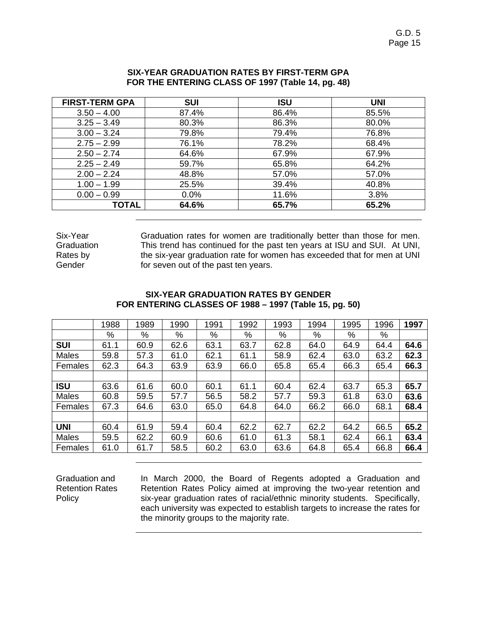| <b>FIRST-TERM GPA</b> | <b>SUI</b> | <b>ISU</b> | <b>UNI</b> |
|-----------------------|------------|------------|------------|
| $3.50 - 4.00$         | 87.4%      | 86.4%      | 85.5%      |
| $3.25 - 3.49$         | 80.3%      | 86.3%      | 80.0%      |
| $3.00 - 3.24$         | 79.8%      | 79.4%      | 76.8%      |
| $2.75 - 2.99$         | 76.1%      | 78.2%      | 68.4%      |
| $2.50 - 2.74$         | 64.6%      | 67.9%      | 67.9%      |
| $2.25 - 2.49$         | 59.7%      | 65.8%      | 64.2%      |
| $2.00 - 2.24$         | 48.8%      | 57.0%      | 57.0%      |
| $1.00 - 1.99$         | 25.5%      | 39.4%      | 40.8%      |
| $0.00 - 0.99$         | 0.0%       | 11.6%      | 3.8%       |
| <b>TOTAL</b>          | 64.6%      | 65.7%      | 65.2%      |

#### **SIX-YEAR GRADUATION RATES BY FIRST-TERM GPA FOR THE ENTERING CLASS OF 1997 (Table 14, pg. 48)**

Six-Year Graduation Rates by Gender

Graduation rates for women are traditionally better than those for men. This trend has continued for the past ten years at ISU and SUI. At UNI, the six-year graduation rate for women has exceeded that for men at UNI for seven out of the past ten years.

#### **SIX-YEAR GRADUATION RATES BY GENDER FOR ENTERING CLASSES OF 1988 – 1997 (Table 15, pg. 50)**

|              | 1988 | 1989 | 1990 | 1991 | 1992 | 1993 | 1994 | 1995 | 1996 | 1997 |
|--------------|------|------|------|------|------|------|------|------|------|------|
|              | %    | %    | %    | $\%$ | %    | $\%$ | %    | %    | %    |      |
| <b>SUI</b>   | 61.1 | 60.9 | 62.6 | 63.1 | 63.7 | 62.8 | 64.0 | 64.9 | 64.4 | 64.6 |
| <b>Males</b> | 59.8 | 57.3 | 61.0 | 62.1 | 61.1 | 58.9 | 62.4 | 63.0 | 63.2 | 62.3 |
| Females      | 62.3 | 64.3 | 63.9 | 63.9 | 66.0 | 65.8 | 65.4 | 66.3 | 65.4 | 66.3 |
|              |      |      |      |      |      |      |      |      |      |      |
| <b>ISU</b>   | 63.6 | 61.6 | 60.0 | 60.1 | 61.1 | 60.4 | 62.4 | 63.7 | 65.3 | 65.7 |
| <b>Males</b> | 60.8 | 59.5 | 57.7 | 56.5 | 58.2 | 57.7 | 59.3 | 61.8 | 63.0 | 63.6 |
| Females      | 67.3 | 64.6 | 63.0 | 65.0 | 64.8 | 64.0 | 66.2 | 66.0 | 68.1 | 68.4 |
|              |      |      |      |      |      |      |      |      |      |      |
| <b>UNI</b>   | 60.4 | 61.9 | 59.4 | 60.4 | 62.2 | 62.7 | 62.2 | 64.2 | 66.5 | 65.2 |
| Males        | 59.5 | 62.2 | 60.9 | 60.6 | 61.0 | 61.3 | 58.1 | 62.4 | 66.1 | 63.4 |
| Females      | 61.0 | 61.7 | 58.5 | 60.2 | 63.0 | 63.6 | 64.8 | 65.4 | 66.8 | 66.4 |

Graduation and Retention Rates Policy

In March 2000, the Board of Regents adopted a Graduation and Retention Rates Policy aimed at improving the two-year retention and six-year graduation rates of racial/ethnic minority students. Specifically, each university was expected to establish targets to increase the rates for the minority groups to the majority rate.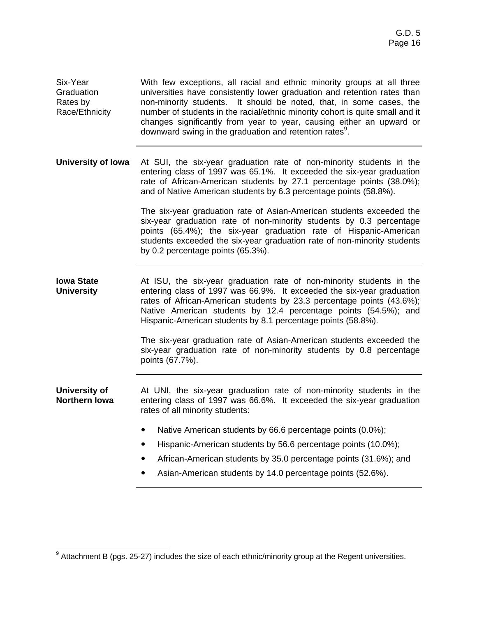Six-Year Graduation Rates by Race/Ethnicity With few exceptions, all racial and ethnic minority groups at all three universities have consistently lower graduation and retention rates than non-minority students. It should be noted, that, in some cases, the number of students in the racial/ethnic minority cohort is quite small and it changes significantly from year to year, causing either an upward or downward swing in the graduation and retention rates<sup>9</sup>.

#### **University of Iowa** At SUI, the six-year graduation rate of non-minority students in the entering class of 1997 was 65.1%. It exceeded the six-year graduation rate of African-American students by 27.1 percentage points (38.0%); and of Native American students by 6.3 percentage points (58.8%).

The six-year graduation rate of Asian-American students exceeded the six-year graduation rate of non-minority students by 0.3 percentage points (65.4%); the six-year graduation rate of Hispanic-American students exceeded the six-year graduation rate of non-minority students by 0.2 percentage points (65.3%).

**Iowa State University**  At ISU, the six-year graduation rate of non-minority students in the entering class of 1997 was 66.9%. It exceeded the six-year graduation rates of African-American students by 23.3 percentage points (43.6%); Native American students by 12.4 percentage points (54.5%); and Hispanic-American students by 8.1 percentage points (58.8%).

> The six-year graduation rate of Asian-American students exceeded the six-year graduation rate of non-minority students by 0.8 percentage points (67.7%).

**University of Northern Iowa**  At UNI, the six-year graduation rate of non-minority students in the entering class of 1997 was 66.6%. It exceeded the six-year graduation rates of all minority students:

- Native American students by 66.6 percentage points (0.0%);
- ! Hispanic-American students by 56.6 percentage points (10.0%);
- ! African-American students by 35.0 percentage points (31.6%); and
- Asian-American students by 14.0 percentage points (52.6%).

  $9$  Attachment B (pgs. 25-27) includes the size of each ethnic/minority group at the Regent universities.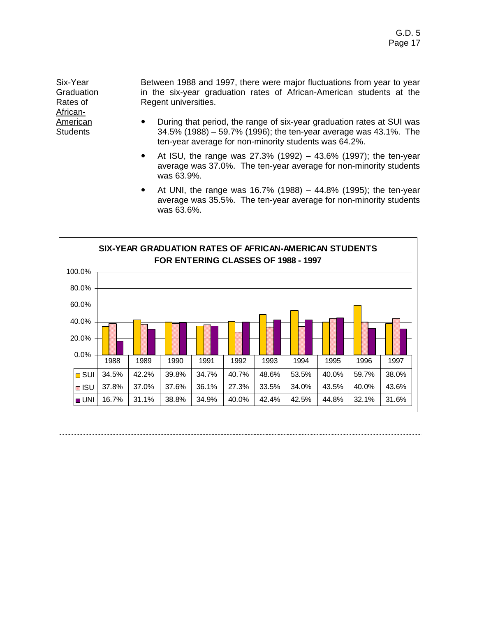Six-Year **Graduation** Rates of African-American **Students** 

Between 1988 and 1997, there were major fluctuations from year to year in the six-year graduation rates of African-American students at the Regent universities.

- ! During that period, the range of six-year graduation rates at SUI was 34.5% (1988) – 59.7% (1996); the ten-year average was 43.1%. The ten-year average for non-minority students was 64.2%.
- At ISU, the range was 27.3% (1992) 43.6% (1997); the ten-year average was 37.0%. The ten-year average for non-minority students was 63.9%.
- ! At UNI, the range was 16.7% (1988) 44.8% (1995); the ten-year average was 35.5%. The ten-year average for non-minority students was 63.6%.

![](_page_16_Figure_6.jpeg)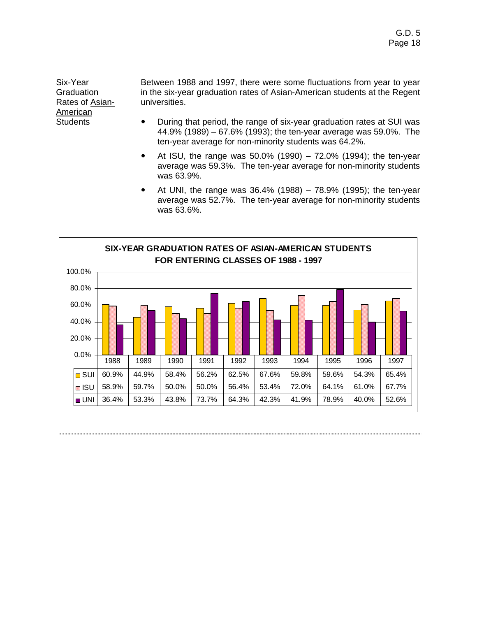Six-Year **Graduation** Rates of Asian-American **Students** 

Between 1988 and 1997, there were some fluctuations from year to year in the six-year graduation rates of Asian-American students at the Regent universities.

- ! During that period, the range of six-year graduation rates at SUI was 44.9% (1989) – 67.6% (1993); the ten-year average was 59.0%. The ten-year average for non-minority students was 64.2%.
- At ISU, the range was  $50.0\%$  (1990) 72.0% (1994); the ten-year average was 59.3%. The ten-year average for non-minority students was 63.9%.
- ! At UNI, the range was 36.4% (1988) 78.9% (1995); the ten-year average was 52.7%. The ten-year average for non-minority students was 63.6%.

![](_page_17_Figure_6.jpeg)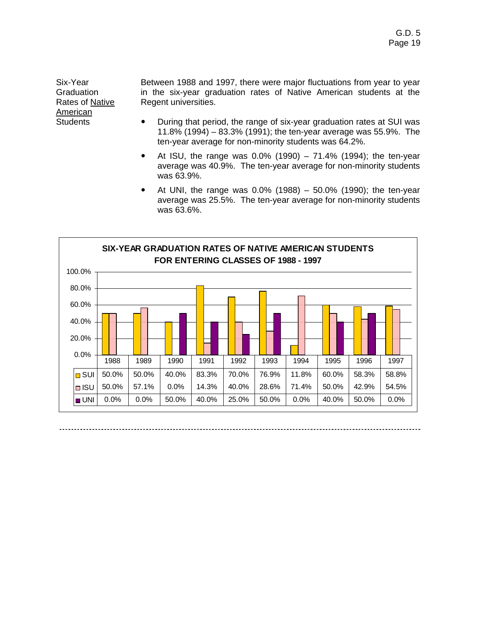Six-Year **Graduation** Rates of Native American **Students** 

Between 1988 and 1997, there were major fluctuations from year to year in the six-year graduation rates of Native American students at the Regent universities.

- ! During that period, the range of six-year graduation rates at SUI was 11.8% (1994) – 83.3% (1991); the ten-year average was 55.9%. The ten-year average for non-minority students was 64.2%.
- At ISU, the range was  $0.0\%$  (1990) 71.4% (1994); the ten-year average was 40.9%. The ten-year average for non-minority students was 63.9%.
- At UNI, the range was  $0.0\%$  (1988) 50.0% (1990); the ten-year average was 25.5%. The ten-year average for non-minority students was 63.6%.

![](_page_18_Figure_6.jpeg)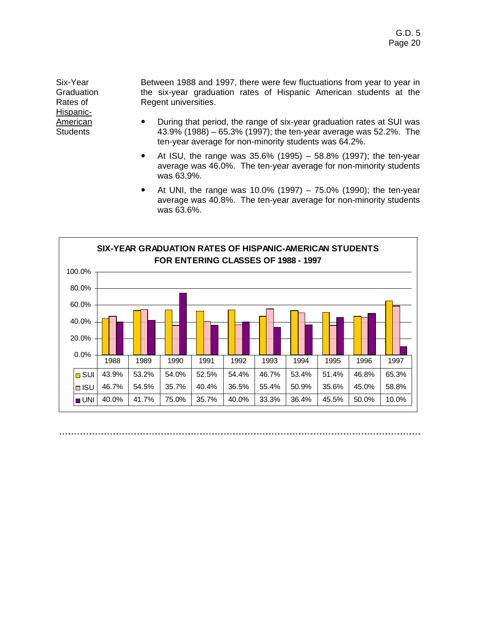Six-Year **Graduation** Rates of Hispanic-American **Students** 

Between 1988 and 1997, there were few fluctuations from year to year in the six-year graduation rates of Hispanic American students at the Regent universities.

- ! During that period, the range of six-year graduation rates at SUI was 43.9% (1988) – 65.3% (1997); the ten-year average was 52.2%. The ten-year average for non-minority students was 64.2%.
- At ISU, the range was  $35.6\%$  (1995) 58.8% (1997); the ten-year average was 46.0%. The ten-year average for non-minority students was 63.9%.
- At UNI, the range was  $10.0\%$  (1997) 75.0% (1990); the ten-year average was 40.8%. The ten-year average for non-minority students was 63.6%.

![](_page_19_Figure_6.jpeg)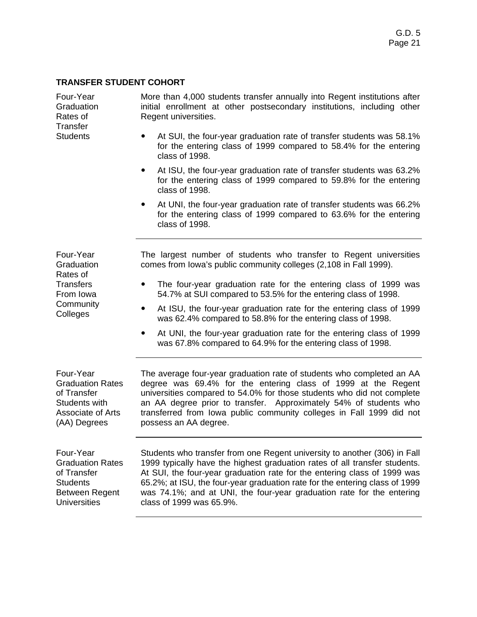#### **TRANSFER STUDENT COHORT**

÷,

| Four-Year<br>Graduation<br>Rates of<br><b>Transfer</b>                                                           | More than 4,000 students transfer annually into Regent institutions after<br>initial enrollment at other postsecondary institutions, including other<br>Regent universities.                                                                                                                                                                                                                                            |
|------------------------------------------------------------------------------------------------------------------|-------------------------------------------------------------------------------------------------------------------------------------------------------------------------------------------------------------------------------------------------------------------------------------------------------------------------------------------------------------------------------------------------------------------------|
| <b>Students</b>                                                                                                  | At SUI, the four-year graduation rate of transfer students was 58.1%<br>for the entering class of 1999 compared to 58.4% for the entering<br>class of 1998.                                                                                                                                                                                                                                                             |
|                                                                                                                  | At ISU, the four-year graduation rate of transfer students was 63.2%<br>٠<br>for the entering class of 1999 compared to 59.8% for the entering<br>class of 1998.                                                                                                                                                                                                                                                        |
|                                                                                                                  | At UNI, the four-year graduation rate of transfer students was 66.2%<br>٠<br>for the entering class of 1999 compared to 63.6% for the entering<br>class of 1998.                                                                                                                                                                                                                                                        |
| Four-Year<br>Graduation<br>Rates of                                                                              | The largest number of students who transfer to Regent universities<br>comes from Iowa's public community colleges (2,108 in Fall 1999).                                                                                                                                                                                                                                                                                 |
| <b>Transfers</b><br>From Iowa                                                                                    | The four-year graduation rate for the entering class of 1999 was<br>54.7% at SUI compared to 53.5% for the entering class of 1998.                                                                                                                                                                                                                                                                                      |
| Community<br>Colleges                                                                                            | At ISU, the four-year graduation rate for the entering class of 1999<br>$\bullet$<br>was 62.4% compared to 58.8% for the entering class of 1998.                                                                                                                                                                                                                                                                        |
|                                                                                                                  | At UNI, the four-year graduation rate for the entering class of 1999<br>$\bullet$<br>was 67.8% compared to 64.9% for the entering class of 1998.                                                                                                                                                                                                                                                                        |
| Four-Year<br><b>Graduation Rates</b><br>of Transfer<br>Students with<br><b>Associate of Arts</b><br>(AA) Degrees | The average four-year graduation rate of students who completed an AA<br>degree was 69.4% for the entering class of 1999 at the Regent<br>universities compared to 54.0% for those students who did not complete<br>an AA degree prior to transfer. Approximately 54% of students who<br>transferred from Iowa public community colleges in Fall 1999 did not<br>possess an AA degree.                                  |
| Four-Year<br><b>Graduation Rates</b><br>of Transfer<br><b>Students</b><br>Between Regent<br><b>Universities</b>  | Students who transfer from one Regent university to another (306) in Fall<br>1999 typically have the highest graduation rates of all transfer students.<br>At SUI, the four-year graduation rate for the entering class of 1999 was<br>65.2%; at ISU, the four-year graduation rate for the entering class of 1999<br>was 74.1%; and at UNI, the four-year graduation rate for the entering<br>class of 1999 was 65.9%. |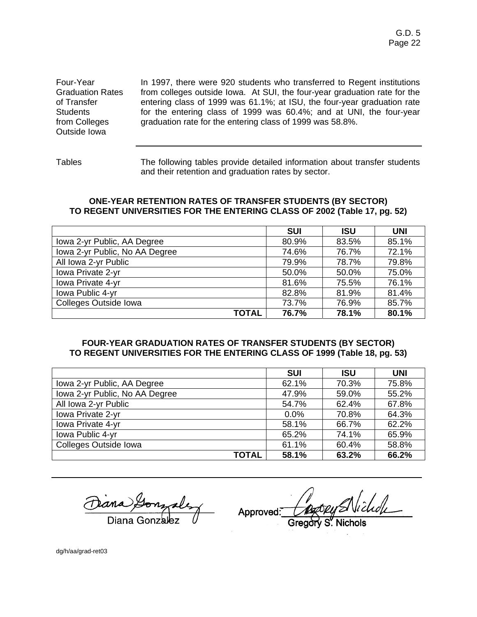Four-Year Graduation Rates of Transfer **Students** from Colleges Outside Iowa

In 1997, there were 920 students who transferred to Regent institutions from colleges outside Iowa. At SUI, the four-year graduation rate for the entering class of 1999 was 61.1%; at ISU, the four-year graduation rate for the entering class of 1999 was 60.4%; and at UNI, the four-year graduation rate for the entering class of 1999 was 58.8%.

Tables The following tables provide detailed information about transfer students and their retention and graduation rates by sector.

#### **ONE-YEAR RETENTION RATES OF TRANSFER STUDENTS (BY SECTOR) TO REGENT UNIVERSITIES FOR THE ENTERING CLASS OF 2002 (Table 17, pg. 52)**

|                                | <b>SUI</b> | <b>ISU</b> | <b>UNI</b> |
|--------------------------------|------------|------------|------------|
| Iowa 2-yr Public, AA Degree    | 80.9%      | 83.5%      | 85.1%      |
| Iowa 2-yr Public, No AA Degree | 74.6%      | 76.7%      | 72.1%      |
| All Iowa 2-yr Public           | 79.9%      | 78.7%      | 79.8%      |
| Iowa Private 2-yr              | 50.0%      | 50.0%      | 75.0%      |
| Iowa Private 4-yr              | 81.6%      | 75.5%      | 76.1%      |
| Iowa Public 4-yr               | 82.8%      | 81.9%      | 81.4%      |
| Colleges Outside Iowa          | 73.7%      | 76.9%      | 85.7%      |
| <b>TOTAL</b>                   | 76.7%      | 78.1%      | 80.1%      |

#### **FOUR-YEAR GRADUATION RATES OF TRANSFER STUDENTS (BY SECTOR) TO REGENT UNIVERSITIES FOR THE ENTERING CLASS OF 1999 (Table 18, pg. 53)**

|                                | <b>SUI</b> | <b>ISU</b> | <b>UNI</b> |
|--------------------------------|------------|------------|------------|
| Iowa 2-yr Public, AA Degree    | 62.1%      | 70.3%      | 75.8%      |
| Iowa 2-yr Public, No AA Degree | 47.9%      | 59.0%      | 55.2%      |
| All Iowa 2-yr Public           | 54.7%      | 62.4%      | 67.8%      |
| Iowa Private 2-yr              | $0.0\%$    | 70.8%      | 64.3%      |
| Iowa Private 4-yr              | 58.1%      | 66.7%      | 62.2%      |
| Iowa Public 4-yr               | 65.2%      | 74.1%      | 65.9%      |
| Colleges Outside Iowa          | 61.1%      | 60.4%      | 58.8%      |
| TOTAL                          | 58.1%      | 63.2%      | 66.2%      |

Approved:

dg/h/aa/grad-ret03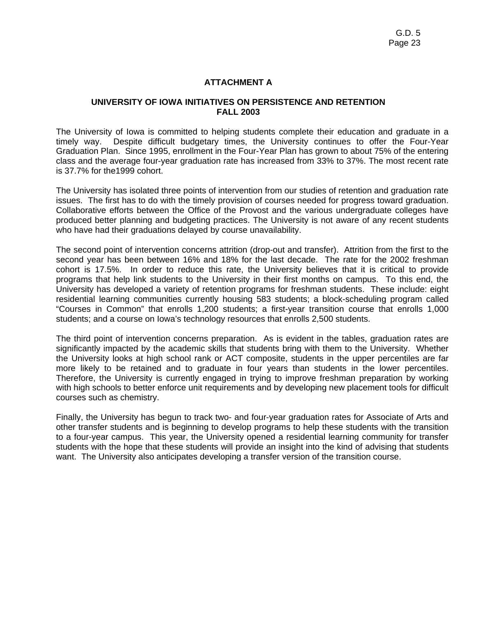#### **ATTACHMENT A**

#### **UNIVERSITY OF IOWA INITIATIVES ON PERSISTENCE AND RETENTION FALL 2003**

The University of Iowa is committed to helping students complete their education and graduate in a timely way. Despite difficult budgetary times, the University continues to offer the Four-Year Graduation Plan. Since 1995, enrollment in the Four-Year Plan has grown to about 75% of the entering class and the average four-year graduation rate has increased from 33% to 37%. The most recent rate is 37.7% for the1999 cohort.

The University has isolated three points of intervention from our studies of retention and graduation rate issues. The first has to do with the timely provision of courses needed for progress toward graduation. Collaborative efforts between the Office of the Provost and the various undergraduate colleges have produced better planning and budgeting practices. The University is not aware of any recent students who have had their graduations delayed by course unavailability.

The second point of intervention concerns attrition (drop-out and transfer). Attrition from the first to the second year has been between 16% and 18% for the last decade. The rate for the 2002 freshman cohort is 17.5%. In order to reduce this rate, the University believes that it is critical to provide programs that help link students to the University in their first months on campus. To this end, the University has developed a variety of retention programs for freshman students. These include: eight residential learning communities currently housing 583 students; a block-scheduling program called "Courses in Common" that enrolls 1,200 students; a first-year transition course that enrolls 1,000 students; and a course on Iowa's technology resources that enrolls 2,500 students.

The third point of intervention concerns preparation. As is evident in the tables, graduation rates are significantly impacted by the academic skills that students bring with them to the University. Whether the University looks at high school rank or ACT composite, students in the upper percentiles are far more likely to be retained and to graduate in four years than students in the lower percentiles. Therefore, the University is currently engaged in trying to improve freshman preparation by working with high schools to better enforce unit requirements and by developing new placement tools for difficult courses such as chemistry.

Finally, the University has begun to track two- and four-year graduation rates for Associate of Arts and other transfer students and is beginning to develop programs to help these students with the transition to a four-year campus. This year, the University opened a residential learning community for transfer students with the hope that these students will provide an insight into the kind of advising that students want. The University also anticipates developing a transfer version of the transition course.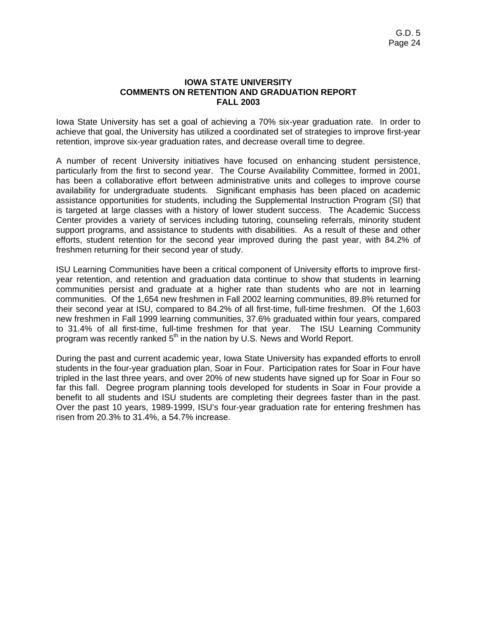#### **IOWA STATE UNIVERSITY COMMENTS ON RETENTION AND GRADUATION REPORT FALL 2003**

Iowa State University has set a goal of achieving a 70% six-year graduation rate. In order to achieve that goal, the University has utilized a coordinated set of strategies to improve first-year retention, improve six-year graduation rates, and decrease overall time to degree.

A number of recent University initiatives have focused on enhancing student persistence, particularly from the first to second year. The Course Availability Committee, formed in 2001, has been a collaborative effort between administrative units and colleges to improve course availability for undergraduate students. Significant emphasis has been placed on academic assistance opportunities for students, including the Supplemental Instruction Program (SI) that is targeted at large classes with a history of lower student success. The Academic Success Center provides a variety of services including tutoring, counseling referrals, minority student support programs, and assistance to students with disabilities. As a result of these and other efforts, student retention for the second year improved during the past year, with 84.2% of freshmen returning for their second year of study.

ISU Learning Communities have been a critical component of University efforts to improve firstyear retention, and retention and graduation data continue to show that students in learning communities persist and graduate at a higher rate than students who are not in learning communities. Of the 1,654 new freshmen in Fall 2002 learning communities, 89.8% returned for their second year at ISU, compared to 84.2% of all first-time, full-time freshmen. Of the 1,603 new freshmen in Fall 1999 learning communities, 37.6% graduated within four years, compared to 31.4% of all first-time, full-time freshmen for that year. The ISU Learning Community program was recently ranked  $5<sup>th</sup>$  in the nation by U.S. News and World Report.

During the past and current academic year, Iowa State University has expanded efforts to enroll students in the four-year graduation plan, Soar in Four. Participation rates for Soar in Four have tripled in the last three years, and over 20% of new students have signed up for Soar in Four so far this fall. Degree program planning tools developed for students in Soar in Four provide a benefit to all students and ISU students are completing their degrees faster than in the past. Over the past 10 years, 1989-1999, ISU's four-year graduation rate for entering freshmen has risen from 20.3% to 31.4%, a 54.7% increase.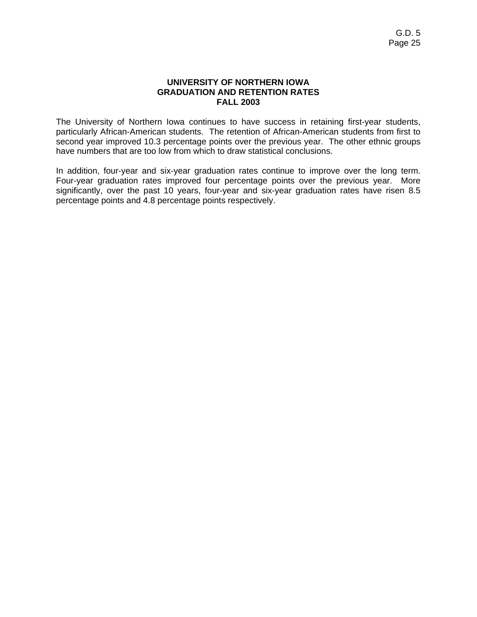#### **UNIVERSITY OF NORTHERN IOWA GRADUATION AND RETENTION RATES FALL 2003**

The University of Northern Iowa continues to have success in retaining first-year students, particularly African-American students. The retention of African-American students from first to second year improved 10.3 percentage points over the previous year. The other ethnic groups have numbers that are too low from which to draw statistical conclusions.

In addition, four-year and six-year graduation rates continue to improve over the long term. Four-year graduation rates improved four percentage points over the previous year. More significantly, over the past 10 years, four-year and six-year graduation rates have risen 8.5 percentage points and 4.8 percentage points respectively.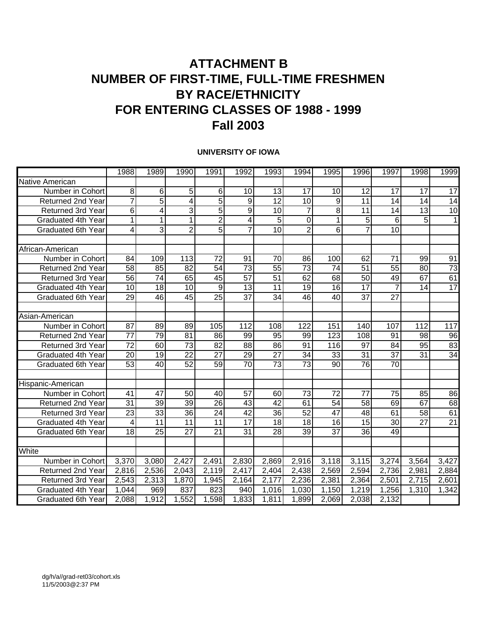### **ATTACHMENT B NUMBER OF FIRST-TIME, FULL-TIME FRESHMEN BY RACE/ETHNICITY FOR ENTERING CLASSES OF 1988 - 1999 Fall 2003**

#### **UNIVERSITY OF IOWA**

|                           | 1988            | 1989            | 1990            | 1991            | 1992                    | 1993            | 1994             | 1995             | 1996            | 1997            | 1998             | 1999            |
|---------------------------|-----------------|-----------------|-----------------|-----------------|-------------------------|-----------------|------------------|------------------|-----------------|-----------------|------------------|-----------------|
| Native American           |                 |                 |                 |                 |                         |                 |                  |                  |                 |                 |                  |                 |
| Number in Cohort          | 8               | 6               | 5               | 6               | 10                      | 13              | 17               | 10               | 12              | 17              | 17               | 17              |
| <b>Returned 2nd Year</b>  | $\overline{7}$  | $\overline{5}$  | 4               | 5               | 9                       | $\overline{12}$ | $\overline{10}$  | 9                | 11              | 14              | 14               | 14              |
| Returned 3rd Year         | 6               | $\overline{4}$  | 3               | $\overline{5}$  | 9                       | $\overline{10}$ | $\overline{7}$   | 8                | 11              | 14              | 13               | $\overline{10}$ |
| Graduated 4th Year        | 1               | $\mathbf{1}$    | $\mathbf{1}$    | $\overline{c}$  | $\overline{\mathbf{4}}$ | 5               | 0                | $\mathbf{1}$     | 5               | 6               | 5                | 1               |
| <b>Graduated 6th Year</b> | 4               | $\overline{3}$  | $\overline{2}$  | $\overline{5}$  | $\overline{7}$          | 10              | $\overline{2}$   | $\overline{6}$   | $\overline{7}$  | $\overline{10}$ |                  |                 |
| African-American          |                 |                 |                 |                 |                         |                 |                  |                  |                 |                 |                  |                 |
| Number in Cohort          | 84              | 109             | 113             | 72              | 91                      | 70              | 86               | 100              | 62              | 71              | 99               | 91              |
| <b>Returned 2nd Year</b>  | $\overline{58}$ | 85              | $\overline{82}$ | $\overline{54}$ | $\overline{73}$         | 55              | $\overline{73}$  | $\overline{74}$  | $\overline{51}$ | 55              | 80               | $\overline{73}$ |
| <b>Returned 3rd Year</b>  | $\overline{56}$ | 74              | 65              | 45              | $\overline{57}$         | 51              | 62               | 68               | 50              | 49              | 67               | 61              |
| Graduated 4th Year        | 10              | 18              | 10              | 9               | 13                      | 11              | 19               | 16               | $\overline{17}$ | $\overline{7}$  | 14               | 17              |
| <b>Graduated 6th Year</b> | $\overline{29}$ | 46              | $\overline{45}$ | $\overline{25}$ | $\overline{37}$         | $\overline{34}$ | 46               | 40               | $\overline{37}$ | $\overline{27}$ |                  |                 |
| Asian-American            |                 |                 |                 |                 |                         |                 |                  |                  |                 |                 |                  |                 |
| Number in Cohort          | $\overline{87}$ | 89              | 89              | 105             | $\overline{112}$        | 108             | $\overline{122}$ | 151              | 140             | 107             | $\overline{112}$ | 117             |
| <b>Returned 2nd Year</b>  | $\overline{77}$ | 79              | $\overline{81}$ | 86              | 99                      | 95              | 99               | $\overline{123}$ | 108             | 91              | 98               | 96              |
| Returned 3rd Year         | $\overline{72}$ | 60              | $\overline{73}$ | 82              | $\overline{88}$         | $\overline{86}$ | $\overline{91}$  | 116              | $\overline{97}$ | $\overline{84}$ | $\overline{95}$  | 83              |
| Graduated 4th Year        | 20              | $\overline{19}$ | $\overline{22}$ | $\overline{27}$ | 29                      | $\overline{27}$ | $\overline{34}$  | 33               | $\overline{31}$ | $\overline{37}$ | $\overline{31}$  | 34              |
| <b>Graduated 6th Year</b> | $\overline{53}$ | 40              | 52              | 59              | $\overline{70}$         | 73              | 73               | 90               | 76              | 70              |                  |                 |
| Hispanic-American         |                 |                 |                 |                 |                         |                 |                  |                  |                 |                 |                  |                 |
| Number in Cohort          | 41              | 47              | 50              | 40              | 57                      | 60              | 73               | 72               | 77              | 75              | 85               | 86              |
| Returned 2nd Year         | $\overline{31}$ | $\overline{39}$ | 39              | $\overline{26}$ | $\overline{43}$         | $\overline{42}$ | 61               | $\overline{54}$  | $\overline{58}$ | 69              | 67               | 68              |
| Returned 3rd Year         | $\overline{23}$ | $\overline{33}$ | $\overline{36}$ | $\overline{24}$ | $\overline{42}$         | $\overline{36}$ | 52               | $\overline{47}$  | $\overline{48}$ | 61              | $\overline{58}$  | 61              |
| Graduated 4th Year        | $\overline{4}$  | $\overline{11}$ | $\overline{11}$ | $\overline{11}$ | $\overline{17}$         | 18              | $\overline{18}$  | 16               | $\overline{15}$ | $\overline{30}$ | $\overline{27}$  | 21              |
| <b>Graduated 6th Year</b> | 18              | 25              | $\overline{27}$ | 21              | 31                      | 28              | 39               | 37               | 36              | 49              |                  |                 |
|                           |                 |                 |                 |                 |                         |                 |                  |                  |                 |                 |                  |                 |
| White                     |                 |                 |                 |                 |                         |                 |                  |                  |                 |                 |                  |                 |
| Number in Cohort          | 3,370           | 3,080           | 2,427           | 2,491           | 2,830                   | 2,869           | 2,916            | 3,118            | 3,115           | 3,274           | 3,564            | 3,427           |
| Returned 2nd Year         | 2,816           | 2,536           | 2,043           | 2,119           | 2,417                   | 2,404           | 2,438            | 2,569            | 2,594           | 2,736           | 2,981            | 2,884           |
| <b>Returned 3rd Year</b>  | 2,543           | 2,313           | 1,870           | 1,945           | 2,164                   | 2,177           | 2,236            | 2,381            | 2,364           | 2,501           | 2,715            | 2,601           |
| Graduated 4th Year        | 1,044           | 969             | 837             | 823             | 940                     | 1,016           | 1,030            | 1,150            | 1,219           | 1,256           | 1,310            | 1,342           |
| <b>Graduated 6th Year</b> | 2,088           | 1,912           | 1,552           | 1,598           | 1,833                   | 1,811           | 1,899            | 2,069            | 2,038           | 2,132           |                  |                 |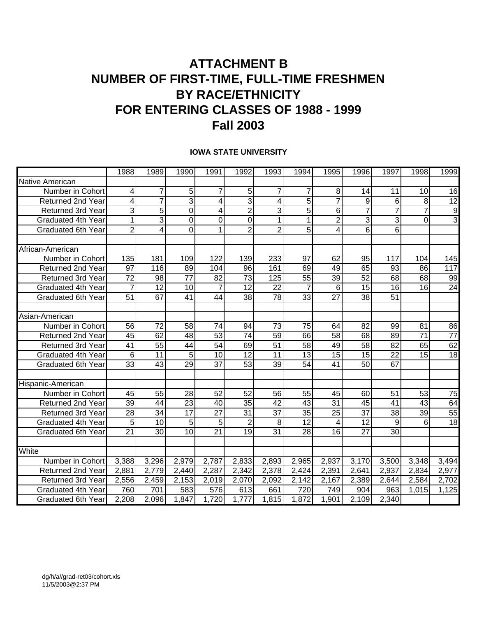### **ATTACHMENT B NUMBER OF FIRST-TIME, FULL-TIME FRESHMEN BY RACE/ETHNICITY FOR ENTERING CLASSES OF 1988 - 1999 Fall 2003**

#### **IOWA STATE UNIVERSITY**

|                           | 1988            | 1989            | 1990            | 1991            | 1992            | 1993               | 1994            | 1995                    | 1996            | 1997            | 1998            | 1999            |
|---------------------------|-----------------|-----------------|-----------------|-----------------|-----------------|--------------------|-----------------|-------------------------|-----------------|-----------------|-----------------|-----------------|
| Native American           |                 |                 |                 |                 |                 |                    |                 |                         |                 |                 |                 |                 |
| Number in Cohort          | 4               | $\overline{7}$  | 5               | $\overline{7}$  | 5               | $\overline{7}$     | 7               | 8                       | 14              | 11              | 10              | 16              |
| <b>Returned 2nd Year</b>  | 4               | $\overline{7}$  | 3               | 4               | 3               | 4                  | $\overline{5}$  | $\overline{7}$          | $\overline{9}$  | 6               | 8               | 12              |
| <b>Returned 3rd Year</b>  | 3               | $\overline{5}$  | $\mathbf 0$     | 4               | $\overline{2}$  | 3                  | $\overline{5}$  | $6 \overline{}$         | $\overline{7}$  | $\overline{7}$  | $\overline{7}$  | $\overline{9}$  |
| Graduated 4th Year        | $\mathbf{1}$    | 3               | $\mathbf 0$     | $\mathbf 0$     | $\overline{0}$  | $\mathbf{1}$       | 1               | $\overline{2}$          | ω               | 3               | 0               | $\overline{3}$  |
| Graduated 6th Year        | $\overline{2}$  | $\overline{4}$  | $\overline{0}$  | 1               | $\overline{2}$  | $\overline{2}$     | $\overline{5}$  | $\overline{\mathbf{4}}$ | $\overline{6}$  | $\overline{6}$  |                 |                 |
| African-American          |                 |                 |                 |                 |                 |                    |                 |                         |                 |                 |                 |                 |
| Number in Cohort          | 135             | 181             | 109             | 122             | 139             | 233                | 97              | 62                      | 95              | 117             | 104             | 145             |
| Returned 2nd Year         | $\overline{97}$ | 116             | 89              | 104             | 96              | 161                | 69              | 49                      | 65              | 93              | 86              | 117             |
| <b>Returned 3rd Year</b>  | $\overline{72}$ | 98              | 77              | 82              | 73              | 125                | $\overline{55}$ | 39                      | $\overline{52}$ | 68              | 68              | 99              |
| Graduated 4th Year        | $\overline{7}$  | $\overline{12}$ | 10              | $\overline{7}$  | 12              | 22                 | $\overline{7}$  | 6                       | $\overline{15}$ | 16              | 16              | 24              |
| <b>Graduated 6th Year</b> | $\overline{51}$ | 67              | 41              | 44              | $\overline{38}$ | $\overline{78}$    | $\overline{33}$ | $\overline{27}$         | $\overline{38}$ | $\overline{51}$ |                 |                 |
| Asian-American            |                 |                 |                 |                 |                 |                    |                 |                         |                 |                 |                 |                 |
| Number in Cohort          | $\overline{56}$ | $\overline{72}$ | $\overline{58}$ | $\overline{74}$ | 94              | $\overline{73}$    | $\overline{75}$ | 64                      | $\overline{82}$ | 99              | $\overline{81}$ | 86              |
| <b>Returned 2nd Year</b>  | 45              | 62              | 48              | 53              | $\overline{74}$ | $\overline{59}$    | 66              | $\overline{58}$         | 68              | 89              | $\overline{71}$ | $\overline{77}$ |
| <b>Returned 3rd Year</b>  | $\overline{41}$ | $\overline{55}$ | $\overline{44}$ | 54              | 69              | 51                 | $\overline{58}$ | 49                      | 58              | $\overline{82}$ | 65              | 62              |
| <b>Graduated 4th Year</b> | $6\phantom{1}6$ | $\overline{11}$ | $\overline{5}$  | $\overline{10}$ | $\overline{12}$ | $\overline{11}$    | $\overline{13}$ | 15                      | $\overline{15}$ | $\overline{22}$ | $\overline{15}$ | 18              |
| <b>Graduated 6th Year</b> | 33              | 43              | 29              | 37              | 53              | 39                 | 54              | 41                      | 50              | 67              |                 |                 |
| Hispanic-American         |                 |                 |                 |                 |                 |                    |                 |                         |                 |                 |                 |                 |
| Number in Cohort          | 45              | 55              | 28              | 52              | 52              | 56                 | 55              | 45                      | 60              | 51              | 53              | 75              |
| Returned 2nd Year         | $\overline{39}$ | 44              | $\overline{23}$ | 40              | $\overline{35}$ | $\overline{42}$    | $\overline{43}$ | $\overline{31}$         | 45              | 41              | $\overline{43}$ | 64              |
| Returned 3rd Year         | $\overline{28}$ | 34              | $\overline{17}$ | $\overline{27}$ | $\overline{31}$ | $\overline{37}$    | $\overline{35}$ | $\overline{25}$         | $\overline{37}$ | $\overline{38}$ | 39              | 55              |
| Graduated 4th Year        | 5               | 10              | 5               | 5               | $\overline{2}$  | 8                  | $\overline{12}$ | 4                       | $\overline{12}$ | 9               | 6               | $\overline{18}$ |
| <b>Graduated 6th Year</b> | 21              | 30              | 10              | 21              | 19              | 31                 | 28              | 16                      | 27              | 30              |                 |                 |
|                           |                 |                 |                 |                 |                 |                    |                 |                         |                 |                 |                 |                 |
| White                     |                 |                 |                 |                 |                 |                    |                 |                         |                 |                 |                 |                 |
| Number in Cohort          | 3,388           | 3,296           | 2,979           | 2,787           | 2,833           | 2,893              | 2,965           | 2,937                   | 3,170           | 3,500           | 3,348           | 3,494           |
| Returned 2nd Year         | 2,881           | 2,779           | 2,440           | 2,287           | 2,342           | $\overline{2,378}$ | 2,424           | 2,391                   | 2,641           | 2,937           | 2,834           | 2,977           |
| <b>Returned 3rd Year</b>  | 2,556           | 2,459           | 2,153           | 2,019           | 2,070           | 2,092              | 2,142           | 2,167                   | 2,389           | 2,644           | 2,584           | 2,702           |
| Graduated 4th Year        | 760             | 701             | 583             | 576             | 613             | 661                | 720             | 749                     | 904             | 963             | 1,015           | 1,125           |
| <b>Graduated 6th Year</b> | 2,208           | 2,096           | 1,847           | 1,720           | 1,777           | 1,815              | 1,872           | 1,901                   | 2,109           | 2,340           |                 |                 |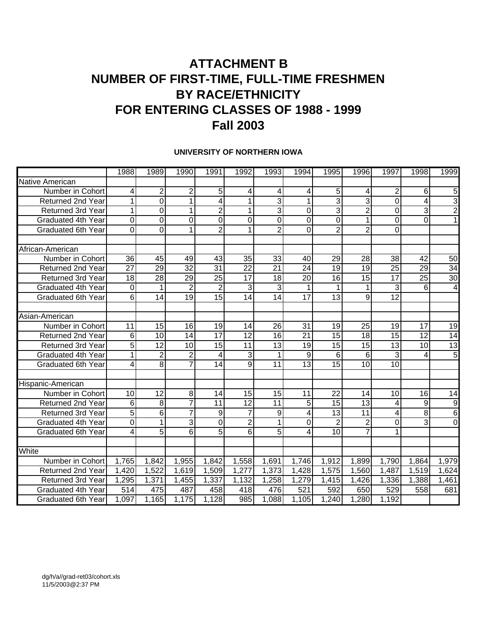### **ATTACHMENT B NUMBER OF FIRST-TIME, FULL-TIME FRESHMEN BY RACE/ETHNICITY FOR ENTERING CLASSES OF 1988 - 1999 Fall 2003**

#### **UNIVERSITY OF NORTHERN IOWA**

|                           | 1988            | 1989            | 1990            | 1991            | 1992            | 1993            | 1994            | 1995            | 1996            | 1997            | 1998            | 1999            |
|---------------------------|-----------------|-----------------|-----------------|-----------------|-----------------|-----------------|-----------------|-----------------|-----------------|-----------------|-----------------|-----------------|
| Native American           |                 |                 |                 |                 |                 |                 |                 |                 |                 |                 |                 |                 |
| Number in Cohort          | 4               | $\overline{2}$  | 2               | 5               | 4               | 4               | 4               | 5 <sup>1</sup>  | 4               | $\overline{2}$  | 6               | 5               |
| <b>Returned 2nd Year</b>  | 1               | $\mathbf 0$     | 1               | 4               | $\mathbf 1$     | 3               | 1               | $\overline{3}$  | 3               | 0               | 4               | 3               |
| Returned 3rd Year         | $\mathbf{1}$    | $\overline{0}$  | $\overline{1}$  | $\overline{2}$  | $\mathbf{1}$    | $\overline{3}$  | $\mathbf 0$     | $\overline{3}$  | $\overline{2}$  | $\overline{0}$  | 3               | $\overline{2}$  |
| Graduated 4th Year        | 0               | $\mathbf 0$     | 0               | $\mathbf 0$     | $\mathbf 0$     | $\mathbf 0$     | 0               | $\overline{0}$  | 1               | 0               | 0               |                 |
| <b>Graduated 6th Year</b> | $\overline{0}$  | $\overline{0}$  | 1               | $\overline{2}$  | $\mathbf{1}$    | $\overline{2}$  | $\overline{0}$  | $\overline{2}$  | $\overline{2}$  | 0               |                 |                 |
| African-American          |                 |                 |                 |                 |                 |                 |                 |                 |                 |                 |                 |                 |
| Number in Cohort          | 36              | 45              | 49              | 43              | 35              | 33              | 40              | 29              | 28              | 38              | 42              | 50              |
| <b>Returned 2nd Year</b>  | $\overline{27}$ | $\overline{29}$ | $\overline{32}$ | 31              | 22              | 21              | 24              | 19              | 19              | 25              | 29              | $\overline{34}$ |
| Returned 3rd Year         | 18              | $\overline{28}$ | $\overline{29}$ | $\overline{25}$ | $\overline{17}$ | 18              | 20              | 16              | $\overline{15}$ | $\overline{17}$ | 25              | $\overline{30}$ |
| Graduated 4th Year        | $\mathbf 0$     | 1               | $\overline{2}$  | $\overline{2}$  | 3               | 3               | 1               | 1               | 1               | 3               | 6               | 4               |
| Graduated 6th Year        | 6               | $\overline{14}$ | $\overline{19}$ | $\overline{15}$ | 14              | 14              | 17              | 13              | 9               | $\overline{12}$ |                 |                 |
| Asian-American            |                 |                 |                 |                 |                 |                 |                 |                 |                 |                 |                 |                 |
| Number in Cohort          | $\overline{11}$ | $\overline{15}$ | 16              | $\overline{19}$ | 14              | $\overline{26}$ | $\overline{31}$ | 19              | $\overline{25}$ | $\overline{19}$ | $\overline{17}$ | $\overline{19}$ |
| <b>Returned 2nd Year</b>  | 6               | 10              | 14              | $\overline{17}$ | $\overline{12}$ | 16              | $\overline{21}$ | $\overline{15}$ | 18              | $\overline{15}$ | $\overline{12}$ | 14              |
| <b>Returned 3rd Year</b>  | $\overline{5}$  | $\overline{12}$ | $\overline{10}$ | $\overline{15}$ | $\overline{11}$ | $\overline{13}$ | $\overline{19}$ | 15              | 15              | 13              | $\overline{10}$ | 13              |
| Graduated 4th Year        | 1               | $\overline{2}$  | $\overline{2}$  | 4               | 3               | 1               | $\overline{9}$  | 6               | 6               | 3               | 4               | 5               |
| <b>Graduated 6th Year</b> | 4               | 8               | 7               | 14              | 9               | 11              | 13              | 15              | 10              | 10              |                 |                 |
| Hispanic-American         |                 |                 |                 |                 |                 |                 |                 |                 |                 |                 |                 |                 |
| Number in Cohort          | $\overline{10}$ | $\overline{12}$ | 8               | 14              | $\overline{15}$ | 15              | 11              | $\overline{22}$ | 14              | 10              | 16              | 14              |
| <b>Returned 2nd Year</b>  | 6               | 8               | $\overline{7}$  | 11              | 12              | 11              | 5               | 15              | 13              | 4               | 9               | 9               |
| <b>Returned 3rd Year</b>  | $\overline{5}$  | $\overline{6}$  | 7               | 9               | $\overline{7}$  | $9\,$           | 4               | 13              | $\overline{11}$ | 4               | 8               | 6               |
| <b>Graduated 4th Year</b> | 0               | $\mathbf{1}$    | 3               | 0               | $\overline{2}$  | 1               | 0               | $\overline{2}$  | $\overline{2}$  | 0               | 3               | $\mathbf 0$     |
| <b>Graduated 6th Year</b> | 4               | $\overline{5}$  | 6               | $\overline{5}$  | 6               | $\overline{5}$  | 4               | 10              | 7               | 1               |                 |                 |
| White                     |                 |                 |                 |                 |                 |                 |                 |                 |                 |                 |                 |                 |
| Number in Cohort          | 1,765           | 1,842           | 1,955           | 1,842           | 1,558           | 1,691           | 1,746           | 1,912           | 1,899           | 1,790           | 1,864           | 1,979           |
| <b>Returned 2nd Year</b>  | 1,420           | 1,522           | 1,619           | 1,509           | 1,277           | 1,373           | 1,428           | 1,575           | 1,560           | 1,487           | 1,519           | 1,624           |
| <b>Returned 3rd Year</b>  | 1,295           | 1,371           | 1,455           | 1,337           | 1,132           | 1,258           | 1,279           | 1,415           | 1,426           | 1,336           | 1,388           | 1,461           |
| <b>Graduated 4th Year</b> | 514             | 475             | 487             | 458             | 418             | 476             | 521             | 592             | 650             | 529             | 558             | 681             |
| <b>Graduated 6th Year</b> | 1,097           | 1,165           | 1,175           | 1,128           | 985             | 1,088           | 1,105           | 1,240           | 1,280           | 1,192           |                 |                 |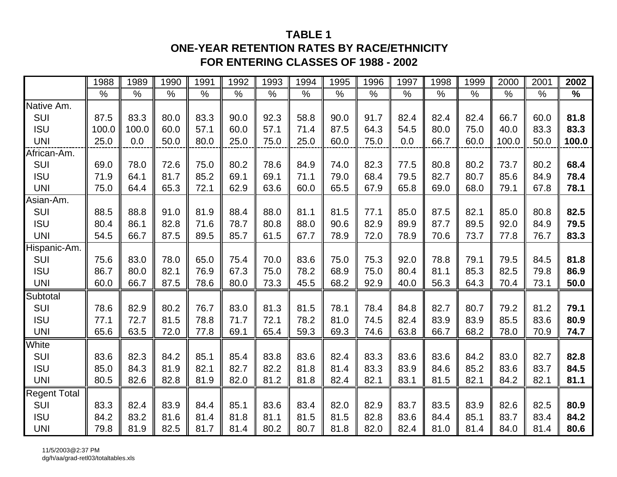#### **TABLE 1**

#### **ONE-YEAR RETENTION RATES BY RACE/ETHNICITY FOR ENTERING CLASSES OF 1988 - 2002**

|                     | 1988  | 1989  | 1990 | 1991 | 1992 | 1993 | 1994 | 1995 | 1996 | 1997          | 1998 | 1999          | 2000  | 2001 | 2002          |
|---------------------|-------|-------|------|------|------|------|------|------|------|---------------|------|---------------|-------|------|---------------|
|                     | $\%$  | $\%$  | $\%$ | $\%$ | $\%$ | $\%$ | $\%$ | $\%$ | $\%$ | $\frac{0}{0}$ | $\%$ | $\frac{0}{0}$ | %     | $\%$ | $\frac{0}{0}$ |
| Native Am.          |       |       |      |      |      |      |      |      |      |               |      |               |       |      |               |
| SUI                 | 87.5  | 83.3  | 80.0 | 83.3 | 90.0 | 92.3 | 58.8 | 90.0 | 91.7 | 82.4          | 82.4 | 82.4          | 66.7  | 60.0 | 81.8          |
| <b>ISU</b>          | 100.0 | 100.0 | 60.0 | 57.1 | 60.0 | 57.1 | 71.4 | 87.5 | 64.3 | 54.5          | 80.0 | 75.0          | 40.0  | 83.3 | 83.3          |
| <b>UNI</b>          | 25.0  | 0.0   | 50.0 | 80.0 | 25.0 | 75.0 | 25.0 | 60.0 | 75.0 | 0.0           | 66.7 | 60.0          | 100.0 | 50.0 | 100.0         |
| African-Am.         |       |       |      |      |      |      |      |      |      |               |      |               |       |      |               |
| <b>SUI</b>          | 69.0  | 78.0  | 72.6 | 75.0 | 80.2 | 78.6 | 84.9 | 74.0 | 82.3 | 77.5          | 80.8 | 80.2          | 73.7  | 80.2 | 68.4          |
| <b>ISU</b>          | 71.9  | 64.1  | 81.7 | 85.2 | 69.1 | 69.1 | 71.1 | 79.0 | 68.4 | 79.5          | 82.7 | 80.7          | 85.6  | 84.9 | 78.4          |
| <b>UNI</b>          | 75.0  | 64.4  | 65.3 | 72.1 | 62.9 | 63.6 | 60.0 | 65.5 | 67.9 | 65.8          | 69.0 | 68.0          | 79.1  | 67.8 | 78.1          |
| Asian-Am.           |       |       |      |      |      |      |      |      |      |               |      |               |       |      |               |
| SUI                 | 88.5  | 88.8  | 91.0 | 81.9 | 88.4 | 88.0 | 81.1 | 81.5 | 77.1 | 85.0          | 87.5 | 82.1          | 85.0  | 80.8 | 82.5          |
| <b>ISU</b>          | 80.4  | 86.1  | 82.8 | 71.6 | 78.7 | 80.8 | 88.0 | 90.6 | 82.9 | 89.9          | 87.7 | 89.5          | 92.0  | 84.9 | 79.5          |
| <b>UNI</b>          | 54.5  | 66.7  | 87.5 | 89.5 | 85.7 | 61.5 | 67.7 | 78.9 | 72.0 | 78.9          | 70.6 | 73.7          | 77.8  | 76.7 | 83.3          |
| Hispanic-Am.        |       |       |      |      |      |      |      |      |      |               |      |               |       |      |               |
| <b>SUI</b>          | 75.6  | 83.0  | 78.0 | 65.0 | 75.4 | 70.0 | 83.6 | 75.0 | 75.3 | 92.0          | 78.8 | 79.1          | 79.5  | 84.5 | 81.8          |
| <b>ISU</b>          | 86.7  | 80.0  | 82.1 | 76.9 | 67.3 | 75.0 | 78.2 | 68.9 | 75.0 | 80.4          | 81.1 | 85.3          | 82.5  | 79.8 | 86.9          |
| <b>UNI</b>          | 60.0  | 66.7  | 87.5 | 78.6 | 80.0 | 73.3 | 45.5 | 68.2 | 92.9 | 40.0          | 56.3 | 64.3          | 70.4  | 73.1 | 50.0          |
| Subtotal            |       |       |      |      |      |      |      |      |      |               |      |               |       |      |               |
| <b>SUI</b>          | 78.6  | 82.9  | 80.2 | 76.7 | 83.0 | 81.3 | 81.5 | 78.1 | 78.4 | 84.8          | 82.7 | 80.7          | 79.2  | 81.2 | 79.1          |
| <b>ISU</b>          | 77.1  | 72.7  | 81.5 | 78.8 | 71.7 | 72.1 | 78.2 | 81.0 | 74.5 | 82.4          | 83.9 | 83.9          | 85.5  | 83.6 | 80.9          |
| <b>UNI</b>          | 65.6  | 63.5  | 72.0 | 77.8 | 69.1 | 65.4 | 59.3 | 69.3 | 74.6 | 63.8          | 66.7 | 68.2          | 78.0  | 70.9 | 74.7          |
| White               |       |       |      |      |      |      |      |      |      |               |      |               |       |      |               |
| SUI                 | 83.6  | 82.3  | 84.2 | 85.1 | 85.4 | 83.8 | 83.6 | 82.4 | 83.3 | 83.6          | 83.6 | 84.2          | 83.0  | 82.7 | 82.8          |
| <b>ISU</b>          | 85.0  | 84.3  | 81.9 | 82.1 | 82.7 | 82.2 | 81.8 | 81.4 | 83.3 | 83.9          | 84.6 | 85.2          | 83.6  | 83.7 | 84.5          |
| <b>UNI</b>          | 80.5  | 82.6  | 82.8 | 81.9 | 82.0 | 81.2 | 81.8 | 82.4 | 82.1 | 83.1          | 81.5 | 82.1          | 84.2  | 82.1 | 81.1          |
| <b>Regent Total</b> |       |       |      |      |      |      |      |      |      |               |      |               |       |      |               |
| <b>SUI</b>          | 83.3  | 82.4  | 83.9 | 84.4 | 85.1 | 83.6 | 83.4 | 82.0 | 82.9 | 83.7          | 83.5 | 83.9          | 82.6  | 82.5 | 80.9          |
| <b>ISU</b>          | 84.2  | 83.2  | 81.6 | 81.4 | 81.8 | 81.1 | 81.5 | 81.5 | 82.8 | 83.6          | 84.4 | 85.1          | 83.7  | 83.4 | 84.2          |
| <b>UNI</b>          | 79.8  | 81.9  | 82.5 | 81.7 | 81.4 | 80.2 | 80.7 | 81.8 | 82.0 | 82.4          | 81.0 | 81.4          | 84.0  | 81.4 | 80.6          |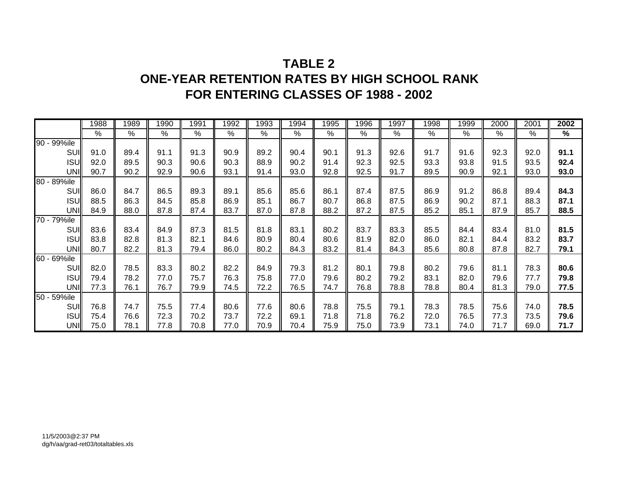### **TABLE 2ONE-YEAR RETENTION RATES BY HIGH SCHOOL RANK FOR ENTERING CLASSES OF 1988 - 2002**

|             | 1988 | 1989 | 1990 | 1991 | 1992 | 1993 | 1994 | 1995 | 1996 | 1997 | 1998 | 1999 | 2000 | 2001 | 2002 |
|-------------|------|------|------|------|------|------|------|------|------|------|------|------|------|------|------|
|             | %    | %    | %    | $\%$ | %    | $\%$ | %    | $\%$ | %    | %    | %    | $\%$ | %    | %    | $\%$ |
| 90 - 99%ile |      |      |      |      |      |      |      |      |      |      |      |      |      |      |      |
| <b>SUI</b>  | 91.0 | 89.4 | 91.1 | 91.3 | 90.9 | 89.2 | 90.4 | 90.1 | 91.3 | 92.6 | 91.7 | 91.6 | 92.3 | 92.0 | 91.1 |
| <b>ISU</b>  | 92.0 | 89.5 | 90.3 | 90.6 | 90.3 | 88.9 | 90.2 | 91.4 | 92.3 | 92.5 | 93.3 | 93.8 | 91.5 | 93.5 | 92.4 |
| UNI         | 90.7 | 90.2 | 92.9 | 90.6 | 93.1 | 91.4 | 93.0 | 92.8 | 92.5 | 91.7 | 89.5 | 90.9 | 92.1 | 93.0 | 93.0 |
| 80 - 89%ile |      |      |      |      |      |      |      |      |      |      |      |      |      |      |      |
| SUI         | 86.0 | 84.7 | 86.5 | 89.3 | 89.1 | 85.6 | 85.6 | 86.1 | 87.4 | 87.5 | 86.9 | 91.2 | 86.8 | 89.4 | 84.3 |
| <b>ISU</b>  | 88.5 | 86.3 | 84.5 | 85.8 | 86.9 | 85.1 | 86.7 | 80.7 | 86.8 | 87.5 | 86.9 | 90.2 | 87.1 | 88.3 | 87.1 |
| <b>UNI</b>  | 84.9 | 88.0 | 87.8 | 87.4 | 83.7 | 87.0 | 87.8 | 88.2 | 87.2 | 87.5 | 85.2 | 85.1 | 87.9 | 85.7 | 88.5 |
| 70 - 79%ile |      |      |      |      |      |      |      |      |      |      |      |      |      |      |      |
| SUI         | 83.6 | 83.4 | 84.9 | 87.3 | 81.5 | 81.8 | 83.1 | 80.2 | 83.7 | 83.3 | 85.5 | 84.4 | 83.4 | 81.0 | 81.5 |
| <b>ISU</b>  | 83.8 | 82.8 | 81.3 | 82.1 | 84.6 | 80.9 | 80.4 | 80.6 | 81.9 | 82.0 | 86.0 | 82.1 | 84.4 | 83.2 | 83.7 |
| <b>UNI</b>  | 80.7 | 82.2 | 81.3 | 79.4 | 86.0 | 80.2 | 84.3 | 83.2 | 81.4 | 84.3 | 85.6 | 80.8 | 87.8 | 82.7 | 79.1 |
| 60 - 69%ile |      |      |      |      |      |      |      |      |      |      |      |      |      |      |      |
| <b>SUI</b>  | 82.0 | 78.5 | 83.3 | 80.2 | 82.2 | 84.9 | 79.3 | 81.2 | 80.1 | 79.8 | 80.2 | 79.6 | 81.1 | 78.3 | 80.6 |
| <b>ISU</b>  | 79.4 | 78.2 | 77.0 | 75.7 | 76.3 | 75.8 | 77.0 | 79.6 | 80.2 | 79.2 | 83.1 | 82.0 | 79.6 | 77.7 | 79.8 |
| UNI         | 77.3 | 76.1 | 76.7 | 79.9 | 74.5 | 72.2 | 76.5 | 74.7 | 76.8 | 78.8 | 78.8 | 80.4 | 81.3 | 79.0 | 77.5 |
| 50 - 59%ile |      |      |      |      |      |      |      |      |      |      |      |      |      |      |      |
| <b>SUI</b>  | 76.8 | 74.7 | 75.5 | 77.4 | 80.6 | 77.6 | 80.6 | 78.8 | 75.5 | 79.1 | 78.3 | 78.5 | 75.6 | 74.0 | 78.5 |
| <b>ISU</b>  | 75.4 | 76.6 | 72.3 | 70.2 | 73.7 | 72.2 | 69.1 | 71.8 | 71.8 | 76.2 | 72.0 | 76.5 | 77.3 | 73.5 | 79.6 |
| <b>UNI</b>  | 75.0 | 78.1 | 77.8 | 70.8 | 77.0 | 70.9 | 70.4 | 75.9 | 75.0 | 73.9 | 73.1 | 74.0 | 71.7 | 69.0 | 71.7 |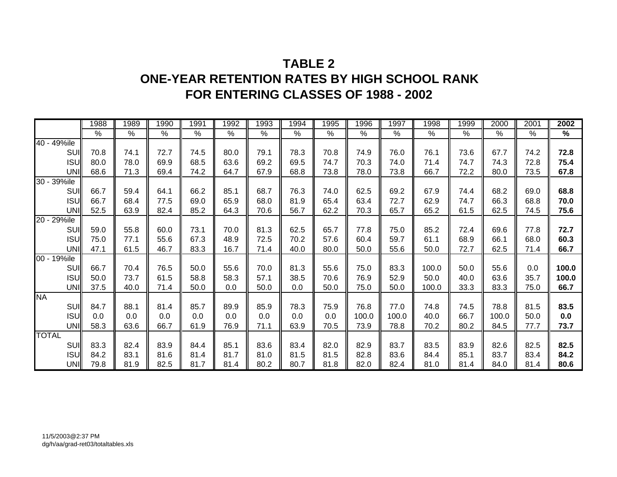### **TABLE 2ONE-YEAR RETENTION RATES BY HIGH SCHOOL RANK FOR ENTERING CLASSES OF 1988 - 2002**

|              | 1988          | 1989 | 1990 | 1991 | 1992 | 1993          | 1994 | 1995 | 1996  | 1997  | 1998  | 1999 | 2000  | 2001 | 2002          |
|--------------|---------------|------|------|------|------|---------------|------|------|-------|-------|-------|------|-------|------|---------------|
|              | $\frac{0}{0}$ | %    | %    | %    | %    | $\frac{0}{0}$ | $\%$ | $\%$ | $\%$  | $\%$  | %     | %    | $\%$  | $\%$ | $\frac{9}{6}$ |
| 40 - 49%ile  |               |      |      |      |      |               |      |      |       |       |       |      |       |      |               |
| SUI          | 70.8          | 74.1 | 72.7 | 74.5 | 80.0 | 79.1          | 78.3 | 70.8 | 74.9  | 76.0  | 76.1  | 73.6 | 67.7  | 74.2 | 72.8          |
| <b>ISU</b>   | 80.0          | 78.0 | 69.9 | 68.5 | 63.6 | 69.2          | 69.5 | 74.7 | 70.3  | 74.0  | 71.4  | 74.7 | 74.3  | 72.8 | 75.4          |
| UNI          | 68.6          | 71.3 | 69.4 | 74.2 | 64.7 | 67.9          | 68.8 | 73.8 | 78.0  | 73.8  | 66.7  | 72.2 | 80.0  | 73.5 | 67.8          |
| 30 - 39%ile  |               |      |      |      |      |               |      |      |       |       |       |      |       |      |               |
| <b>SUI</b>   | 66.7          | 59.4 | 64.1 | 66.2 | 85.1 | 68.7          | 76.3 | 74.0 | 62.5  | 69.2  | 67.9  | 74.4 | 68.2  | 69.0 | 68.8          |
| <b>ISU</b>   | 66.7          | 68.4 | 77.5 | 69.0 | 65.9 | 68.0          | 81.9 | 65.4 | 63.4  | 72.7  | 62.9  | 74.7 | 66.3  | 68.8 | 70.0          |
| UNI          | 52.5          | 63.9 | 82.4 | 85.2 | 64.3 | 70.6          | 56.7 | 62.2 | 70.3  | 65.7  | 65.2  | 61.5 | 62.5  | 74.5 | 75.6          |
| 20 - 29%ile  |               |      |      |      |      |               |      |      |       |       |       |      |       |      |               |
| SUI          | 59.0          | 55.8 | 60.0 | 73.1 | 70.0 | 81.3          | 62.5 | 65.7 | 77.8  | 75.0  | 85.2  | 72.4 | 69.6  | 77.8 | 72.7          |
| <b>ISU</b>   | 75.0          | 77.1 | 55.6 | 67.3 | 48.9 | 72.5          | 70.2 | 57.6 | 60.4  | 59.7  | 61.1  | 68.9 | 66.1  | 68.0 | 60.3          |
| UNI          | 47.1          | 61.5 | 46.7 | 83.3 | 16.7 | 71.4          | 40.0 | 80.0 | 50.0  | 55.6  | 50.0  | 72.7 | 62.5  | 71.4 | 66.7          |
| 00 - 19%ile  |               |      |      |      |      |               |      |      |       |       |       |      |       |      |               |
| <b>SUI</b>   | 66.7          | 70.4 | 76.5 | 50.0 | 55.6 | 70.0          | 81.3 | 55.6 | 75.0  | 83.3  | 100.0 | 50.0 | 55.6  | 0.0  | 100.0         |
| <b>ISU</b>   | 50.0          | 73.7 | 61.5 | 58.8 | 58.3 | 57.1          | 38.5 | 70.6 | 76.9  | 52.9  | 50.0  | 40.0 | 63.6  | 35.7 | 100.0         |
| <b>UNI</b>   | 37.5          | 40.0 | 71.4 | 50.0 | 0.0  | 50.0          | 0.0  | 50.0 | 75.0  | 50.0  | 100.0 | 33.3 | 83.3  | 75.0 | 66.7          |
| <b>NA</b>    |               |      |      |      |      |               |      |      |       |       |       |      |       |      |               |
| SUI          | 84.7          | 88.1 | 81.4 | 85.7 | 89.9 | 85.9          | 78.3 | 75.9 | 76.8  | 77.0  | 74.8  | 74.5 | 78.8  | 81.5 | 83.5          |
| <b>ISU</b>   | 0.0           | 0.0  | 0.0  | 0.0  | 0.0  | 0.0           | 0.0  | 0.0  | 100.0 | 100.0 | 40.0  | 66.7 | 100.0 | 50.0 | 0.0           |
| UNI          | 58.3          | 63.6 | 66.7 | 61.9 | 76.9 | 71.1          | 63.9 | 70.5 | 73.9  | 78.8  | 70.2  | 80.2 | 84.5  | 77.7 | 73.7          |
| <b>TOTAL</b> |               |      |      |      |      |               |      |      |       |       |       |      |       |      |               |
| SUI          | 83.3          | 82.4 | 83.9 | 84.4 | 85.1 | 83.6          | 83.4 | 82.0 | 82.9  | 83.7  | 83.5  | 83.9 | 82.6  | 82.5 | 82.5          |
| <b>ISU</b>   | 84.2          | 83.1 | 81.6 | 81.4 | 81.7 | 81.0          | 81.5 | 81.5 | 82.8  | 83.6  | 84.4  | 85.1 | 83.7  | 83.4 | 84.2          |
| UNI          | 79.8          | 81.9 | 82.5 | 81.7 | 81.4 | 80.2          | 80.7 | 81.8 | 82.0  | 82.4  | 81.0  | 81.4 | 84.0  | 81.4 | 80.6          |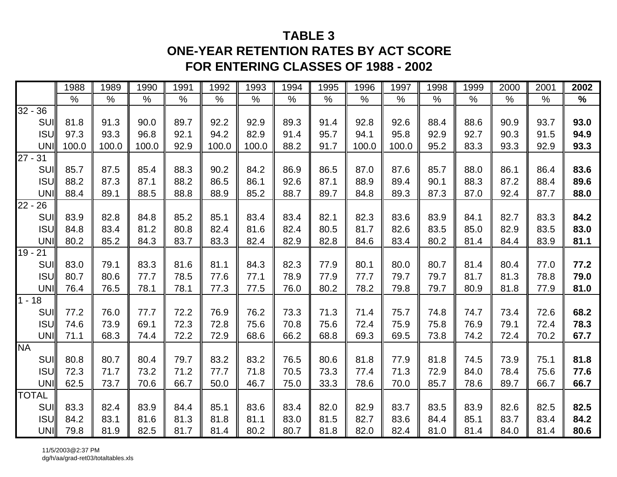### **TABLE 3**

### **ONE-YEAR RETENTION RATES BY ACT SCORE FOR ENTERING CLASSES OF 1988 - 2002**

|              | 1988  | 1989  | 1990  | 1991 | 1992  | 1993  | 1994 | 1995 | 1996  | 1997  | 1998 | 1999 | 2000 | 2001 | 2002 |
|--------------|-------|-------|-------|------|-------|-------|------|------|-------|-------|------|------|------|------|------|
|              | $\%$  | $\%$  | $\%$  | $\%$ | $\%$  | $\%$  | $\%$ | $\%$ | $\%$  | $\%$  | $\%$ | $\%$ | $\%$ | $\%$ | $\%$ |
| $32 - 36$    |       |       |       |      |       |       |      |      |       |       |      |      |      |      |      |
| <b>SUI</b>   | 81.8  | 91.3  | 90.0  | 89.7 | 92.2  | 92.9  | 89.3 | 91.4 | 92.8  | 92.6  | 88.4 | 88.6 | 90.9 | 93.7 | 93.0 |
| <b>ISU</b>   | 97.3  | 93.3  | 96.8  | 92.1 | 94.2  | 82.9  | 91.4 | 95.7 | 94.1  | 95.8  | 92.9 | 92.7 | 90.3 | 91.5 | 94.9 |
| <b>UNI</b>   | 100.0 | 100.0 | 100.0 | 92.9 | 100.0 | 100.0 | 88.2 | 91.7 | 100.0 | 100.0 | 95.2 | 83.3 | 93.3 | 92.9 | 93.3 |
| $27 - 31$    |       |       |       |      |       |       |      |      |       |       |      |      |      |      |      |
| SUI          | 85.7  | 87.5  | 85.4  | 88.3 | 90.2  | 84.2  | 86.9 | 86.5 | 87.0  | 87.6  | 85.7 | 88.0 | 86.1 | 86.4 | 83.6 |
| <b>ISU</b>   | 88.2  | 87.3  | 87.1  | 88.2 | 86.5  | 86.1  | 92.6 | 87.1 | 88.9  | 89.4  | 90.1 | 88.3 | 87.2 | 88.4 | 89.6 |
| <b>UNI</b>   | 88.4  | 89.1  | 88.5  | 88.8 | 88.9  | 85.2  | 88.7 | 89.7 | 84.8  | 89.3  | 87.3 | 87.0 | 92.4 | 87.7 | 88.0 |
| $22 -$<br>26 |       |       |       |      |       |       |      |      |       |       |      |      |      |      |      |
| <b>SUI</b>   | 83.9  | 82.8  | 84.8  | 85.2 | 85.1  | 83.4  | 83.4 | 82.1 | 82.3  | 83.6  | 83.9 | 84.1 | 82.7 | 83.3 | 84.2 |
| <b>ISU</b>   | 84.8  | 83.4  | 81.2  | 80.8 | 82.4  | 81.6  | 82.4 | 80.5 | 81.7  | 82.6  | 83.5 | 85.0 | 82.9 | 83.5 | 83.0 |
| <b>UNI</b>   | 80.2  | 85.2  | 84.3  | 83.7 | 83.3  | 82.4  | 82.9 | 82.8 | 84.6  | 83.4  | 80.2 | 81.4 | 84.4 | 83.9 | 81.1 |
| $19 -$<br>21 |       |       |       |      |       |       |      |      |       |       |      |      |      |      |      |
| SUI          | 83.0  | 79.1  | 83.3  | 81.6 | 81.1  | 84.3  | 82.3 | 77.9 | 80.1  | 80.0  | 80.7 | 81.4 | 80.4 | 77.0 | 77.2 |
| <b>ISU</b>   | 80.7  | 80.6  | 77.7  | 78.5 | 77.6  | 77.1  | 78.9 | 77.9 | 77.7  | 79.7  | 79.7 | 81.7 | 81.3 | 78.8 | 79.0 |
| <b>UNI</b>   | 76.4  | 76.5  | 78.1  | 78.1 | 77.3  | 77.5  | 76.0 | 80.2 | 78.2  | 79.8  | 79.7 | 80.9 | 81.8 | 77.9 | 81.0 |
| $1 - 18$     |       |       |       |      |       |       |      |      |       |       |      |      |      |      |      |
| SUI          | 77.2  | 76.0  | 77.7  | 72.2 | 76.9  | 76.2  | 73.3 | 71.3 | 71.4  | 75.7  | 74.8 | 74.7 | 73.4 | 72.6 | 68.2 |
| <b>ISU</b>   | 74.6  | 73.9  | 69.1  | 72.3 | 72.8  | 75.6  | 70.8 | 75.6 | 72.4  | 75.9  | 75.8 | 76.9 | 79.1 | 72.4 | 78.3 |
| <b>UNI</b>   | 71.1  | 68.3  | 74.4  | 72.2 | 72.9  | 68.6  | 66.2 | 68.8 | 69.3  | 69.5  | 73.8 | 74.2 | 72.4 | 70.2 | 67.7 |
| <b>NA</b>    |       |       |       |      |       |       |      |      |       |       |      |      |      |      |      |
| SUI          | 80.8  | 80.7  | 80.4  | 79.7 | 83.2  | 83.2  | 76.5 | 80.6 | 81.8  | 77.9  | 81.8 | 74.5 | 73.9 | 75.1 | 81.8 |
| <b>ISU</b>   | 72.3  | 71.7  | 73.2  | 71.2 | 77.7  | 71.8  | 70.5 | 73.3 | 77.4  | 71.3  | 72.9 | 84.0 | 78.4 | 75.6 | 77.6 |
| <b>UNI</b>   | 62.5  | 73.7  | 70.6  | 66.7 | 50.0  | 46.7  | 75.0 | 33.3 | 78.6  | 70.0  | 85.7 | 78.6 | 89.7 | 66.7 | 66.7 |
| <b>TOTAL</b> |       |       |       |      |       |       |      |      |       |       |      |      |      |      |      |
| SUI          | 83.3  | 82.4  | 83.9  | 84.4 | 85.1  | 83.6  | 83.4 | 82.0 | 82.9  | 83.7  | 83.5 | 83.9 | 82.6 | 82.5 | 82.5 |
| <b>ISU</b>   | 84.2  | 83.1  | 81.6  | 81.3 | 81.8  | 81.1  | 83.0 | 81.5 | 82.7  | 83.6  | 84.4 | 85.1 | 83.7 | 83.4 | 84.2 |
| UNI          | 79.8  | 81.9  | 82.5  | 81.7 | 81.4  | 80.2  | 80.7 | 81.8 | 82.0  | 82.4  | 81.0 | 81.4 | 84.0 | 81.4 | 80.6 |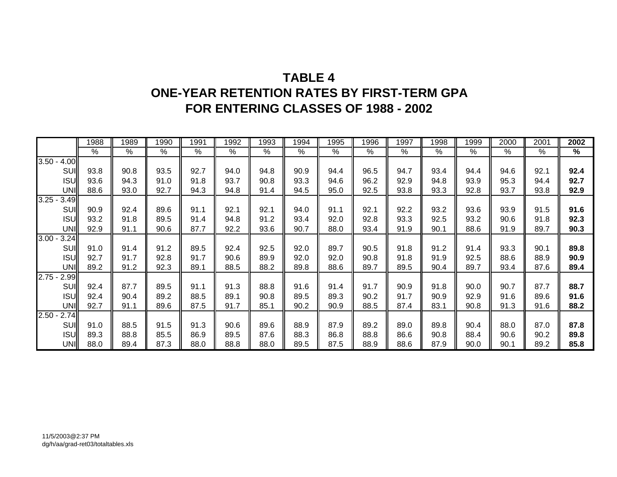### **TABLE 4ONE-YEAR RETENTION RATES BY FIRST-TERM GPA FOR ENTERING CLASSES OF 1988 - 2002**

|                  | 1988 | 1989 | 1990       | 1991          | 1992 | 1993 | 1994            | 1995       | 1996 | 1997          | 1998 | 1999 | 2000 | 2001 | 2002 |
|------------------|------|------|------------|---------------|------|------|-----------------|------------|------|---------------|------|------|------|------|------|
|                  | $\%$ | %    | $\sqrt{2}$ | $\frac{0}{0}$ | %    | %    | $\overline{\%}$ | $\sqrt{2}$ | $\%$ | $\frac{9}{6}$ | %    | $\%$ | %    | %    | $\%$ |
| 3.50<br>4.00     |      |      |            |               |      |      |                 |            |      |               |      |      |      |      |      |
| SUI              | 93.8 | 90.8 | 93.5       | 92.7          | 94.0 | 94.8 | 90.9            | 94.4       | 96.5 | 94.7          | 93.4 | 94.4 | 94.6 | 92.1 | 92.4 |
| <b>ISU</b>       | 93.6 | 94.3 | 91.0       | 91.8          | 93.7 | 90.8 | 93.3            | 94.6       | 96.2 | 92.9          | 94.8 | 93.9 | 95.3 | 94.4 | 92.7 |
| UNI              | 88.6 | 93.0 | 92.7       | 94.3          | 94.8 | 91.4 | 94.5            | 95.0       | 92.5 | 93.8          | 93.3 | 92.8 | 93.7 | 93.8 | 92.9 |
| 3.25<br>3.49     |      |      |            |               |      |      |                 |            |      |               |      |      |      |      |      |
| <b>SUI</b>       | 90.9 | 92.4 | 89.6       | 91.1          | 92.1 | 92.1 | 94.0            | 91.1       | 92.1 | 92.2          | 93.2 | 93.6 | 93.9 | 91.5 | 91.6 |
| <b>ISU</b>       | 93.2 | 91.8 | 89.5       | 91.4          | 94.8 | 91.2 | 93.4            | 92.0       | 92.8 | 93.3          | 92.5 | 93.2 | 90.6 | 91.8 | 92.3 |
| UNI              | 92.9 | 91.1 | 90.6       | 87.7          | 92.2 | 93.6 | 90.7            | 88.0       | 93.4 | 91.9          | 90.1 | 88.6 | 91.9 | 89.7 | 90.3 |
| 3.00<br>3.24     |      |      |            |               |      |      |                 |            |      |               |      |      |      |      |      |
| <b>SUI</b>       | 91.0 | 91.4 | 91.2       | 89.5          | 92.4 | 92.5 | 92.0            | 89.7       | 90.5 | 91.8          | 91.2 | 91.4 | 93.3 | 90.1 | 89.8 |
| <b>ISU</b>       | 92.7 | 91.7 | 92.8       | 91.7          | 90.6 | 89.9 | 92.0            | 92.0       | 90.8 | 91.8          | 91.9 | 92.5 | 88.6 | 88.9 | 90.9 |
| UNI              | 89.2 | 91.2 | 92.3       | 89.1          | 88.5 | 88.2 | 89.8            | 88.6       | 89.7 | 89.5          | 90.4 | 89.7 | 93.4 | 87.6 | 89.4 |
| $2.75 -$<br>2.99 |      |      |            |               |      |      |                 |            |      |               |      |      |      |      |      |
| SUI              | 92.4 | 87.7 | 89.5       | 91.1          | 91.3 | 88.8 | 91.6            | 91.4       | 91.7 | 90.9          | 91.8 | 90.0 | 90.7 | 87.7 | 88.7 |
| <b>ISU</b>       | 92.4 | 90.4 | 89.2       | 88.5          | 89.1 | 90.8 | 89.5            | 89.3       | 90.2 | 91.7          | 90.9 | 92.9 | 91.6 | 89.6 | 91.6 |
| UNI              | 92.7 | 91.1 | 89.6       | 87.5          | 91.7 | 85.1 | 90.2            | 90.9       | 88.5 | 87.4          | 83.1 | 90.8 | 91.3 | 91.6 | 88.2 |
| 2.74<br>2.50     |      |      |            |               |      |      |                 |            |      |               |      |      |      |      |      |
| SUI              | 91.0 | 88.5 | 91.5       | 91.3          | 90.6 | 89.6 | 88.9            | 87.9       | 89.2 | 89.0          | 89.8 | 90.4 | 88.0 | 87.0 | 87.8 |
| <b>ISU</b>       | 89.3 | 88.8 | 85.5       | 86.9          | 89.5 | 87.6 | 88.3            | 86.8       | 88.8 | 86.6          | 90.8 | 88.4 | 90.6 | 90.2 | 89.8 |
| <b>UNI</b>       | 88.0 | 89.4 | 87.3       | 88.0          | 88.8 | 88.0 | 89.5            | 87.5       | 88.9 | 88.6          | 87.9 | 90.0 | 90.1 | 89.2 | 85.8 |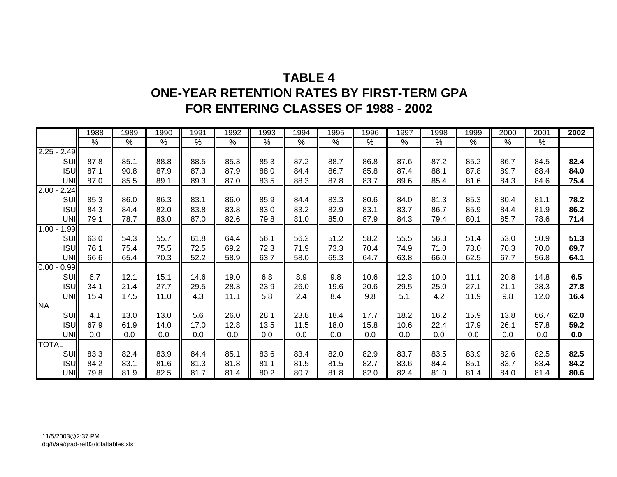### **TABLE 4ONE-YEAR RETENTION RATES BY FIRST-TERM GPA FOR ENTERING CLASSES OF 1988 - 2002**

|                  | 1988          | 1989 | 1990          | 1991 | 1992          | 1993          | 1994          | 1995 | 1996 | 1997          | 1998 | 1999          | 2000          | 2001 | 2002 |
|------------------|---------------|------|---------------|------|---------------|---------------|---------------|------|------|---------------|------|---------------|---------------|------|------|
|                  | $\frac{1}{2}$ | $\%$ | $\frac{9}{6}$ | %    | $\frac{9}{6}$ | $\frac{9}{6}$ | $\frac{9}{6}$ | %    | %    | $\frac{9}{6}$ | %    | $\frac{0}{0}$ | $\frac{9}{6}$ | %    |      |
| $2.25 - 2.49$    |               |      |               |      |               |               |               |      |      |               |      |               |               |      |      |
| SUI              | 87.8          | 85.1 | 88.8          | 88.5 | 85.3          | 85.3          | 87.2          | 88.7 | 86.8 | 87.6          | 87.2 | 85.2          | 86.7          | 84.5 | 82.4 |
| <b>ISU</b>       | 87.1          | 90.8 | 87.9          | 87.3 | 87.9          | 88.0          | 84.4          | 86.7 | 85.8 | 87.4          | 88.1 | 87.8          | 89.7          | 88.4 | 84.0 |
| UNI              | 87.0          | 85.5 | 89.1          | 89.3 | 87.0          | 83.5          | 88.3          | 87.8 | 83.7 | 89.6          | 85.4 | 81.6          | 84.3          | 84.6 | 75.4 |
| $2.00 -$<br>2.24 |               |      |               |      |               |               |               |      |      |               |      |               |               |      |      |
| SUI              | 85.3          | 86.0 | 86.3          | 83.1 | 86.0          | 85.9          | 84.4          | 83.3 | 80.6 | 84.0          | 81.3 | 85.3          | 80.4          | 81.1 | 78.2 |
| <b>ISU</b>       | 84.3          | 84.4 | 82.0          | 83.8 | 83.8          | 83.0          | 83.2          | 82.9 | 83.1 | 83.7          | 86.7 | 85.9          | 84.4          | 81.9 | 86.2 |
| UNI              | 79.1          | 78.7 | 83.0          | 87.0 | 82.6          | 79.8          | 81.0          | 85.0 | 87.9 | 84.3          | 79.4 | 80.1          | 85.7          | 78.6 | 71.4 |
| $1.00 -$<br>1.99 |               |      |               |      |               |               |               |      |      |               |      |               |               |      |      |
| SUI              | 63.0          | 54.3 | 55.7          | 61.8 | 64.4          | 56.1          | 56.2          | 51.2 | 58.2 | 55.5          | 56.3 | 51.4          | 53.0          | 50.9 | 51.3 |
| <b>ISU</b>       | 76.1          | 75.4 | 75.5          | 72.5 | 69.2          | 72.3          | 71.9          | 73.3 | 70.4 | 74.9          | 71.0 | 73.0          | 70.3          | 70.0 | 69.7 |
| UNI              | 66.6          | 65.4 | 70.3          | 52.2 | 58.9          | 63.7          | 58.0          | 65.3 | 64.7 | 63.8          | 66.0 | 62.5          | 67.7          | 56.8 | 64.1 |
| $0.00 -$<br>0.99 |               |      |               |      |               |               |               |      |      |               |      |               |               |      |      |
| <b>SUI</b>       | 6.7           | 12.1 | 15.1          | 14.6 | 19.0          | 6.8           | 8.9           | 9.8  | 10.6 | 12.3          | 10.0 | 11.1          | 20.8          | 14.8 | 6.5  |
| <b>ISUI</b>      | 34.1          | 21.4 | 27.7          | 29.5 | 28.3          | 23.9          | 26.0          | 19.6 | 20.6 | 29.5          | 25.0 | 27.1          | 21.1          | 28.3 | 27.8 |
| UNI              | 15.4          | 17.5 | 11.0          | 4.3  | 11.1          | 5.8           | 2.4           | 8.4  | 9.8  | 5.1           | 4.2  | 11.9          | 9.8           | 12.0 | 16.4 |
| <b>NA</b>        |               |      |               |      |               |               |               |      |      |               |      |               |               |      |      |
| SUI              | 4.1           | 13.0 | 13.0          | 5.6  | 26.0          | 28.1          | 23.8          | 18.4 | 17.7 | 18.2          | 16.2 | 15.9          | 13.8          | 66.7 | 62.0 |
| <b>ISU</b>       | 67.9          | 61.9 | 14.0          | 17.0 | 12.8          | 13.5          | 11.5          | 18.0 | 15.8 | 10.6          | 22.4 | 17.9          | 26.1          | 57.8 | 59.2 |
| UNI              | 0.0           | 0.0  | 0.0           | 0.0  | 0.0           | 0.0           | 0.0           | 0.0  | 0.0  | 0.0           | 0.0  | 0.0           | 0.0           | 0.0  | 0.0  |
| <b>TOTAL</b>     |               |      |               |      |               |               |               |      |      |               |      |               |               |      |      |
| SUI              | 83.3          | 82.4 | 83.9          | 84.4 | 85.1          | 83.6          | 83.4          | 82.0 | 82.9 | 83.7          | 83.5 | 83.9          | 82.6          | 82.5 | 82.5 |
| <b>ISUI</b>      | 84.2          | 83.1 | 81.6          | 81.3 | 81.8          | 81.1          | 81.5          | 81.5 | 82.7 | 83.6          | 84.4 | 85.1          | 83.7          | 83.4 | 84.2 |
| UNI              | 79.8          | 81.9 | 82.5          | 81.7 | 81.4          | 80.2          | 80.7          | 81.8 | 82.0 | 82.4          | 81.0 | 81.4          | 84.0          | 81.4 | 80.6 |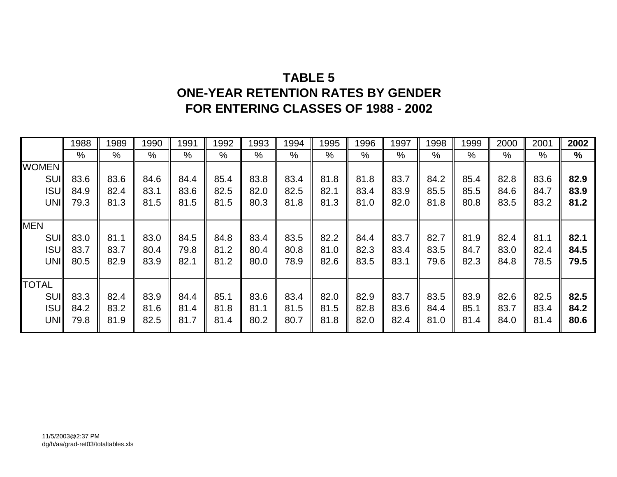## **TABLE 5ONE-YEAR RETENTION RATES BY GENDER FOR ENTERING CLASSES OF 1988 - 2002**

|              | 1988          | 1989 | 1990 | 991  | 1992 | 1993          | 1994 | 1995 | 1996 | 1997 | 1998 | 1999 | 2000 | 2001 | 2002          |
|--------------|---------------|------|------|------|------|---------------|------|------|------|------|------|------|------|------|---------------|
|              | $\frac{0}{0}$ | %    | %    | $\%$ | %    | $\frac{0}{0}$ | %    | $\%$ | %    | %    | %    | %    | %    | $\%$ | $\frac{9}{6}$ |
| <b>WOMEN</b> |               |      |      |      |      |               |      |      |      |      |      |      |      |      |               |
| SUI          | 83.6          | 83.6 | 84.6 | 84.4 | 85.4 | 83.8          | 83.4 | 81.8 | 81.8 | 83.7 | 84.2 | 85.4 | 82.8 | 83.6 | 82.9          |
| <b>ISU</b>   | 84.9          | 82.4 | 83.1 | 83.6 | 82.5 | 82.0          | 82.5 | 82.1 | 83.4 | 83.9 | 85.5 | 85.5 | 84.6 | 84.7 | 83.9          |
| UNI          | 79.3          | 81.3 | 81.5 | 81.5 | 81.5 | 80.3          | 81.8 | 81.3 | 81.0 | 82.0 | 81.8 | 80.8 | 83.5 | 83.2 | 81.2          |
|              |               |      |      |      |      |               |      |      |      |      |      |      |      |      |               |
| <b>MEN</b>   |               |      |      |      |      |               |      |      |      |      |      |      |      |      |               |
| SUI          | 83.0          | 81.1 | 83.0 | 84.5 | 84.8 | 83.4          | 83.5 | 82.2 | 84.4 | 83.7 | 82.7 | 81.9 | 82.4 | 81.1 | 82.1          |
| <b>ISU</b>   | 83.7          | 83.7 | 80.4 | 79.8 | 81.2 | 80.4          | 80.8 | 81.0 | 82.3 | 83.4 | 83.5 | 84.7 | 83.0 | 82.4 | 84.5          |
| UNI          | 80.5          | 82.9 | 83.9 | 82.1 | 81.2 | 80.0          | 78.9 | 82.6 | 83.5 | 83.1 | 79.6 | 82.3 | 84.8 | 78.5 | 79.5          |
|              |               |      |      |      |      |               |      |      |      |      |      |      |      |      |               |
| <b>TOTAL</b> |               |      |      |      |      |               |      |      |      |      |      |      |      |      |               |
| SUI          | 83.3          | 82.4 | 83.9 | 84.4 | 85.1 | 83.6          | 83.4 | 82.0 | 82.9 | 83.7 | 83.5 | 83.9 | 82.6 | 82.5 | 82.5          |
| <b>ISU</b>   | 84.2          | 83.2 | 81.6 | 81.4 | 81.8 | 81.1          | 81.5 | 81.5 | 82.8 | 83.6 | 84.4 | 85.1 | 83.7 | 83.4 | 84.2          |
| UNI          | 79.8          | 81.9 | 82.5 | 81.7 | 81.4 | 80.2          | 80.7 | 81.8 | 82.0 | 82.4 | 81.0 | 81.4 | 84.0 | 81.4 | 80.6          |
|              |               |      |      |      |      |               |      |      |      |      |      |      |      |      |               |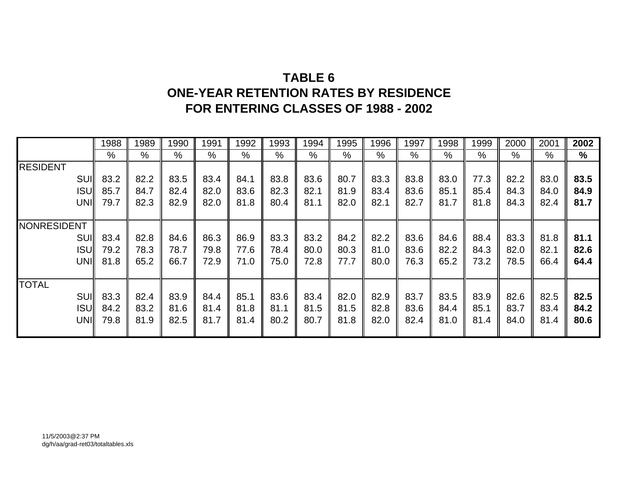## **TABLE 6ONE-YEAR RETENTION RATES BY RESIDENCE FOR ENTERING CLASSES OF 1988 - 2002**

|                    | 1988 | 1989 | 1990          | 1991 | 1992 | 1993 | 1994 | 1995 | 1996 | 1997 | 1998 | 1999 | 2000 | 2001 | 2002 |
|--------------------|------|------|---------------|------|------|------|------|------|------|------|------|------|------|------|------|
|                    | %    | %    | $\frac{0}{0}$ | $\%$ | %    | $\%$ | $\%$ | $\%$ | %    | %    | $\%$ | %    | %    | %    | $\%$ |
| <b>RESIDENT</b>    |      |      |               |      |      |      |      |      |      |      |      |      |      |      |      |
| <b>SUII</b>        | 83.2 | 82.2 | 83.5          | 83.4 | 84.1 | 83.8 | 83.6 | 80.7 | 83.3 | 83.8 | 83.0 | 77.3 | 82.2 | 83.0 | 83.5 |
| <b>ISUI</b>        | 85.7 | 84.7 | 82.4          | 82.0 | 83.6 | 82.3 | 82.1 | 81.9 | 83.4 | 83.6 | 85.1 | 85.4 | 84.3 | 84.0 | 84.9 |
| UNI                | 79.7 | 82.3 | 82.9          | 82.0 | 81.8 | 80.4 | 81.1 | 82.0 | 82.1 | 82.7 | 81.7 | 81.8 | 84.3 | 82.4 | 81.7 |
|                    |      |      |               |      |      |      |      |      |      |      |      |      |      |      |      |
| <b>NONRESIDENT</b> |      |      |               |      |      |      |      |      |      |      |      |      |      |      |      |
| SUI                | 83.4 | 82.8 | 84.6          | 86.3 | 86.9 | 83.3 | 83.2 | 84.2 | 82.2 | 83.6 | 84.6 | 88.4 | 83.3 | 81.8 | 81.1 |
| <b>ISUI</b>        | 79.2 | 78.3 | 78.7          | 79.8 | 77.6 | 78.4 | 80.0 | 80.3 | 81.0 | 83.6 | 82.2 | 84.3 | 82.0 | 82.1 | 82.6 |
| UNI                | 81.8 | 65.2 | 66.7          | 72.9 | 71.0 | 75.0 | 72.8 | 77.7 | 80.0 | 76.3 | 65.2 | 73.2 | 78.5 | 66.4 | 64.4 |
|                    |      |      |               |      |      |      |      |      |      |      |      |      |      |      |      |
| <b>TOTAL</b>       |      |      |               |      |      |      |      |      |      |      |      |      |      |      |      |
| <b>SUI</b>         | 83.3 | 82.4 | 83.9          | 84.4 | 85.1 | 83.6 | 83.4 | 82.0 | 82.9 | 83.7 | 83.5 | 83.9 | 82.6 | 82.5 | 82.5 |
| <b>ISUI</b>        | 84.2 | 83.2 | 81.6          | 81.4 | 81.8 | 81.1 | 81.5 | 81.5 | 82.8 | 83.6 | 84.4 | 85.1 | 83.7 | 83.4 | 84.2 |
| UNI                | 79.8 | 81.9 | 82.5          | 81.7 | 81.4 | 80.2 | 80.7 | 81.8 | 82.0 | 82.4 | 81.0 | 81.4 | 84.0 | 81.4 | 80.6 |
|                    |      |      |               |      |      |      |      |      |      |      |      |      |      |      |      |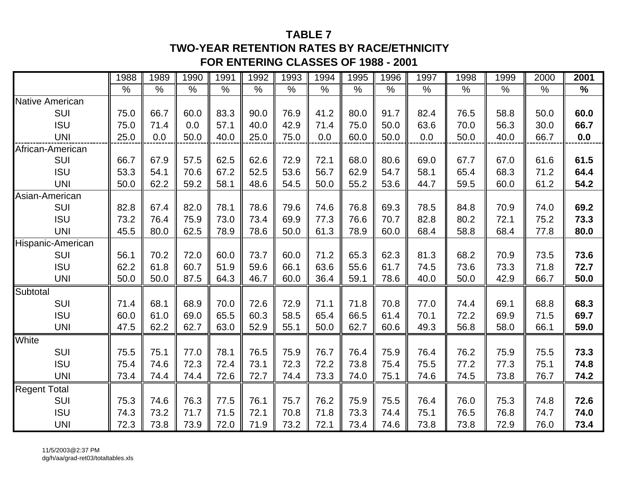#### **TABLE 7**

### **TWO-YEAR RETENTION RATES BY RACE/ETHNICITYFOR ENTERING CLASSES OF 1988 - 2001**

|                        | 1988          | 1989 | 1990 | 1991 | 1992          | 1993          | 1994 | 1995 | 1996          | 1997 | 1998 | 1999 | 2000 | 2001          |
|------------------------|---------------|------|------|------|---------------|---------------|------|------|---------------|------|------|------|------|---------------|
|                        | $\frac{0}{0}$ | $\%$ | $\%$ | $\%$ | $\frac{0}{0}$ | $\frac{0}{0}$ | $\%$ | $\%$ | $\frac{0}{0}$ | $\%$ | $\%$ | $\%$ | $\%$ | $\frac{9}{6}$ |
| <b>Native American</b> |               |      |      |      |               |               |      |      |               |      |      |      |      |               |
| SUI                    | 75.0          | 66.7 | 60.0 | 83.3 | 90.0          | 76.9          | 41.2 | 80.0 | 91.7          | 82.4 | 76.5 | 58.8 | 50.0 | 60.0          |
| <b>ISU</b>             | 75.0          | 71.4 | 0.0  | 57.1 | 40.0          | 42.9          | 71.4 | 75.0 | 50.0          | 63.6 | 70.0 | 56.3 | 30.0 | 66.7          |
| <b>UNI</b>             | 25.0          | 0.0  | 50.0 | 40.0 | 25.0          | 75.0          | 0.0  | 60.0 | 50.0          | 0.0  | 50.0 | 40.0 | 66.7 | 0.0           |
| African-American       |               |      |      |      |               |               |      |      |               |      |      |      |      |               |
| <b>SUI</b>             | 66.7          | 67.9 | 57.5 | 62.5 | 62.6          | 72.9          | 72.1 | 68.0 | 80.6          | 69.0 | 67.7 | 67.0 | 61.6 | 61.5          |
| <b>ISU</b>             | 53.3          | 54.1 | 70.6 | 67.2 | 52.5          | 53.6          | 56.7 | 62.9 | 54.7          | 58.1 | 65.4 | 68.3 | 71.2 | 64.4          |
| <b>UNI</b>             | 50.0          | 62.2 | 59.2 | 58.1 | 48.6          | 54.5          | 50.0 | 55.2 | 53.6          | 44.7 | 59.5 | 60.0 | 61.2 | 54.2          |
| Asian-American         |               |      |      |      |               |               |      |      |               |      |      |      |      |               |
| <b>SUI</b>             | 82.8          | 67.4 | 82.0 | 78.1 | 78.6          | 79.6          | 74.6 | 76.8 | 69.3          | 78.5 | 84.8 | 70.9 | 74.0 | 69.2          |
| <b>ISU</b>             | 73.2          | 76.4 | 75.9 | 73.0 | 73.4          | 69.9          | 77.3 | 76.6 | 70.7          | 82.8 | 80.2 | 72.1 | 75.2 | 73.3          |
| <b>UNI</b>             | 45.5          | 80.0 | 62.5 | 78.9 | 78.6          | 50.0          | 61.3 | 78.9 | 60.0          | 68.4 | 58.8 | 68.4 | 77.8 | 80.0          |
| Hispanic-American      |               |      |      |      |               |               |      |      |               |      |      |      |      |               |
| SUI                    | 56.1          | 70.2 | 72.0 | 60.0 | 73.7          | 60.0          | 71.2 | 65.3 | 62.3          | 81.3 | 68.2 | 70.9 | 73.5 | 73.6          |
| <b>ISU</b>             | 62.2          | 61.8 | 60.7 | 51.9 | 59.6          | 66.1          | 63.6 | 55.6 | 61.7          | 74.5 | 73.6 | 73.3 | 71.8 | 72.7          |
| <b>UNI</b>             | 50.0          | 50.0 | 87.5 | 64.3 | 46.7          | 60.0          | 36.4 | 59.1 | 78.6          | 40.0 | 50.0 | 42.9 | 66.7 | 50.0          |
| Subtotal               |               |      |      |      |               |               |      |      |               |      |      |      |      |               |
| SUI                    | 71.4          | 68.1 | 68.9 | 70.0 | 72.6          | 72.9          | 71.1 | 71.8 | 70.8          | 77.0 | 74.4 | 69.1 | 68.8 | 68.3          |
| <b>ISU</b>             | 60.0          | 61.0 | 69.0 | 65.5 | 60.3          | 58.5          | 65.4 | 66.5 | 61.4          | 70.1 | 72.2 | 69.9 | 71.5 | 69.7          |
| <b>UNI</b>             | 47.5          | 62.2 | 62.7 | 63.0 | 52.9          | 55.1          | 50.0 | 62.7 | 60.6          | 49.3 | 56.8 | 58.0 | 66.1 | 59.0          |
| White                  |               |      |      |      |               |               |      |      |               |      |      |      |      |               |
| SUI                    | 75.5          | 75.1 | 77.0 | 78.1 | 76.5          | 75.9          | 76.7 | 76.4 | 75.9          | 76.4 | 76.2 | 75.9 | 75.5 | 73.3          |
| <b>ISU</b>             | 75.4          | 74.6 | 72.3 | 72.4 | 73.1          | 72.3          | 72.2 | 73.8 | 75.4          | 75.5 | 77.2 | 77.3 | 75.1 | 74.8          |
| <b>UNI</b>             | 73.4          | 74.4 | 74.4 | 72.6 | 72.7          | 74.4          | 73.3 | 74.0 | 75.1          | 74.6 | 74.5 | 73.8 | 76.7 | 74.2          |
| <b>Regent Total</b>    |               |      |      |      |               |               |      |      |               |      |      |      |      |               |
| <b>SUI</b>             | 75.3          | 74.6 | 76.3 | 77.5 | 76.1          | 75.7          | 76.2 | 75.9 | 75.5          | 76.4 | 76.0 | 75.3 | 74.8 | 72.6          |
| <b>ISU</b>             | 74.3          | 73.2 | 71.7 | 71.5 | 72.1          | 70.8          | 71.8 | 73.3 | 74.4          | 75.1 | 76.5 | 76.8 | 74.7 | 74.0          |
| <b>UNI</b>             | 72.3          | 73.8 | 73.9 | 72.0 | 71.9          | 73.2          | 72.1 | 73.4 | 74.6          | 73.8 | 73.8 | 72.9 | 76.0 | 73.4          |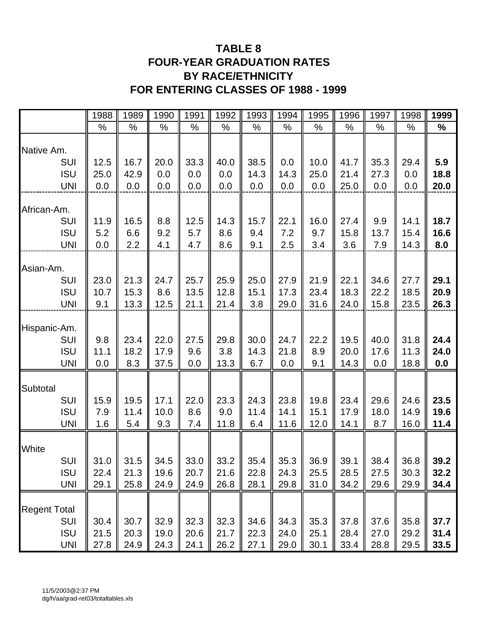### **TABLE 8 FOUR-YEAR GRADUATION RATES BY RACE/ETHNICITY FOR ENTERING CLASSES OF 1988 - 1999**

|                          | 1988 | 1989 | 1990 | 1991 | 1992 | 1993 | 1994 | 1995 | 1996 | 1997 | 1998 | 1999 |
|--------------------------|------|------|------|------|------|------|------|------|------|------|------|------|
|                          | %    | %    | %    | %    | %    | %    | %    | %    | %    | %    | %    | %    |
| Native Am.               |      |      |      |      |      |      |      |      |      |      |      |      |
| <b>SUI</b>               | 12.5 | 16.7 | 20.0 | 33.3 | 40.0 | 38.5 | 0.0  | 10.0 | 41.7 | 35.3 | 29.4 | 5.9  |
| <b>ISU</b>               | 25.0 | 42.9 | 0.0  | 0.0  | 0.0  | 14.3 | 14.3 | 25.0 | 21.4 | 27.3 | 0.0  | 18.8 |
| <b>UNI</b>               | 0.0  | 0.0  | 0.0  | 0.0  | 0.0  | 0.0  | 0.0  | 0.0  | 25.0 | 0.0  | 0.0  | 20.0 |
| African-Am.              |      |      |      |      |      |      |      |      |      |      |      |      |
| SUI                      | 11.9 | 16.5 | 8.8  | 12.5 | 14.3 | 15.7 | 22.1 | 16.0 | 27.4 | 9.9  | 14.1 | 18.7 |
| <b>ISU</b><br><b>UNI</b> | 5.2  | 6.6  | 9.2  | 5.7  | 8.6  | 9.4  | 7.2  | 9.7  | 15.8 | 13.7 | 15.4 | 16.6 |
|                          | 0.0  | 2.2  | 4.1  | 4.7  | 8.6  | 9.1  | 2.5  | 3.4  | 3.6  | 7.9  | 14.3 | 8.0  |
| Asian-Am.                |      |      |      |      |      |      |      |      |      |      |      |      |
| SUI                      | 23.0 | 21.3 | 24.7 | 25.7 | 25.9 | 25.0 | 27.9 | 21.9 | 22.1 | 34.6 | 27.7 | 29.1 |
| <b>ISU</b>               | 10.7 | 15.3 | 8.6  | 13.5 | 12.8 | 15.1 | 17.3 | 23.4 | 18.3 | 22.2 | 18.5 | 20.9 |
| <b>UNI</b>               | 9.1  | 13.3 | 12.5 | 21.1 | 21.4 | 3.8  | 29.0 | 31.6 | 24.0 | 15.8 | 23.5 | 26.3 |
| Hispanic-Am.             |      |      |      |      |      |      |      |      |      |      |      |      |
| SUI                      | 9.8  | 23.4 | 22.0 | 27.5 | 29.8 | 30.0 | 24.7 | 22.2 | 19.5 | 40.0 | 31.8 | 24.4 |
| <b>ISU</b>               | 11.1 | 18.2 | 17.9 | 9.6  | 3.8  | 14.3 | 21.8 | 8.9  | 20.0 | 17.6 | 11.3 | 24.0 |
| <b>UNI</b>               | 0.0  | 8.3  | 37.5 | 0.0  | 13.3 | 6.7  | 0.0  | 9.1  | 14.3 | 0.0  | 18.8 | 0.0  |
| Subtotal                 |      |      |      |      |      |      |      |      |      |      |      |      |
| <b>SUI</b>               | 15.9 | 19.5 | 17.1 | 22.0 | 23.3 | 24.3 | 23.8 | 19.8 | 23.4 | 29.6 | 24.6 | 23.5 |
| <b>ISU</b>               | 7.9  | 11.4 | 10.0 | 8.6  | 9.0  | 11.4 | 14.1 | 15.1 | 17.9 | 18.0 | 14.9 | 19.6 |
| <b>UNI</b>               | 1.6  | 5.4  | 9.3  | 7.4  | 11.8 | 6.4  | 11.6 | 12.0 | 14.1 | 8.7  | 16.0 | 11.4 |
| White                    |      |      |      |      |      |      |      |      |      |      |      |      |
| SUI                      | 31.0 | 31.5 | 34.5 | 33.0 | 33.2 | 35.4 | 35.3 | 36.9 | 39.1 | 38.4 | 36.8 | 39.2 |
| <b>ISU</b>               | 22.4 | 21.3 | 19.6 | 20.7 | 21.6 | 22.8 | 24.3 | 25.5 | 28.5 | 27.5 | 30.3 | 32.2 |
| <b>UNI</b>               | 29.1 | 25.8 | 24.9 | 24.9 | 26.8 | 28.1 | 29.8 | 31.0 | 34.2 | 29.6 | 29.9 | 34.4 |
| <b>Regent Total</b>      |      |      |      |      |      |      |      |      |      |      |      |      |
| <b>SUI</b>               | 30.4 | 30.7 | 32.9 | 32.3 | 32.3 | 34.6 | 34.3 | 35.3 | 37.8 | 37.6 | 35.8 | 37.7 |
| <b>ISU</b>               | 21.5 | 20.3 | 19.0 | 20.6 | 21.7 | 22.3 | 24.0 | 25.1 | 28.4 | 27.0 | 29.2 | 31.4 |
| <b>UNI</b>               | 27.8 | 24.9 | 24.3 | 24.1 | 26.2 | 27.1 | 29.0 | 30.1 | 33.4 | 28.8 | 29.5 | 33.5 |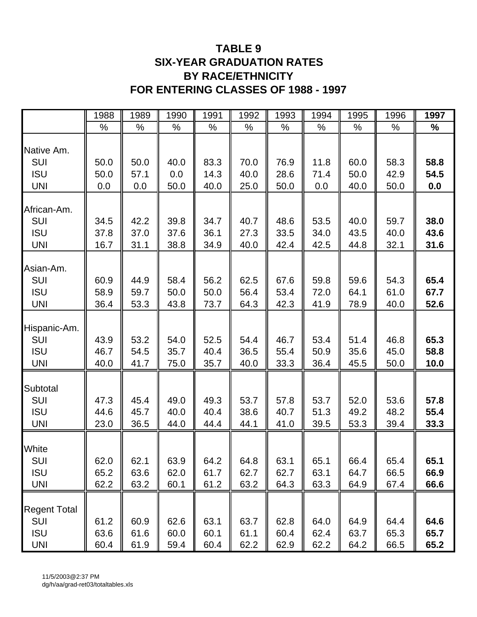### **TABLE 9 SIX-YEAR GRADUATION RATES BY RACE/ETHNICITY FOR ENTERING CLASSES OF 1988 - 1997**

|                     | 1988 | 1989 | 1990 | 1991 | 1992 | 1993 | 1994 | 1995 | 1996 | 1997 |
|---------------------|------|------|------|------|------|------|------|------|------|------|
|                     | %    | %    | %    | %    | %    | %    | $\%$ | %    | %    | ℅    |
|                     |      |      |      |      |      |      |      |      |      |      |
| Native Am.          |      |      |      |      |      |      |      |      |      |      |
| SUI                 | 50.0 | 50.0 | 40.0 | 83.3 | 70.0 | 76.9 | 11.8 | 60.0 | 58.3 | 58.8 |
| <b>ISU</b>          | 50.0 | 57.1 | 0.0  | 14.3 | 40.0 | 28.6 | 71.4 | 50.0 | 42.9 | 54.5 |
| <b>UNI</b>          | 0.0  | 0.0  | 50.0 | 40.0 | 25.0 | 50.0 | 0.0  | 40.0 | 50.0 | 0.0  |
|                     |      |      |      |      |      |      |      |      |      |      |
| African-Am.         |      | 42.2 | 39.8 | 34.7 | 40.7 |      |      | 40.0 | 59.7 | 38.0 |
| SUI                 | 34.5 |      |      |      |      | 48.6 | 53.5 |      |      |      |
| <b>ISU</b>          | 37.8 | 37.0 | 37.6 | 36.1 | 27.3 | 33.5 | 34.0 | 43.5 | 40.0 | 43.6 |
| <b>UNI</b>          | 16.7 | 31.1 | 38.8 | 34.9 | 40.0 | 42.4 | 42.5 | 44.8 | 32.1 | 31.6 |
| Asian-Am.           |      |      |      |      |      |      |      |      |      |      |
| SUI                 | 60.9 | 44.9 | 58.4 | 56.2 | 62.5 | 67.6 | 59.8 | 59.6 | 54.3 | 65.4 |
| <b>ISU</b>          |      |      |      |      |      | 53.4 |      |      |      |      |
|                     | 58.9 | 59.7 | 50.0 | 50.0 | 56.4 |      | 72.0 | 64.1 | 61.0 | 67.7 |
| <b>UNI</b>          | 36.4 | 53.3 | 43.8 | 73.7 | 64.3 | 42.3 | 41.9 | 78.9 | 40.0 | 52.6 |
|                     |      |      |      |      |      |      |      |      |      |      |
| Hispanic-Am.        | 43.9 | 53.2 | 54.0 | 52.5 | 54.4 | 46.7 | 53.4 | 51.4 | 46.8 | 65.3 |
| <b>SUI</b>          |      |      |      |      |      |      |      |      |      |      |
| <b>ISU</b>          | 46.7 | 54.5 | 35.7 | 40.4 | 36.5 | 55.4 | 50.9 | 35.6 | 45.0 | 58.8 |
| <b>UNI</b>          | 40.0 | 41.7 | 75.0 | 35.7 | 40.0 | 33.3 | 36.4 | 45.5 | 50.0 | 10.0 |
|                     |      |      |      |      |      |      |      |      |      |      |
| Subtotal            |      |      |      |      |      |      |      |      |      |      |
| SUI                 | 47.3 | 45.4 | 49.0 | 49.3 | 53.7 | 57.8 | 53.7 | 52.0 | 53.6 | 57.8 |
| <b>ISU</b>          | 44.6 | 45.7 | 40.0 | 40.4 | 38.6 | 40.7 | 51.3 | 49.2 | 48.2 | 55.4 |
| <b>UNI</b>          | 23.0 | 36.5 | 44.0 | 44.4 | 44.1 | 41.0 | 39.5 | 53.3 | 39.4 | 33.3 |
|                     |      |      |      |      |      |      |      |      |      |      |
| White               |      |      |      |      |      |      |      |      |      |      |
| SUI                 | 62.0 | 62.1 | 63.9 | 64.2 | 64.8 | 63.1 | 65.1 | 66.4 | 65.4 | 65.1 |
| <b>ISU</b>          | 65.2 | 63.6 | 62.0 | 61.7 | 62.7 | 62.7 | 63.1 | 64.7 | 66.5 | 66.9 |
| <b>UNI</b>          | 62.2 | 63.2 | 60.1 | 61.2 | 63.2 | 64.3 | 63.3 | 64.9 | 67.4 | 66.6 |
|                     |      |      |      |      |      |      |      |      |      |      |
| <b>Regent Total</b> |      |      |      |      |      |      |      |      |      |      |
| <b>SUI</b>          | 61.2 | 60.9 | 62.6 | 63.1 | 63.7 | 62.8 | 64.0 | 64.9 | 64.4 | 64.6 |
| <b>ISU</b>          | 63.6 | 61.6 | 60.0 | 60.1 | 61.1 | 60.4 | 62.4 | 63.7 | 65.3 | 65.7 |
| <b>UNI</b>          | 60.4 | 61.9 | 59.4 | 60.4 | 62.2 | 62.9 | 62.2 | 64.2 | 66.5 | 65.2 |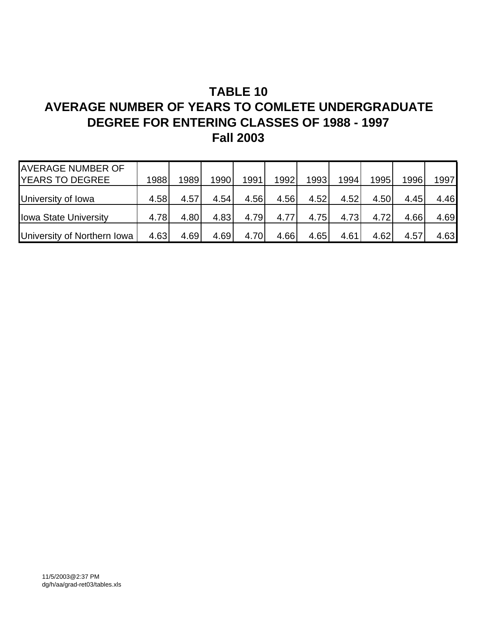### **TABLE 10 AVERAGE NUMBER OF YEARS TO COMLETE UNDERGRADUATE DEGREE FOR ENTERING CLASSES OF 1988 - 1997 Fall 2003**

| <b>AVERAGE NUMBER OF</b>     |      |      |      |      |      |      |      |      |      |      |
|------------------------------|------|------|------|------|------|------|------|------|------|------|
| <b>YEARS TO DEGREE</b>       | 1988 | 1989 | 1990 | 1991 | 1992 | 1993 | 1994 | 1995 | 1996 | 1997 |
| University of Iowa           | 4.58 | 4.57 | 4.54 | 4.56 | 4.56 | 4.52 | 4.52 | 4.50 | 4.45 | 4.46 |
| <b>Iowa State University</b> | 4.78 | 4.80 | 4.83 | 4.79 | 4.77 | 4.75 | 4.73 | 4.72 | 4.66 | 4.69 |
| University of Northern Iowa  | 4.63 | 4.69 | 4.69 | 4.70 | 4.66 | 4.65 | 4.61 | 4.62 | 4.57 | 4.63 |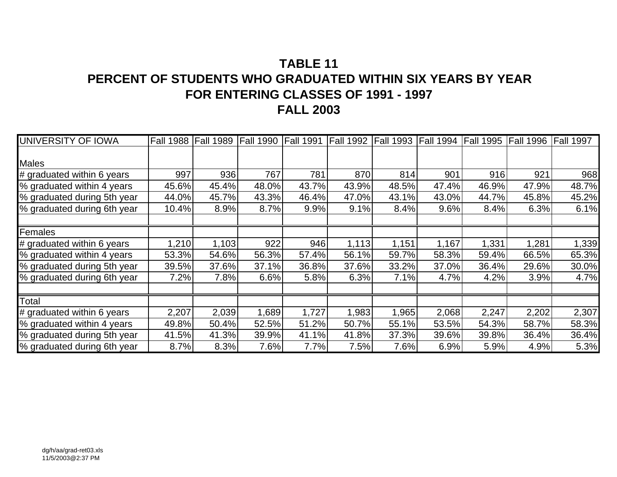### **TABLE 11PERCENT OF STUDENTS WHO GRADUATED WITHIN SIX YEARS BY YEARFOR ENTERING CLASSES OF 1991 - 1997 FALL 2003**

| <b>UNIVERSITY OF IOWA</b>   | <b>Fall 1988</b> | <b>Fall 1989</b> |       |       | Fall 1990 Fall 1991 Fall 1992 Fall 1993 Fall 1994 Fall 1995 Fall 1996 |       |       |       |       | Fall 1997 |
|-----------------------------|------------------|------------------|-------|-------|-----------------------------------------------------------------------|-------|-------|-------|-------|-----------|
|                             |                  |                  |       |       |                                                                       |       |       |       |       |           |
| Males                       |                  |                  |       |       |                                                                       |       |       |       |       |           |
| # graduated within 6 years  | 997              | 936              | 767   | 781   | 870                                                                   | 814   | 901   | 916   | 921   | 968       |
| % graduated within 4 years  | 45.6%            | 45.4%            | 48.0% | 43.7% | 43.9%                                                                 | 48.5% | 47.4% | 46.9% | 47.9% | 48.7%     |
| % graduated during 5th year | 44.0%            | 45.7%            | 43.3% | 46.4% | 47.0%                                                                 | 43.1% | 43.0% | 44.7% | 45.8% | 45.2%     |
| % graduated during 6th year | 10.4%            | 8.9%             | 8.7%  | 9.9%  | 9.1%                                                                  | 8.4%  | 9.6%  | 8.4%  | 6.3%  | 6.1%      |
| Females                     |                  |                  |       |       |                                                                       |       |       |       |       |           |
| # graduated within 6 years  | 1,210            | 1,103            | 922   | 946   | 1,113                                                                 | 1,151 | 1,167 | 1,331 | 1,281 | 1,339     |
| % graduated within 4 years  | 53.3%            | 54.6%            | 56.3% | 57.4% | 56.1%                                                                 | 59.7% | 58.3% | 59.4% | 66.5% | 65.3%     |
| % graduated during 5th year | 39.5%            | 37.6%            | 37.1% | 36.8% | 37.6%                                                                 | 33.2% | 37.0% | 36.4% | 29.6% | 30.0%     |
| % graduated during 6th year | 7.2%             | 7.8%             | 6.6%  | 5.8%  | 6.3%                                                                  | 7.1%  | 4.7%  | 4.2%  | 3.9%  | 4.7%      |
| Total                       |                  |                  |       |       |                                                                       |       |       |       |       |           |
| # graduated within 6 years  | 2,207            | 2,039            | 1,689 | 1,727 | 1,983                                                                 | 1,965 | 2,068 | 2,247 | 2,202 | 2,307     |
| % graduated within 4 years  | 49.8%            | 50.4%            | 52.5% | 51.2% | 50.7%                                                                 | 55.1% | 53.5% | 54.3% | 58.7% | 58.3%     |
| % graduated during 5th year | 41.5%            | 41.3%            | 39.9% | 41.1% | 41.8%                                                                 | 37.3% | 39.6% | 39.8% | 36.4% | 36.4%     |
| % graduated during 6th year | 8.7%             | 8.3%             | 7.6%  | 7.7%  | 7.5%                                                                  | 7.6%  | 6.9%  | 5.9%  | 4.9%  | 5.3%      |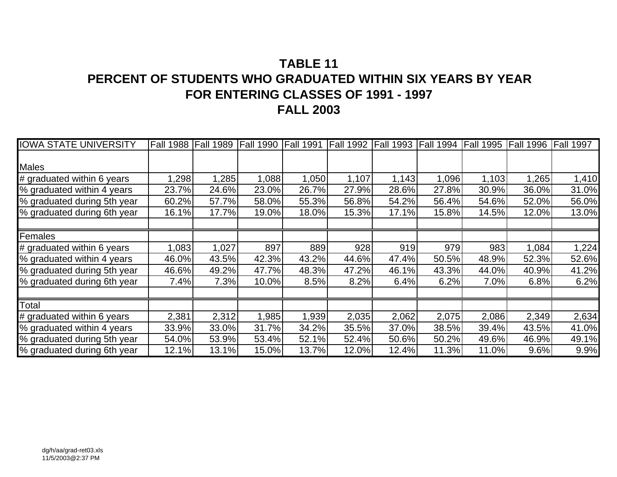### **TABLE 11PERCENT OF STUDENTS WHO GRADUATED WITHIN SIX YEARS BY YEARFOR ENTERING CLASSES OF 1991 - 1997 FALL 2003**

| <b>IOWA STATE UNIVERSITY</b> | <b>Fall 1988</b> | <b>Fall 1989</b> | <b>Fall 1990</b> | <b>Fall 1991</b> | <b>Fall 1992</b> | <b>Fall 1993</b> | <b>Fall 1994</b> | <b>Fall 1995</b> | <b>Fall 1996</b> | <b>Fall 1997</b> |
|------------------------------|------------------|------------------|------------------|------------------|------------------|------------------|------------------|------------------|------------------|------------------|
|                              |                  |                  |                  |                  |                  |                  |                  |                  |                  |                  |
| Males                        |                  |                  |                  |                  |                  |                  |                  |                  |                  |                  |
| # graduated within 6 years   | 1,298            | 1,285            | 1,088            | 1,050            | 1,107            | 1,143            | 1,096            | 1,103            | 1,265            | 1,410            |
| % graduated within 4 years   | 23.7%            | 24.6%            | 23.0%            | 26.7%            | 27.9%            | 28.6%            | 27.8%            | 30.9%            | 36.0%            | 31.0%            |
| % graduated during 5th year  | 60.2%            | 57.7%            | 58.0%            | 55.3%            | 56.8%            | 54.2%            | 56.4%            | 54.6%            | 52.0%            | 56.0%            |
| % graduated during 6th year  | 16.1%            | 17.7%            | 19.0%            | 18.0%            | 15.3%            | 17.1%            | 15.8%            | 14.5%            | 12.0%            | 13.0%            |
| Females                      |                  |                  |                  |                  |                  |                  |                  |                  |                  |                  |
| # graduated within 6 years   | 1,083            | 1,027            | 897              | 889              | 928              | 919              | 979              | 983              | 1,084            | 1,224            |
| % graduated within 4 years   | 46.0%            | 43.5%            | 42.3%            | 43.2%            | 44.6%            | 47.4%            | 50.5%            | 48.9%            | 52.3%            | 52.6%            |
| % graduated during 5th year  | 46.6%            | 49.2%            | 47.7%            | 48.3%            | 47.2%            | 46.1%            | 43.3%            | 44.0%            | 40.9%            | 41.2%            |
| % graduated during 6th year  | 7.4%             | 7.3%             | 10.0%            | 8.5%             | 8.2%             | 6.4%             | 6.2%             | 7.0%             | 6.8%             | 6.2%             |
| Total                        |                  |                  |                  |                  |                  |                  |                  |                  |                  |                  |
| # graduated within 6 years   | 2,381            | 2,312            | 1,985            | 1,939            | 2,035            | 2,062            | 2,075            | 2,086            | 2,349            | 2,634            |
| % graduated within 4 years   | 33.9%            | 33.0%            | 31.7%            | 34.2%            | 35.5%            | 37.0%            | 38.5%            | 39.4%            | 43.5%            | 41.0%            |
| % graduated during 5th year  | 54.0%            | 53.9%            | 53.4%            | 52.1%            | 52.4%            | 50.6%            | 50.2%            | 49.6%            | 46.9%            | 49.1%            |
| % graduated during 6th year  | 12.1%            | 13.1%            | 15.0%            | 13.7%            | 12.0%            | 12.4%            | 11.3%            | 11.0%            | 9.6%             | 9.9%             |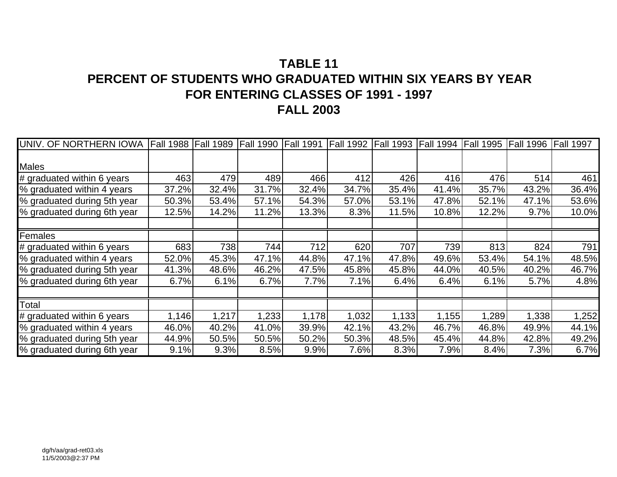### **TABLE 11PERCENT OF STUDENTS WHO GRADUATED WITHIN SIX YEARS BY YEARFOR ENTERING CLASSES OF 1991 - 1997 FALL 2003**

| UNIV. OF NORTHERN IOWA      | <b>Fall 1988</b> | <b>Fall 1989</b> | Fall 1990 Fall 1991 |       | <b>Fall 1992</b> | <b>Fall 1993</b> | <b>Fall 1994</b> | <b>Fall 1995</b> | <b>Fall 1996</b> | <b>Fall 1997</b> |
|-----------------------------|------------------|------------------|---------------------|-------|------------------|------------------|------------------|------------------|------------------|------------------|
|                             |                  |                  |                     |       |                  |                  |                  |                  |                  |                  |
| Males                       |                  |                  |                     |       |                  |                  |                  |                  |                  |                  |
| # graduated within 6 years  | 463              | 479              | 489                 | 466   | 412              | 426              | 416              | 476              | 514              | 461              |
| % graduated within 4 years  | 37.2%            | 32.4%            | 31.7%               | 32.4% | 34.7%            | 35.4%            | 41.4%            | 35.7%            | 43.2%            | 36.4%            |
| % graduated during 5th year | 50.3%            | 53.4%            | 57.1%               | 54.3% | 57.0%            | 53.1%            | 47.8%            | 52.1%            | 47.1%            | 53.6%            |
| % graduated during 6th year | 12.5%            | 14.2%            | 11.2%               | 13.3% | 8.3%             | 11.5%            | 10.8%            | 12.2%            | 9.7%             | 10.0%            |
| Females                     |                  |                  |                     |       |                  |                  |                  |                  |                  |                  |
| # graduated within 6 years  | 683              | 738              | 744                 | 712   | 620              | 707              | 739              | 813              | 824              | 791              |
| % graduated within 4 years  | 52.0%            | 45.3%            | 47.1%               | 44.8% | 47.1%            | 47.8%            | 49.6%            | 53.4%            | 54.1%            | 48.5%            |
| % graduated during 5th year | 41.3%            | 48.6%            | 46.2%               | 47.5% | 45.8%            | 45.8%            | 44.0%            | 40.5%            | 40.2%            | 46.7%            |
| % graduated during 6th year | 6.7%             | 6.1%             | 6.7%                | 7.7%  | 7.1%             | 6.4%             | 6.4%             | 6.1%             | 5.7%             | 4.8%             |
| Total                       |                  |                  |                     |       |                  |                  |                  |                  |                  |                  |
| # graduated within 6 years  | 1,146            | 1,217            | 1,233               | 1,178 | 1,032            | 1,133            | 1,155            | 1,289            | 1,338            | 1,252            |
| % graduated within 4 years  | 46.0%            | 40.2%            | 41.0%               | 39.9% | 42.1%            | 43.2%            | 46.7%            | 46.8%            | 49.9%            | 44.1%            |
| % graduated during 5th year | 44.9%            | 50.5%            | 50.5%               | 50.2% | 50.3%            | 48.5%            | 45.4%            | 44.8%            | 42.8%            | 49.2%            |
| % graduated during 6th year | 9.1%             | 9.3%             | 8.5%                | 9.9%  | 7.6%             | 8.3%             | 7.9%             | 8.4%             | 7.3%             | 6.7%             |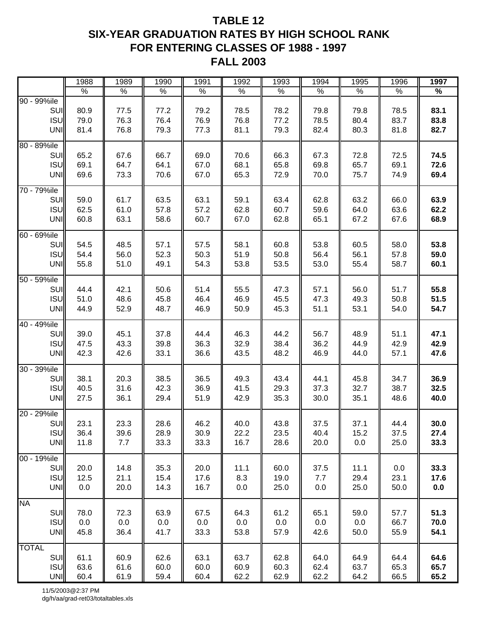### **TABLE 12 SIX-YEAR GRADUATION RATES BY HIGH SCHOOL RANK FOR ENTERING CLASSES OF 1988 - 1997 FALL 2003**

|                                                     | 1988                 | 1989                 | 1990                 | 1991                 | 1992                 | 1993                 | 1994                 | 1995                 | 1996                    | 1997                 |
|-----------------------------------------------------|----------------------|----------------------|----------------------|----------------------|----------------------|----------------------|----------------------|----------------------|-------------------------|----------------------|
|                                                     | $\%$                 | $\%$                 | $\%$                 | $\%$                 | $\%$                 | $\%$                 | $\%$                 | $\%$                 | $\%$                    | $\%$                 |
| 90 - 99%ile<br>SUI<br>ISU<br>UNI                    | 80.9<br>79.0<br>81.4 | 77.5<br>76.3<br>76.8 | 77.2<br>76.4<br>79.3 | 79.2<br>76.9<br>77.3 | 78.5<br>76.8<br>81.1 | 78.2<br>77.2<br>79.3 | 79.8<br>78.5<br>82.4 | 79.8<br>80.4<br>80.3 | 78.5<br>83.7<br>81.8    | 83.1<br>83.8<br>82.7 |
| 80 - 89%ile<br>SUI<br><b>ISU</b><br>UNI             | 65.2<br>69.1<br>69.6 | 67.6<br>64.7<br>73.3 | 66.7<br>64.1<br>70.6 | 69.0<br>67.0<br>67.0 | 70.6<br>68.1<br>65.3 | 66.3<br>65.8<br>72.9 | 67.3<br>69.8<br>70.0 | 72.8<br>65.7<br>75.7 | 72.5<br>69.1<br>74.9    | 74.5<br>72.6<br>69.4 |
| 70 - 79%ile<br>SUI<br><b>ISUI</b><br>UNI            | 59.0<br>62.5<br>60.8 | 61.7<br>61.0<br>63.1 | 63.5<br>57.8<br>58.6 | 63.1<br>57.2<br>60.7 | 59.1<br>62.8<br>67.0 | 63.4<br>60.7<br>62.8 | 62.8<br>59.6<br>65.1 | 63.2<br>64.0<br>67.2 | 66.0<br>63.6<br>67.6    | 63.9<br>62.2<br>68.9 |
| 60 - 69%ile<br>SUI<br><b>ISU</b><br>UNI             | 54.5<br>54.4<br>55.8 | 48.5<br>56.0<br>51.0 | 57.1<br>52.3<br>49.1 | 57.5<br>50.3<br>54.3 | 58.1<br>51.9<br>53.8 | 60.8<br>50.8<br>53.5 | 53.8<br>56.4<br>53.0 | 60.5<br>56.1<br>55.4 | 58.0<br>57.8<br>58.7    | 53.8<br>59.0<br>60.1 |
| $\overline{50}$ - 59%ile<br>SUI<br>ISU<br>UNI       | 44.4<br>51.0<br>44.9 | 42.1<br>48.6<br>52.9 | 50.6<br>45.8<br>48.7 | 51.4<br>46.4<br>46.9 | 55.5<br>46.9<br>50.9 | 47.3<br>45.5<br>45.3 | 57.1<br>47.3<br>51.1 | 56.0<br>49.3<br>53.1 | 51.7<br>50.8<br>54.0    | 55.8<br>51.5<br>54.7 |
| 40 - 49%ile<br>SUI<br><b>ISU</b><br>UNI             | 39.0<br>47.5<br>42.3 | 45.1<br>43.3<br>42.6 | 37.8<br>39.8<br>33.1 | 44.4<br>36.3<br>36.6 | 46.3<br>32.9<br>43.5 | 44.2<br>38.4<br>48.2 | 56.7<br>36.2<br>46.9 | 48.9<br>44.9<br>44.0 | 51.1<br>42.9<br>57.1    | 47.1<br>42.9<br>47.6 |
| 30 - 39%ile<br>SUI<br>ISU<br>UNI                    | 38.1<br>40.5<br>27.5 | 20.3<br>31.6<br>36.1 | 38.5<br>42.3<br>29.4 | 36.5<br>36.9<br>51.9 | 49.3<br>41.5<br>42.9 | 43.4<br>29.3<br>35.3 | 44.1<br>37.3<br>30.0 | 45.8<br>32.7<br>35.1 | 34.7<br>38.7<br>48.6    | 36.9<br>32.5<br>40.0 |
| 20 - 29%ile<br>SUII<br><b>ISU</b><br><b>UNI</b>     | 23.1<br>36.4<br>11.8 | 23.3<br>39.6<br>7.7  | 28.6<br>28.9<br>33.3 | 46.2<br>30.9<br>33.3 | 40.0<br>22.2<br>16.7 | 43.8<br>23.5<br>28.6 | 37.5<br>40.4<br>20.0 | 37.1<br>15.2<br>0.0  | 44.4<br>37.5<br>25.0    | 30.0<br>27.4<br>33.3 |
| 00 - 19%ile<br>SUI<br><b>ISU</b><br>UNI             | 20.0<br>12.5<br>0.0  | 14.8<br>21.1<br>20.0 | 35.3<br>15.4<br>14.3 | 20.0<br>17.6<br>16.7 | 11.1<br>8.3<br>0.0   | 60.0<br>19.0<br>25.0 | 37.5<br>7.7<br>0.0   | 11.1<br>29.4<br>25.0 | $0.0\,$<br>23.1<br>50.0 | 33.3<br>17.6<br>0.0  |
| <b>NA</b><br><b>SUI</b><br><b>ISU</b><br><b>UNI</b> | 78.0<br>0.0<br>45.8  | 72.3<br>0.0<br>36.4  | 63.9<br>0.0<br>41.7  | 67.5<br>0.0<br>33.3  | 64.3<br>0.0<br>53.8  | 61.2<br>0.0<br>57.9  | 65.1<br>0.0<br>42.6  | 59.0<br>0.0<br>50.0  | 57.7<br>66.7<br>55.9    | 51.3<br>70.0<br>54.1 |
| <b>TOTAL</b><br><b>SUI</b><br>ISU<br>UNI            | 61.1<br>63.6<br>60.4 | 60.9<br>61.6<br>61.9 | 62.6<br>60.0<br>59.4 | 63.1<br>60.0<br>60.4 | 63.7<br>60.9<br>62.2 | 62.8<br>60.3<br>62.9 | 64.0<br>62.4<br>62.2 | 64.9<br>63.7<br>64.2 | 64.4<br>65.3<br>66.5    | 64.6<br>65.7<br>65.2 |

11/5/2003@2:37 PM dg/h/aa/grad-ret03/totaltables.xls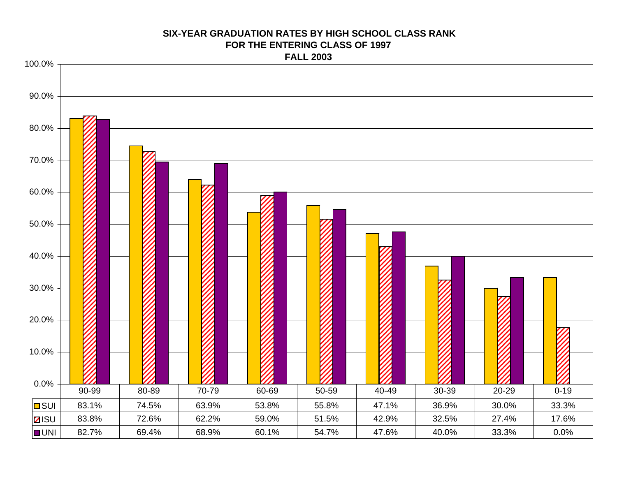# 0.0%10.0%20.0% 30.0%40.0%50.0%60.0% 70.0%80.0%90.0%100.0%**D**SUI | 83.1% | 74.5% | 63.9% | 53.8% | 55.8% | 47.1% | 36.9% | 30.0% | 33.3% **z**isu 83.8% 72.6% 62.2% 59.0% 51.5% 42.9% 32.5% 27.4% 17.6% UNIl 82.7% | 69.4% | 68.9% | 60.1% | 54.7% | 47.6% | 40.0% | 33.3% | 0.0% 90-99 | 80-89 | 70-79 | 60-69 | 50-59 | 40-49 | 30-39 | 20-29 | 0-19

#### **SIX-YEAR GRADUATION RATES BY HIGH SCHOOL CLASS RANKFOR THE ENTERING CLASS OF 1997FALL 2003**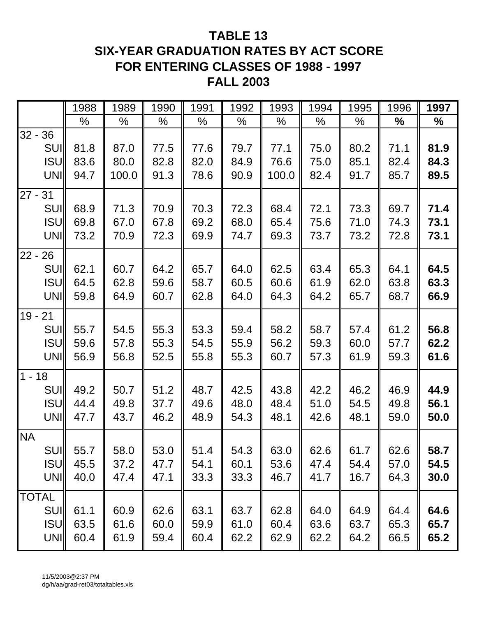### **TABLE 13 SIX-YEAR GRADUATION RATES BY ACT SCORE FOR ENTERING CLASSES OF 1988 - 1997 FALL 2003**

|           |              | 1988 | 1989  | 1990 | 1991 | 1992 | 1993  | 1994 | 1995 | 1996          | 1997 |
|-----------|--------------|------|-------|------|------|------|-------|------|------|---------------|------|
|           |              | %    | $\%$  | $\%$ | $\%$ | %    | %     | %    | $\%$ | $\frac{0}{0}$ | ℅    |
| $32 - 36$ |              |      |       |      |      |      |       |      |      |               |      |
|           | <b>SUI</b>   | 81.8 | 87.0  | 77.5 | 77.6 | 79.7 | 77.1  | 75.0 | 80.2 | 71.1          | 81.9 |
|           | <b>ISU</b>   | 83.6 | 80.0  | 82.8 | 82.0 | 84.9 | 76.6  | 75.0 | 85.1 | 82.4          | 84.3 |
|           | <b>UNI</b>   | 94.7 | 100.0 | 91.3 | 78.6 | 90.9 | 100.0 | 82.4 | 91.7 | 85.7          | 89.5 |
| $27 - 31$ |              |      |       |      |      |      |       |      |      |               |      |
|           | <b>SUI</b>   | 68.9 | 71.3  | 70.9 | 70.3 | 72.3 | 68.4  | 72.1 | 73.3 | 69.7          | 71.4 |
|           | <b>ISU</b>   | 69.8 | 67.0  | 67.8 | 69.2 | 68.0 | 65.4  | 75.6 | 71.0 | 74.3          | 73.1 |
|           | UNI          | 73.2 | 70.9  | 72.3 | 69.9 | 74.7 | 69.3  | 73.7 | 73.2 | 72.8          | 73.1 |
| $22 -$    | 26           |      |       |      |      |      |       |      |      |               |      |
|           | <b>SUI</b>   | 62.1 | 60.7  | 64.2 | 65.7 | 64.0 | 62.5  | 63.4 | 65.3 | 64.1          | 64.5 |
|           | <b>ISU</b>   | 64.5 | 62.8  | 59.6 | 58.7 | 60.5 | 60.6  | 61.9 | 62.0 | 63.8          | 63.3 |
|           | <b>UNI</b>   | 59.8 | 64.9  | 60.7 | 62.8 | 64.0 | 64.3  | 64.2 | 65.7 | 68.7          | 66.9 |
| $19 - 21$ |              |      |       |      |      |      |       |      |      |               |      |
|           | <b>SUI</b>   | 55.7 | 54.5  | 55.3 | 53.3 | 59.4 | 58.2  | 58.7 | 57.4 | 61.2          | 56.8 |
|           | <b>ISU</b>   | 59.6 | 57.8  | 55.3 | 54.5 | 55.9 | 56.2  | 59.3 | 60.0 | 57.7          | 62.2 |
|           | <b>UNI</b>   | 56.9 | 56.8  | 52.5 | 55.8 | 55.3 | 60.7  | 57.3 | 61.9 | 59.3          | 61.6 |
| $1 - 18$  |              |      |       |      |      |      |       |      |      |               |      |
|           | <b>SUI</b>   | 49.2 | 50.7  | 51.2 | 48.7 | 42.5 | 43.8  | 42.2 | 46.2 | 46.9          | 44.9 |
|           | <b>ISU</b>   | 44.4 | 49.8  | 37.7 | 49.6 | 48.0 | 48.4  | 51.0 | 54.5 | 49.8          | 56.1 |
|           | <b>UNI</b>   | 47.7 | 43.7  | 46.2 | 48.9 | 54.3 | 48.1  | 42.6 | 48.1 | 59.0          | 50.0 |
| <b>NA</b> |              |      |       |      |      |      |       |      |      |               |      |
|           | SUI          | 55.7 | 58.0  | 53.0 | 51.4 | 54.3 | 63.0  | 62.6 | 61.7 | 62.6          | 58.7 |
|           | <b>ISU</b>   | 45.5 | 37.2  | 47.7 | 54.1 | 60.1 | 53.6  | 47.4 | 54.4 | 57.0          | 54.5 |
|           | UNI          | 40.0 | 47.4  | 47.1 | 33.3 | 33.3 | 46.7  | 41.7 | 16.7 | 64.3          | 30.0 |
|           | <b>TOTAL</b> |      |       |      |      |      |       |      |      |               |      |
|           | <b>SUI</b>   | 61.1 | 60.9  | 62.6 | 63.1 | 63.7 | 62.8  | 64.0 | 64.9 | 64.4          | 64.6 |
|           | <b>ISU</b>   | 63.5 | 61.6  | 60.0 | 59.9 | 61.0 | 60.4  | 63.6 | 63.7 | 65.3          | 65.7 |
|           | UNI          | 60.4 | 61.9  | 59.4 | 60.4 | 62.2 | 62.9  | 62.2 | 64.2 | 66.5          | 65.2 |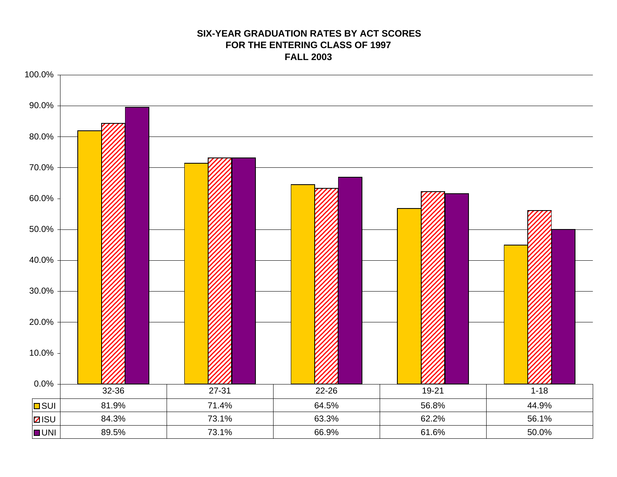#### **SIX-YEAR GRADUATION RATES BY ACT SCORESFOR THE ENTERING CLASS OF 1997 FALL 2003**

![](_page_46_Figure_1.jpeg)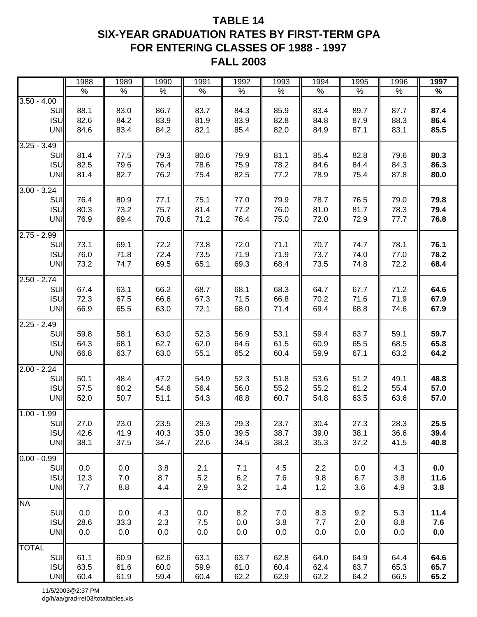### **TABLE 14 SIX-YEAR GRADUATION RATES BY FIRST-TERM GPA FOR ENTERING CLASSES OF 1988 - 1997 FALL 2003**

|                                                  | 1988                 | 1989                 | 1990                 | 1991                 | 1992                 | 1993                 | 1994                 | 1995                 | 1996                 | 1997                 |
|--------------------------------------------------|----------------------|----------------------|----------------------|----------------------|----------------------|----------------------|----------------------|----------------------|----------------------|----------------------|
|                                                  | $\%$                 | $\%$                 | %                    | $\%$                 | $\%$                 | $\%$                 | $\%$                 | %                    | $\%$                 | $\%$                 |
| $3.50 - 4.00$<br>SUI<br><b>ISU</b><br>UNI        | 88.1<br>82.6<br>84.6 | 83.0<br>84.2<br>83.4 | 86.7<br>83.9<br>84.2 | 83.7<br>81.9<br>82.1 | 84.3<br>83.9<br>85.4 | 85.9<br>82.8<br>82.0 | 83.4<br>84.8<br>84.9 | 89.7<br>87.9<br>87.1 | 87.7<br>88.3<br>83.1 | 87.4<br>86.4<br>85.5 |
| $3.25 - 3.49$<br>SUI<br><b>ISU</b><br>UNI        | 81.4<br>82.5<br>81.4 | 77.5<br>79.6<br>82.7 | 79.3<br>76.4<br>76.2 | 80.6<br>78.6<br>75.4 | 79.9<br>75.9<br>82.5 | 81.1<br>78.2<br>77.2 | 85.4<br>84.6<br>78.9 | 82.8<br>84.4<br>75.4 | 79.6<br>84.3<br>87.8 | 80.3<br>86.3<br>80.0 |
| $3.00 - 3.24$<br>SUI<br><b>ISU</b><br>UNI        | 76.4<br>80.3<br>76.9 | 80.9<br>73.2<br>69.4 | 77.1<br>75.7<br>70.6 | 75.1<br>81.4<br>71.2 | 77.0<br>77.2<br>76.4 | 79.9<br>76.0<br>75.0 | 78.7<br>81.0<br>72.0 | 76.5<br>81.7<br>72.9 | 79.0<br>78.3<br>77.7 | 79.8<br>79.4<br>76.8 |
| $2.75 - 2.99$<br>SUI<br><b>ISU</b><br>UNI        | 73.1<br>76.0<br>73.2 | 69.1<br>71.8<br>74.7 | 72.2<br>72.4<br>69.5 | 73.8<br>73.5<br>65.1 | 72.0<br>71.9<br>69.3 | 71.1<br>71.9<br>68.4 | 70.7<br>73.7<br>73.5 | 74.7<br>74.0<br>74.8 | 78.1<br>77.0<br>72.2 | 76.1<br>78.2<br>68.4 |
| $2.50 - 2.74$<br>SUI<br><b>ISU</b><br><b>UNI</b> | 67.4<br>72.3<br>66.9 | 63.1<br>67.5<br>65.5 | 66.2<br>66.6<br>63.0 | 68.7<br>67.3<br>72.1 | 68.1<br>71.5<br>68.0 | 68.3<br>66.8<br>71.4 | 64.7<br>70.2<br>69.4 | 67.7<br>71.6<br>68.8 | 71.2<br>71.9<br>74.6 | 64.6<br>67.9<br>67.9 |
| $2.25 - 2.49$<br>SUI<br><b>ISU</b><br><b>UNI</b> | 59.8<br>64.3<br>66.8 | 58.1<br>68.1<br>63.7 | 63.0<br>62.7<br>63.0 | 52.3<br>62.0<br>55.1 | 56.9<br>64.6<br>65.2 | 53.1<br>61.5<br>60.4 | 59.4<br>60.9<br>59.9 | 63.7<br>65.5<br>67.1 | 59.1<br>68.5<br>63.2 | 59.7<br>65.8<br>64.2 |
| $2.00 - 2.24$<br>SUI<br><b>ISU</b><br>UNI        | 50.1<br>57.5<br>52.0 | 48.4<br>60.2<br>50.7 | 47.2<br>54.6<br>51.1 | 54.9<br>56.4<br>54.3 | 52.3<br>56.0<br>48.8 | 51.8<br>55.2<br>60.7 | 53.6<br>55.2<br>54.8 | 51.2<br>61.2<br>63.5 | 49.1<br>55.4<br>63.6 | 48.8<br>57.0<br>57.0 |
| $1.00 - 1.99$<br>SUI<br><b>ISU</b><br><b>UNI</b> | 27.0<br>42.6<br>38.1 | 23.0<br>41.9<br>37.5 | 23.5<br>40.3<br>34.7 | 29.3<br>35.0<br>22.6 | 29.3<br>39.5<br>34.5 | 23.7<br>38.7<br>38.3 | 30.4<br>39.0<br>35.3 | 27.3<br>38.1<br>37.2 | 28.3<br>36.6<br>41.5 | 25.5<br>39.4<br>40.8 |
| $0.00 - 0.99$<br>SUI<br><b>ISU</b><br><b>UNI</b> | 0.0<br>12.3<br>7.7   | 0.0<br>7.0<br>8.8    | 3.8<br>8.7<br>4.4    | 2.1<br>5.2<br>2.9    | 7.1<br>6.2<br>3.2    | 4.5<br>7.6<br>1.4    | 2.2<br>9.8<br>$1.2$  | 0.0<br>6.7<br>3.6    | 4.3<br>3.8<br>4.9    | 0.0<br>11.6<br>3.8   |
| <b>NA</b><br>SUI<br><b>ISU</b><br>UNI            | 0.0<br>28.6<br>0.0   | 0.0<br>33.3<br>0.0   | 4.3<br>2.3<br>0.0    | 0.0<br>7.5<br>0.0    | 8.2<br>0.0<br>0.0    | 7.0<br>3.8<br>0.0    | 8.3<br>7.7<br>0.0    | 9.2<br>2.0<br>0.0    | 5.3<br>8.8<br>0.0    | 11.4<br>7.6<br>0.0   |
| <b>TOTAL</b><br>SUI<br><b>ISU</b><br><b>UNI</b>  | 61.1<br>63.5<br>60.4 | 60.9<br>61.6<br>61.9 | 62.6<br>60.0<br>59.4 | 63.1<br>59.9<br>60.4 | 63.7<br>61.0<br>62.2 | 62.8<br>60.4<br>62.9 | 64.0<br>62.4<br>62.2 | 64.9<br>63.7<br>64.2 | 64.4<br>65.3<br>66.5 | 64.6<br>65.7<br>65.2 |

11/5/2003@2:37 PM dg/h/aa/grad-ret03/totaltables.xls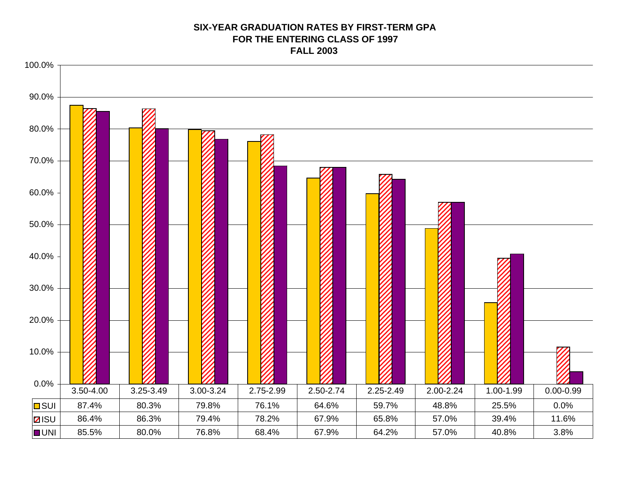#### **SIX-YEAR GRADUATION RATES BY FIRST-TERM GPA FOR THE ENTERING CLASS OF 1997 FALL 2003**

![](_page_48_Figure_1.jpeg)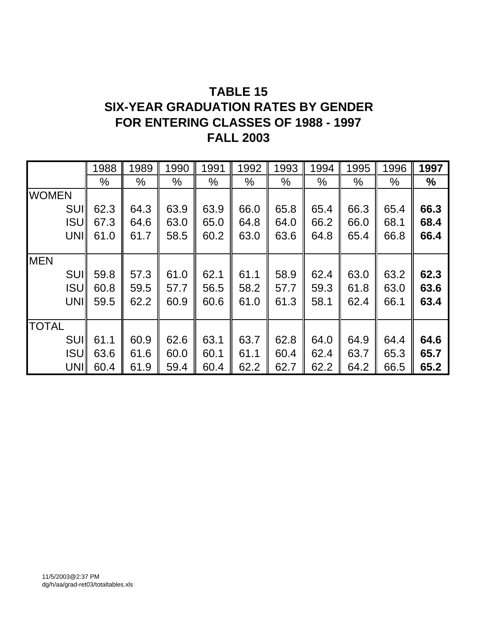### **TABLE 15 SIX-YEAR GRADUATION RATES BY GENDER FOR ENTERING CLASSES OF 1988 - 1997 FALL 2003**

|              | 1988 | 1989 | 1990 | 1991 | 1992          | 1993          | 1994 | 1995          | 1996 | 1997          |
|--------------|------|------|------|------|---------------|---------------|------|---------------|------|---------------|
|              | $\%$ | $\%$ | $\%$ | $\%$ | $\frac{0}{0}$ | $\frac{0}{0}$ | $\%$ | $\frac{0}{0}$ | $\%$ | $\frac{0}{0}$ |
| <b>WOMEN</b> |      |      |      |      |               |               |      |               |      |               |
| <b>SUI</b>   | 62.3 | 64.3 | 63.9 | 63.9 | 66.0          | 65.8          | 65.4 | 66.3          | 65.4 | 66.3          |
| <b>ISU</b>   | 67.3 | 64.6 | 63.0 | 65.0 | 64.8          | 64.0          | 66.2 | 66.0          | 68.1 | 68.4          |
| UNI          | 61.0 | 61.7 | 58.5 | 60.2 | 63.0          | 63.6          | 64.8 | 65.4          | 66.8 | 66.4          |
|              |      |      |      |      |               |               |      |               |      |               |
| <b>MEN</b>   |      |      |      |      |               |               |      |               |      |               |
| <b>SUII</b>  | 59.8 | 57.3 | 61.0 | 62.1 | 61.1          | 58.9          | 62.4 | 63.0          | 63.2 | 62.3          |
| <b>ISUI</b>  | 60.8 | 59.5 | 57.7 | 56.5 | 58.2          | 57.7          | 59.3 | 61.8          | 63.0 | 63.6          |
| UNII         | 59.5 | 62.2 | 60.9 | 60.6 | 61.0          | 61.3          | 58.1 | 62.4          | 66.1 | 63.4          |
|              |      |      |      |      |               |               |      |               |      |               |
| <b>TOTAL</b> |      |      |      |      |               |               |      |               |      |               |
| <b>SUI</b>   | 61.1 | 60.9 | 62.6 | 63.1 | 63.7          | 62.8          | 64.0 | 64.9          | 64.4 | 64.6          |
| <b>ISUI</b>  | 63.6 | 61.6 | 60.0 | 60.1 | 61.1          | 60.4          | 62.4 | 63.7          | 65.3 | 65.7          |
| UNII         | 60.4 | 61.9 | 59.4 | 60.4 | 62.2          | 62.7          | 62.2 | 64.2          | 66.5 | 65.2          |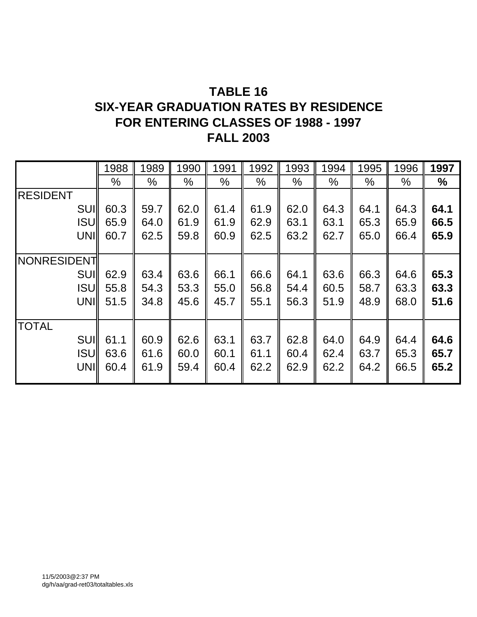### **TABLE 16 SIX-YEAR GRADUATION RATES BY RESIDENCE FOR ENTERING CLASSES OF 1988 - 1997 FALL 2003**

|                 | 1988 | 1989 | 1990 | 1991 | 1992 | 1993          | 1994          | 1995          | 1996          | 1997 |
|-----------------|------|------|------|------|------|---------------|---------------|---------------|---------------|------|
|                 | $\%$ | %    | $\%$ | $\%$ | $\%$ | $\frac{0}{0}$ | $\frac{0}{0}$ | $\frac{0}{0}$ | $\frac{0}{0}$ | $\%$ |
| <b>RESIDENT</b> |      |      |      |      |      |               |               |               |               |      |
| <b>SUII</b>     | 60.3 | 59.7 | 62.0 | 61.4 | 61.9 | 62.0          | 64.3          | 64.1          | 64.3          | 64.1 |
| <b>ISUI</b>     | 65.9 | 64.0 | 61.9 | 61.9 | 62.9 | 63.1          | 63.1          | 65.3          | 65.9          | 66.5 |
| <b>UNII</b>     | 60.7 | 62.5 | 59.8 | 60.9 | 62.5 | 63.2          | 62.7          | 65.0          | 66.4          | 65.9 |
|                 |      |      |      |      |      |               |               |               |               |      |
| NONRESIDENT     |      |      |      |      |      |               |               |               |               |      |
| <b>SUII</b>     | 62.9 | 63.4 | 63.6 | 66.1 | 66.6 | 64.1          | 63.6          | 66.3          | 64.6          | 65.3 |
| <b>ISUI</b>     | 55.8 | 54.3 | 53.3 | 55.0 | 56.8 | 54.4          | 60.5          | 58.7          | 63.3          | 63.3 |
| UNII            | 51.5 | 34.8 | 45.6 | 45.7 | 55.1 | 56.3          | 51.9          | 48.9          | 68.0          | 51.6 |
|                 |      |      |      |      |      |               |               |               |               |      |
| <b>TOTAL</b>    |      |      |      |      |      |               |               |               |               |      |
| <b>SUII</b>     | 61.1 | 60.9 | 62.6 | 63.1 | 63.7 | 62.8          | 64.0          | 64.9          | 64.4          | 64.6 |
| <b>ISUI</b>     | 63.6 | 61.6 | 60.0 | 60.1 | 61.1 | 60.4          | 62.4          | 63.7          | 65.3          | 65.7 |
| UNII            | 60.4 | 61.9 | 59.4 | 60.4 | 62.2 | 62.9          | 62.2          | 64.2          | 66.5          | 65.2 |
|                 |      |      |      |      |      |               |               |               |               |      |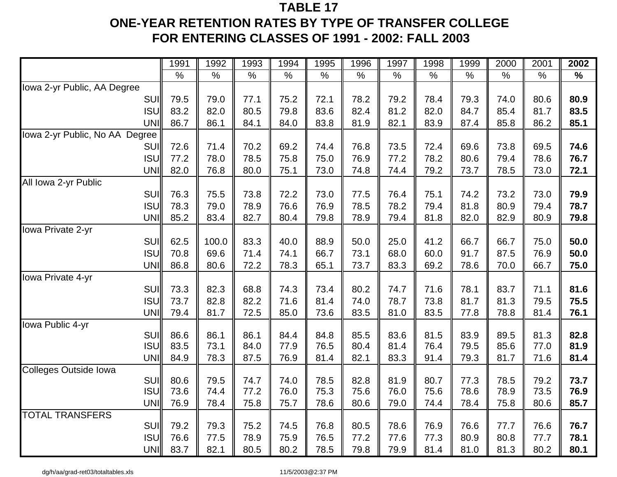### **TABLE 17ONE-YEAR RETENTION RATES BY TYPE OF TRANSFER COLLEGE FOR ENTERING CLASSES OF 1991 - 2002: FALL 2003**

|                                            | 1991 | 1992         | 1993         | 1994          | 1995 | 1996 | 1997 | 1998 | 1999         | 2000 | 2001 | 2002          |
|--------------------------------------------|------|--------------|--------------|---------------|------|------|------|------|--------------|------|------|---------------|
|                                            | $\%$ | $\%$         | $\%$         | $\frac{0}{0}$ | $\%$ | $\%$ | $\%$ | $\%$ | $\%$         | $\%$ | $\%$ | $\frac{1}{2}$ |
| Iowa 2-yr Public, AA Degree                |      |              |              |               |      |      |      |      |              |      |      |               |
| <b>SUI</b>                                 | 79.5 | 79.0         | 77.1         | 75.2          | 72.1 | 78.2 | 79.2 | 78.4 | 79.3         | 74.0 | 80.6 | 80.9          |
| <b>ISU</b>                                 | 83.2 | 82.0         | 80.5         | 79.8          | 83.6 | 82.4 | 81.2 | 82.0 | 84.7         | 85.4 | 81.7 | 83.5          |
| <b>UNI</b>                                 | 86.7 | 86.1         | 84.1         | 84.0          | 83.8 | 81.9 | 82.1 | 83.9 | 87.4         | 85.8 | 86.2 | 85.1          |
| Iowa 2-yr Public, No AA Degree             |      |              |              |               |      |      |      |      |              |      |      |               |
| SUI                                        | 72.6 | 71.4         | 70.2         | 69.2          | 74.4 | 76.8 | 73.5 | 72.4 | 69.6         | 73.8 | 69.5 | 74.6          |
| <b>ISU</b>                                 | 77.2 | 78.0         | 78.5         | 75.8          | 75.0 | 76.9 | 77.2 | 78.2 | 80.6         | 79.4 | 78.6 | 76.7          |
| UNI                                        | 82.0 | 76.8         | 80.0         | 75.1          | 73.0 | 74.8 | 74.4 | 79.2 | 73.7         | 78.5 | 73.0 | 72.1          |
| All Iowa 2-yr Public                       |      |              |              |               |      |      |      |      |              |      |      |               |
| <b>SUI</b>                                 | 76.3 | 75.5         | 73.8         | 72.2          | 73.0 | 77.5 | 76.4 | 75.1 | 74.2         | 73.2 | 73.0 | 79.9          |
| <b>ISU</b>                                 | 78.3 | 79.0         | 78.9         | 76.6          | 76.9 | 78.5 | 78.2 | 79.4 | 81.8         | 80.9 | 79.4 | 78.7          |
| UNI                                        | 85.2 | 83.4         | 82.7         | 80.4          | 79.8 | 78.9 | 79.4 | 81.8 | 82.0         | 82.9 | 80.9 | 79.8          |
| Iowa Private 2-yr                          |      |              |              |               |      |      |      |      |              |      |      |               |
| SUI                                        | 62.5 | 100.0        | 83.3         | 40.0          | 88.9 | 50.0 | 25.0 | 41.2 | 66.7         | 66.7 | 75.0 | 50.0          |
| <b>ISU</b>                                 | 70.8 | 69.6         | 71.4         | 74.1          | 66.7 | 73.1 | 68.0 | 60.0 | 91.7         | 87.5 | 76.9 | 50.0          |
| UNI                                        | 86.8 | 80.6         | 72.2         | 78.3          | 65.1 | 73.7 | 83.3 | 69.2 | 78.6         | 70.0 | 66.7 | 75.0          |
| Iowa Private 4-yr                          |      |              |              |               |      |      |      |      |              |      |      |               |
| SUI                                        | 73.3 | 82.3         | 68.8         | 74.3          | 73.4 | 80.2 | 74.7 | 71.6 | 78.1         | 83.7 | 71.1 | 81.6          |
| <b>ISU</b>                                 | 73.7 | 82.8         | 82.2         | 71.6          | 81.4 | 74.0 | 78.7 | 73.8 | 81.7         | 81.3 | 79.5 | 75.5          |
| UNI                                        | 79.4 | 81.7         | 72.5         | 85.0          | 73.6 | 83.5 | 81.0 | 83.5 | 77.8         | 78.8 | 81.4 | 76.1          |
| Iowa Public 4-yr                           |      |              |              |               |      |      |      |      |              |      |      |               |
| SUI                                        | 86.6 | 86.1         | 86.1         | 84.4          | 84.8 | 85.5 | 83.6 | 81.5 | 83.9         | 89.5 | 81.3 | 82.8          |
| <b>ISU</b>                                 | 83.5 | 73.1         | 84.0         | 77.9          | 76.5 | 80.4 | 81.4 | 76.4 | 79.5         | 85.6 | 77.0 | 81.9          |
| UNI                                        | 84.9 | 78.3         | 87.5         | 76.9          | 81.4 | 82.1 | 83.3 | 91.4 | 79.3         | 81.7 | 71.6 | 81.4          |
| <b>Colleges Outside Iowa</b><br><b>SUI</b> | 80.6 |              |              | 74.0          | 78.5 | 82.8 | 81.9 | 80.7 |              | 78.5 | 79.2 | 73.7          |
| <b>ISU</b>                                 | 73.6 | 79.5<br>74.4 | 74.7<br>77.2 | 76.0          | 75.3 | 75.6 | 76.0 | 75.6 | 77.3<br>78.6 | 78.9 | 73.5 | 76.9          |
| <b>UNI</b>                                 | 76.9 | 78.4         | 75.8         | 75.7          | 78.6 | 80.6 | 79.0 | 74.4 | 78.4         | 75.8 | 80.6 | 85.7          |
| <b>TOTAL TRANSFERS</b>                     |      |              |              |               |      |      |      |      |              |      |      |               |
| SUI                                        | 79.2 | 79.3         | 75.2         | 74.5          | 76.8 | 80.5 | 78.6 | 76.9 | 76.6         | 77.7 | 76.6 | 76.7          |
| <b>ISU</b>                                 | 76.6 | 77.5         | 78.9         | 75.9          | 76.5 | 77.2 | 77.6 | 77.3 | 80.9         | 80.8 | 77.7 | 78.1          |
| UNI                                        | 83.7 | 82.1         | 80.5         | 80.2          | 78.5 | 79.8 | 79.9 | 81.4 | 81.0         | 81.3 | 80.2 | 80.1          |

dg/h/aa/grad-ret03/totaltables.xls 11/5/2003@2:37 PM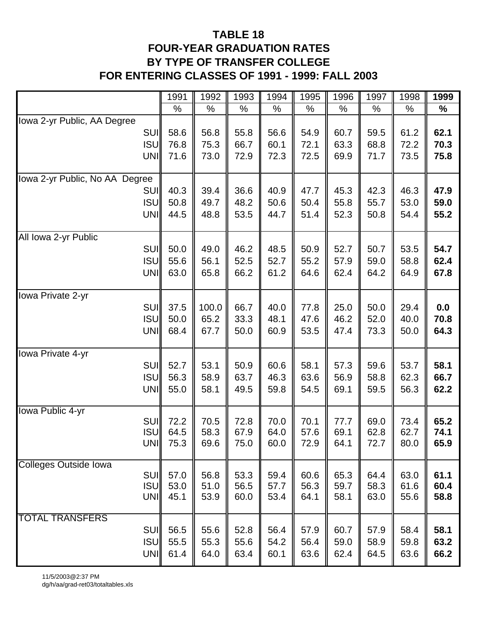### **TABLE 18 FOUR-YEAR GRADUATION RATES BY TYPE OF TRANSFER COLLEGE FOR ENTERING CLASSES OF 1991 - 1999: FALL 2003**

|                                     | 1991       | 1992  | 1993 | 1994 | 1995 | 1996 | 1997 | 1998 | 1999 |
|-------------------------------------|------------|-------|------|------|------|------|------|------|------|
|                                     | %          | %     | $\%$ | $\%$ | $\%$ | $\%$ | $\%$ | %    | $\%$ |
| Iowa 2-yr Public, AA Degree         |            |       |      |      |      |      |      |      |      |
| <b>SUI</b>                          | 58.6       | 56.8  | 55.8 | 56.6 | 54.9 | 60.7 | 59.5 | 61.2 | 62.1 |
| <b>ISU</b>                          | 76.8       | 75.3  | 66.7 | 60.1 | 72.1 | 63.3 | 68.8 | 72.2 | 70.3 |
| UNI                                 | 71.6       | 73.0  | 72.9 | 72.3 | 72.5 | 69.9 | 71.7 | 73.5 | 75.8 |
|                                     |            |       |      |      |      |      |      |      |      |
| Iowa 2-yr Public, No AA Degree      |            |       |      |      |      |      |      |      |      |
| <b>SUI</b>                          | 40.3       | 39.4  | 36.6 | 40.9 | 47.7 | 45.3 | 42.3 | 46.3 | 47.9 |
| <b>ISU</b>                          | 50.8       | 49.7  | 48.2 | 50.6 | 50.4 | 55.8 | 55.7 | 53.0 | 59.0 |
| UNI                                 | 44.5       | 48.8  | 53.5 | 44.7 | 51.4 | 52.3 | 50.8 | 54.4 | 55.2 |
|                                     |            |       |      |      |      |      |      |      |      |
| All Iowa 2-yr Public                |            |       |      |      |      |      |      |      |      |
| <b>SUI</b>                          | 50.0       | 49.0  | 46.2 | 48.5 | 50.9 | 52.7 | 50.7 | 53.5 | 54.7 |
| <b>ISU</b>                          | 55.6       | 56.1  | 52.5 | 52.7 | 55.2 | 57.9 | 59.0 | 58.8 | 62.4 |
| UNI                                 | 63.0       | 65.8  | 66.2 | 61.2 | 64.6 | 62.4 | 64.2 | 64.9 | 67.8 |
|                                     |            |       |      |      |      |      |      |      |      |
| Iowa Private 2-yr                   |            |       |      |      |      |      |      |      |      |
| <b>SUI</b>                          | 37.5       | 100.0 | 66.7 | 40.0 | 77.8 | 25.0 | 50.0 | 29.4 | 0.0  |
| <b>ISU</b>                          | 50.0       | 65.2  | 33.3 | 48.1 | 47.6 | 46.2 | 52.0 | 40.0 | 70.8 |
| <b>UNI</b>                          | 68.4       | 67.7  | 50.0 | 60.9 | 53.5 | 47.4 | 73.3 | 50.0 | 64.3 |
| lowa Private 4-yr                   |            |       |      |      |      |      |      |      |      |
| <b>SUI</b>                          | 52.7       | 53.1  | 50.9 | 60.6 | 58.1 | 57.3 | 59.6 | 53.7 | 58.1 |
| <b>ISU</b>                          | 56.3       | 58.9  | 63.7 | 46.3 | 63.6 | 56.9 | 58.8 | 62.3 | 66.7 |
| UNI                                 | 55.0       | 58.1  | 49.5 | 59.8 | 54.5 | 69.1 | 59.5 | 56.3 | 62.2 |
|                                     |            |       |      |      |      |      |      |      |      |
| Iowa Public 4-yr                    |            |       |      |      |      |      |      |      |      |
| SUI                                 | 72.2       | 70.5  | 72.8 | 70.0 | 70.1 | 77.7 | 69.0 | 73.4 | 65.2 |
| <b>ISU</b>                          | 64.5       | 58.3  | 67.9 | 64.0 | 57.6 | 69.1 | 62.8 | 62.7 | 74.1 |
|                                     | UNI $75.3$ | 69.6  | 75.0 | 60.0 | 72.9 | 64.1 | 72.7 | 80.0 | 65.9 |
|                                     |            |       |      |      |      |      |      |      |      |
| <b>Colleges Outside Iowa</b><br>SUI | 57.0       | 56.8  | 53.3 | 59.4 | 60.6 | 65.3 | 64.4 | 63.0 | 61.1 |
| <b>ISU</b>                          | 53.0       | 51.0  | 56.5 | 57.7 | 56.3 | 59.7 | 58.3 | 61.6 | 60.4 |
| UNI                                 | 45.1       | 53.9  | 60.0 | 53.4 | 64.1 | 58.1 | 63.0 | 55.6 | 58.8 |
|                                     |            |       |      |      |      |      |      |      |      |
| <b>TOTAL TRANSFERS</b>              |            |       |      |      |      |      |      |      |      |
| <b>SUI</b>                          | 56.5       | 55.6  | 52.8 | 56.4 | 57.9 | 60.7 | 57.9 | 58.4 | 58.1 |
| <b>ISUI</b>                         | 55.5       | 55.3  | 55.6 | 54.2 | 56.4 | 59.0 | 58.9 | 59.8 | 63.2 |
| <b>UNI</b>                          | 61.4       | 64.0  | 63.4 | 60.1 | 63.6 | 62.4 | 64.5 | 63.6 | 66.2 |
|                                     |            |       |      |      |      |      |      |      |      |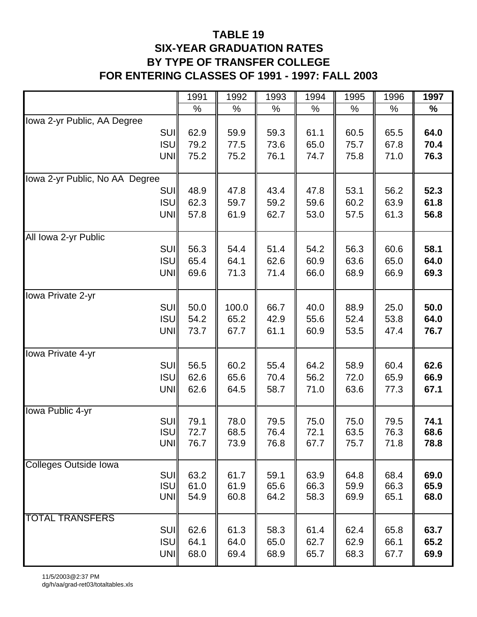### **TABLE 19 SIX-YEAR GRADUATION RATES BY TYPE OF TRANSFER COLLEGE FOR ENTERING CLASSES OF 1991 - 1997: FALL 2003**

|                                | 1991         | 1992         | 1993         | 1994         | 1995         | 1996         | 1997         |
|--------------------------------|--------------|--------------|--------------|--------------|--------------|--------------|--------------|
|                                | $\%$         | $\%$         | %            | $\%$         | $\%$         | $\%$         | %            |
| Iowa 2-yr Public, AA Degree    |              |              |              |              |              |              |              |
| <b>SUI</b>                     | 62.9         | 59.9         | 59.3         | 61.1         | 60.5         | 65.5         | 64.0         |
| <b>ISU</b>                     | 79.2         | 77.5         | 73.6         | 65.0         | 75.7         | 67.8         | 70.4         |
| UNI                            | 75.2         | 75.2         | 76.1         | 74.7         | 75.8         | 71.0         | 76.3         |
|                                |              |              |              |              |              |              |              |
| Iowa 2-yr Public, No AA Degree |              |              |              |              |              |              |              |
| <b>SUI</b>                     | 48.9         | 47.8         | 43.4         | 47.8         | 53.1         | 56.2         | 52.3         |
| <b>ISU</b>                     | 62.3         | 59.7         | 59.2         | 59.6         | 60.2         | 63.9         | 61.8         |
| UNI                            | 57.8         | 61.9         | 62.7         | 53.0         | 57.5         | 61.3         | 56.8         |
|                                |              |              |              |              |              |              |              |
| All Iowa 2-yr Public           |              |              |              |              |              |              |              |
| <b>SUI</b>                     | 56.3         | 54.4         | 51.4         | 54.2         | 56.3         | 60.6         | 58.1         |
| <b>ISU</b>                     | 65.4         | 64.1         | 62.6         | 60.9         | 63.6         | 65.0         | 64.0         |
| <b>UNI</b>                     | 69.6         | 71.3         | 71.4         | 66.0         | 68.9         | 66.9         | 69.3         |
|                                |              |              |              |              |              |              |              |
| Iowa Private 2-yr              |              |              |              |              |              |              |              |
| <b>SUI</b>                     | 50.0         | 100.0        | 66.7         | 40.0         | 88.9         | 25.0         | 50.0         |
| <b>ISUI</b>                    | 54.2         | 65.2         | 42.9         | 55.6         | 52.4         | 53.8         | 64.0         |
| UNI                            | 73.7         | 67.7         | 61.1         | 60.9         | 53.5         | 47.4         | 76.7         |
| lowa Private 4-yr              |              |              |              |              |              |              |              |
| <b>SUI</b>                     | 56.5         | 60.2         | 55.4         | 64.2         | 58.9         | 60.4         | 62.6         |
| <b>ISU</b>                     | 62.6         | 65.6         | 70.4         | 56.2         | 72.0         | 65.9         | 66.9         |
| UNI                            | 62.6         | 64.5         | 58.7         | 71.0         | 63.6         | 77.3         | 67.1         |
|                                |              |              |              |              |              |              |              |
| <b>Iowa Public 4-yr</b>        |              |              |              |              |              |              |              |
| <b>SUI</b>                     | 79.1         | 78.0         | 79.5         | 75.0         | 75.0         | 79.5         | 74.1         |
| <b>ISU</b>                     | 72.7         | 68.5         | 76.4         | 72.1         | 63.5         | 76.3         | 68.6         |
| UNI                            | 76.7         | 73.9         | 76.8         | 67.7         | 75.7         | 71.8         | 78.8         |
|                                |              |              |              |              |              |              |              |
| <b>Colleges Outside Iowa</b>   |              |              |              |              |              |              |              |
| <b>SUI</b><br><b>ISU</b>       | 63.2<br>61.0 | 61.7<br>61.9 | 59.1<br>65.6 | 63.9<br>66.3 | 64.8<br>59.9 | 68.4<br>66.3 | 69.0<br>65.9 |
| UNI                            | 54.9         | 60.8         | 64.2         | 58.3         | 69.9         | 65.1         | 68.0         |
|                                |              |              |              |              |              |              |              |
| <b>TOTAL TRANSFERS</b>         |              |              |              |              |              |              |              |
| <b>SUI</b>                     | 62.6         | 61.3         | 58.3         | 61.4         | 62.4         | 65.8         | 63.7         |
| <b>ISU</b>                     | 64.1         | 64.0         | 65.0         | 62.7         | 62.9         | 66.1         | 65.2         |
| <b>UNI</b>                     | 68.0         | 69.4         | 68.9         | 65.7         | 68.3         | 67.7         | 69.9         |
|                                |              |              |              |              |              |              |              |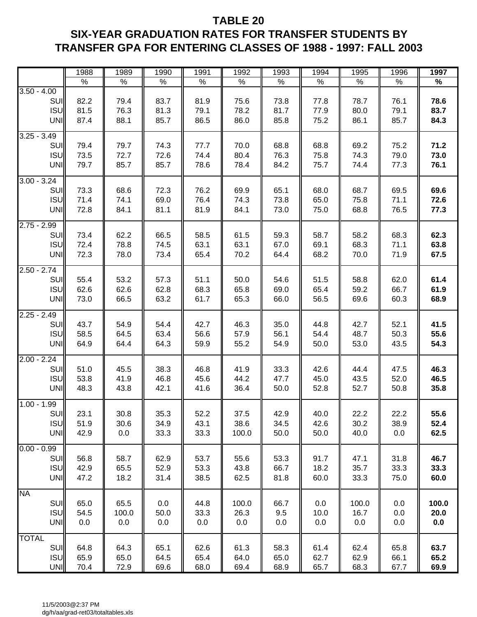### **TABLE 20 SIX-YEAR GRADUATION RATES FOR TRANSFER STUDENTS BY TRANSFER GPA FOR ENTERING CLASSES OF 1988 - 1997: FALL 2003**

|                                                  | 1988                 | 1989                 | 1990                 | 1991                 | 1992                  | 1993                 | 1994                 | 1995                 | 1996                 | 1997                 |
|--------------------------------------------------|----------------------|----------------------|----------------------|----------------------|-----------------------|----------------------|----------------------|----------------------|----------------------|----------------------|
|                                                  | $\%$                 | $\%$                 | $\%$                 | $\%$                 | %                     | $\%$                 | $\%$                 | $\%$                 | $\%$                 | %                    |
| $3.50 - 4.00$<br>SUI<br><b>ISU</b><br>UNI        | 82.2<br>81.5<br>87.4 | 79.4<br>76.3<br>88.1 | 83.7<br>81.3<br>85.7 | 81.9<br>79.1<br>86.5 | 75.6<br>78.2<br>86.0  | 73.8<br>81.7<br>85.8 | 77.8<br>77.9<br>75.2 | 78.7<br>80.0<br>86.1 | 76.1<br>79.1<br>85.7 | 78.6<br>83.7<br>84.3 |
| $3.25 - 3.49$<br>SUI<br><b>ISU</b><br><b>UNI</b> | 79.4<br>73.5<br>79.7 | 79.7<br>72.7<br>85.7 | 74.3<br>72.6<br>85.7 | 77.7<br>74.4<br>78.6 | 70.0<br>80.4<br>78.4  | 68.8<br>76.3<br>84.2 | 68.8<br>75.8<br>75.7 | 69.2<br>74.3<br>74.4 | 75.2<br>79.0<br>77.3 | 71.2<br>73.0<br>76.1 |
| $3.00 - 3.24$<br>SUI<br><b>ISU</b><br>UNI        | 73.3<br>71.4<br>72.8 | 68.6<br>74.1<br>84.1 | 72.3<br>69.0<br>81.1 | 76.2<br>76.4<br>81.9 | 69.9<br>74.3<br>84.1  | 65.1<br>73.8<br>73.0 | 68.0<br>65.0<br>75.0 | 68.7<br>75.8<br>68.8 | 69.5<br>71.1<br>76.5 | 69.6<br>72.6<br>77.3 |
| $2.75 - 2.99$<br>SUI<br><b>ISU</b><br>UNI        | 73.4<br>72.4<br>72.3 | 62.2<br>78.8<br>78.0 | 66.5<br>74.5<br>73.4 | 58.5<br>63.1<br>65.4 | 61.5<br>63.1<br>70.2  | 59.3<br>67.0<br>64.4 | 58.7<br>69.1<br>68.2 | 58.2<br>68.3<br>70.0 | 68.3<br>71.1<br>71.9 | 62.3<br>63.8<br>67.5 |
| $2.50 - 2.74$<br>SUI<br><b>ISU</b><br>UNI        | 55.4<br>62.6<br>73.0 | 53.2<br>62.6<br>66.5 | 57.3<br>62.8<br>63.2 | 51.1<br>68.3<br>61.7 | 50.0<br>65.8<br>65.3  | 54.6<br>69.0<br>66.0 | 51.5<br>65.4<br>56.5 | 58.8<br>59.2<br>69.6 | 62.0<br>66.7<br>60.3 | 61.4<br>61.9<br>68.9 |
| $2.25 - 2.49$<br>SUI<br><b>ISU</b><br>UNI        | 43.7<br>58.5<br>64.9 | 54.9<br>64.5<br>64.4 | 54.4<br>63.4<br>64.3 | 42.7<br>56.6<br>59.9 | 46.3<br>57.9<br>55.2  | 35.0<br>56.1<br>54.9 | 44.8<br>54.4<br>50.0 | 42.7<br>48.7<br>53.0 | 52.1<br>50.3<br>43.5 | 41.5<br>55.6<br>54.3 |
| $2.00 - 2.24$<br>SUI<br><b>ISU</b><br><b>UNI</b> | 51.0<br>53.8<br>48.3 | 45.5<br>41.9<br>43.8 | 38.3<br>46.8<br>42.1 | 46.8<br>45.6<br>41.6 | 41.9<br>44.2<br>36.4  | 33.3<br>47.7<br>50.0 | 42.6<br>45.0<br>52.8 | 44.4<br>43.5<br>52.7 | 47.5<br>52.0<br>50.8 | 46.3<br>46.5<br>35.8 |
| $1.00 - 1.99$<br>SUI<br><b>ISU</b><br><b>UNI</b> | 23.1<br>51.9<br>42.9 | 30.8<br>30.6<br>0.0  | 35.3<br>34.9<br>33.3 | 52.2<br>43.1<br>33.3 | 37.5<br>38.6<br>100.0 | 42.9<br>34.5<br>50.0 | 40.0<br>42.6<br>50.0 | 22.2<br>30.2<br>40.0 | 22.2<br>38.9<br>0.0  | 55.6<br>52.4<br>62.5 |
| $0.00 - 0.99$<br>SUI<br><b>ISU</b><br><b>UNI</b> | 56.8<br>42.9<br>47.2 | 58.7<br>65.5<br>18.2 | 62.9<br>52.9<br>31.4 | 53.7<br>53.3<br>38.5 | 55.6<br>43.8<br>62.5  | 53.3<br>66.7<br>81.8 | 91.7<br>18.2<br>60.0 | 47.1<br>35.7<br>33.3 | 31.8<br>33.3<br>75.0 | 46.7<br>33.3<br>60.0 |
| <b>NA</b><br>SUI<br><b>ISU</b><br><b>UNI</b>     | 65.0<br>54.5<br>0.0  | 65.5<br>100.0<br>0.0 | 0.0<br>50.0<br>0.0   | 44.8<br>33.3<br>0.0  | 100.0<br>26.3<br>0.0  | 66.7<br>9.5<br>0.0   | 0.0<br>10.0<br>0.0   | 100.0<br>16.7<br>0.0 | 0.0<br>0.0<br>0.0    | 100.0<br>20.0<br>0.0 |
| <b>TOTAL</b><br>SUI<br><b>ISU</b><br><b>UNI</b>  | 64.8<br>65.9<br>70.4 | 64.3<br>65.0<br>72.9 | 65.1<br>64.5<br>69.6 | 62.6<br>65.4<br>68.0 | 61.3<br>64.0<br>69.4  | 58.3<br>65.0<br>68.9 | 61.4<br>62.7<br>65.7 | 62.4<br>62.9<br>68.3 | 65.8<br>66.1<br>67.7 | 63.7<br>65.2<br>69.9 |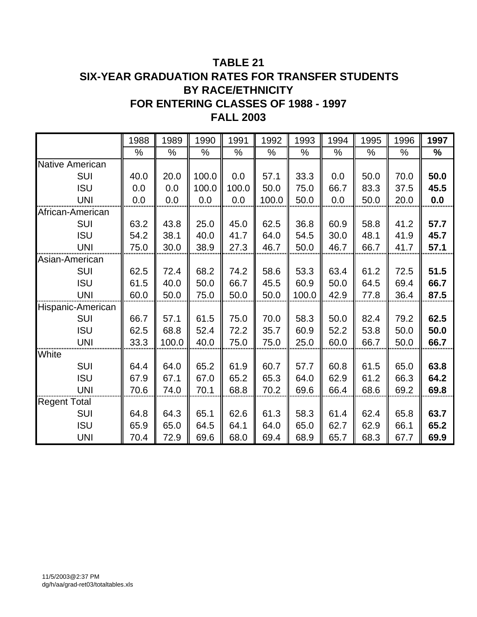### **TABLE 21 SIX-YEAR GRADUATION RATES FOR TRANSFER STUDENTS BY RACE/ETHNICITY FOR ENTERING CLASSES OF 1988 - 1997 FALL 2003**

|                        | 1988 | 1989  | 1990  | 1991  | 1992  | 1993  | 1994 | 1995 | 1996 | 1997 |
|------------------------|------|-------|-------|-------|-------|-------|------|------|------|------|
|                        | %    | $\%$  | %     | %     | $\%$  | %     | %    | %    | %    | $\%$ |
| <b>Native American</b> |      |       |       |       |       |       |      |      |      |      |
| <b>SUI</b>             | 40.0 | 20.0  | 100.0 | 0.0   | 57.1  | 33.3  | 0.0  | 50.0 | 70.0 | 50.0 |
| <b>ISU</b>             | 0.0  | 0.0   | 100.0 | 100.0 | 50.0  | 75.0  | 66.7 | 83.3 | 37.5 | 45.5 |
| <b>UNI</b>             | 0.0  | 0.0   | 0.0   | 0.0   | 100.0 | 50.0  | 0.0  | 50.0 | 20.0 | 0.0  |
| African-American       |      |       |       |       |       |       |      |      |      |      |
| <b>SUI</b>             | 63.2 | 43.8  | 25.0  | 45.0  | 62.5  | 36.8  | 60.9 | 58.8 | 41.2 | 57.7 |
| <b>ISU</b>             | 54.2 | 38.1  | 40.0  | 41.7  | 64.0  | 54.5  | 30.0 | 48.1 | 41.9 | 45.7 |
| <b>UNI</b>             | 75.0 | 30.0  | 38.9  | 27.3  | 46.7  | 50.0  | 46.7 | 66.7 | 41.7 | 57.1 |
| Asian-American         |      |       |       |       |       |       |      |      |      |      |
| <b>SUI</b>             | 62.5 | 72.4  | 68.2  | 74.2  | 58.6  | 53.3  | 63.4 | 61.2 | 72.5 | 51.5 |
| <b>ISU</b>             | 61.5 | 40.0  | 50.0  | 66.7  | 45.5  | 60.9  | 50.0 | 64.5 | 69.4 | 66.7 |
| <b>UNI</b>             | 60.0 | 50.0  | 75.0  | 50.0  | 50.0  | 100.0 | 42.9 | 77.8 | 36.4 | 87.5 |
| Hispanic-American      |      |       |       |       |       |       |      |      |      |      |
| <b>SUI</b>             | 66.7 | 57.1  | 61.5  | 75.0  | 70.0  | 58.3  | 50.0 | 82.4 | 79.2 | 62.5 |
| <b>ISU</b>             | 62.5 | 68.8  | 52.4  | 72.2  | 35.7  | 60.9  | 52.2 | 53.8 | 50.0 | 50.0 |
| <b>UNI</b>             | 33.3 | 100.0 | 40.0  | 75.0  | 75.0  | 25.0  | 60.0 | 66.7 | 50.0 | 66.7 |
| White                  |      |       |       |       |       |       |      |      |      |      |
| <b>SUI</b>             | 64.4 | 64.0  | 65.2  | 61.9  | 60.7  | 57.7  | 60.8 | 61.5 | 65.0 | 63.8 |
| <b>ISU</b>             | 67.9 | 67.1  | 67.0  | 65.2  | 65.3  | 64.0  | 62.9 | 61.2 | 66.3 | 64.2 |
| <b>UNI</b>             | 70.6 | 74.0  | 70.1  | 68.8  | 70.2  | 69.6  | 66.4 | 68.6 | 69.2 | 69.8 |
| <b>Regent Total</b>    |      |       |       |       |       |       |      |      |      |      |
| <b>SUI</b>             | 64.8 | 64.3  | 65.1  | 62.6  | 61.3  | 58.3  | 61.4 | 62.4 | 65.8 | 63.7 |
| <b>ISU</b>             | 65.9 | 65.0  | 64.5  | 64.1  | 64.0  | 65.0  | 62.7 | 62.9 | 66.1 | 65.2 |
| <b>UNI</b>             | 70.4 | 72.9  | 69.6  | 68.0  | 69.4  | 68.9  | 65.7 | 68.3 | 67.7 | 69.9 |